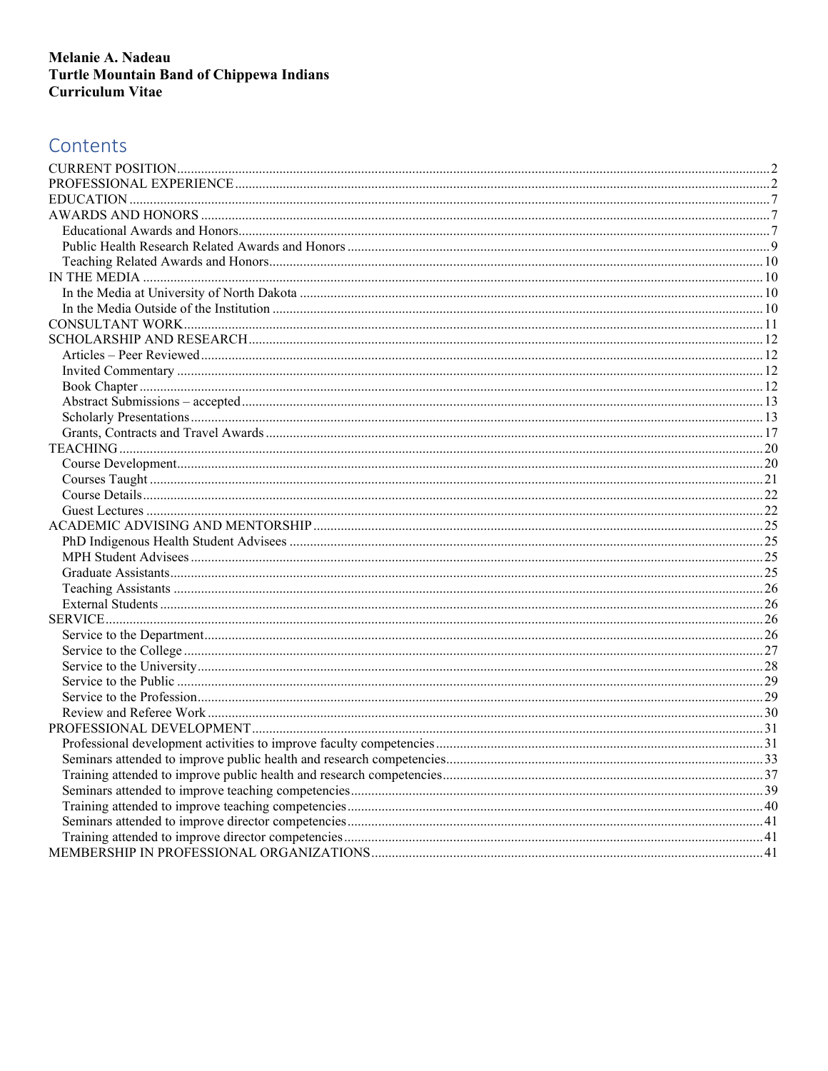# Contents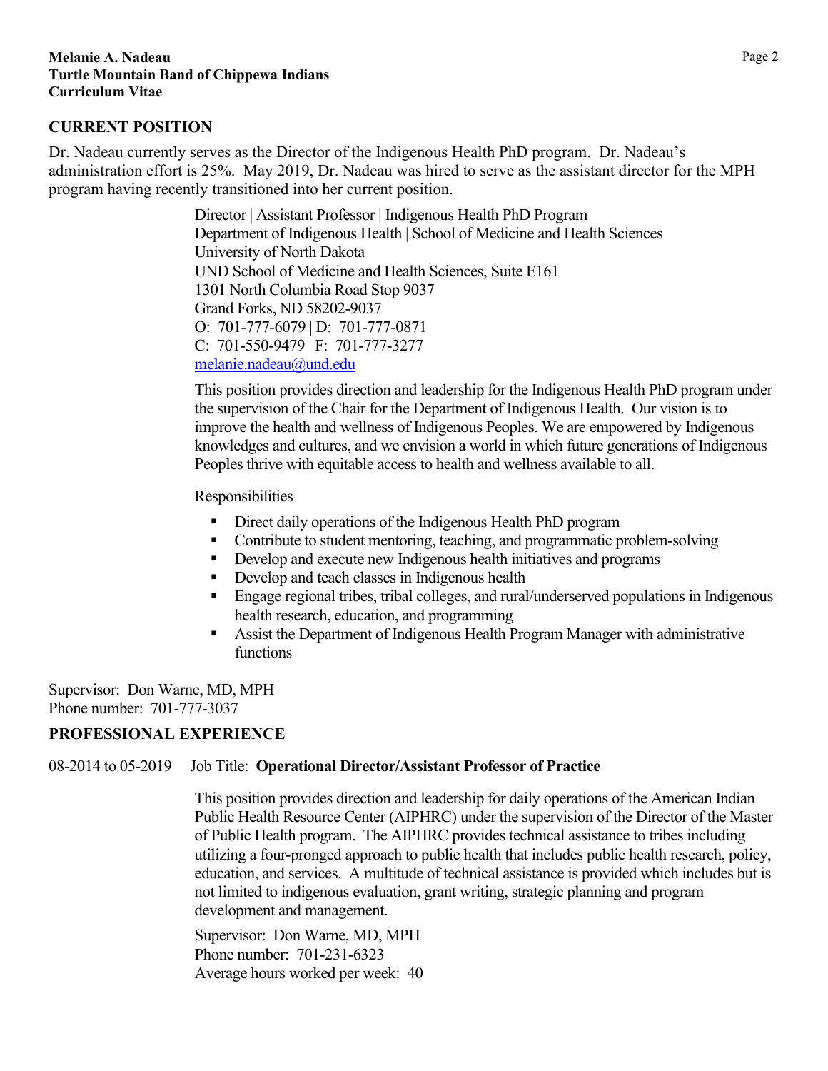### <span id="page-1-0"></span>**CURRENT POSITION**

Dr. Nadeau currently serves as the Director of the Indigenous Health PhD program. Dr. Nadeau's administration effort is 25%. May 2019, Dr. Nadeau was hired to serve as the assistant director for the MPH program having recently transitioned into her current position.

> Director | Assistant Professor | Indigenous Health PhD Program Department of Indigenous Health | School of Medicine and Health Sciences University of North Dakota UND School of Medicine and Health Sciences, Suite E161 1301 North Columbia Road Stop 9037 Grand Forks, ND 58202-9037 O: 701-777-6079 | D: 701-777-0871 C: 701-550-9479 | F: 701-777-3277 [melanie.nadeau@und.edu](mailto:melanie.nadeau@und.edu)

This position provides direction and leadership for the Indigenous Health PhD program under the supervision of the Chair for the Department of Indigenous Health. Our vision is to improve the health and wellness of Indigenous Peoples. We are empowered by Indigenous knowledges and cultures, and we envision a world in which future generations of Indigenous Peoples thrive with equitable access to health and wellness available to all.

Responsibilities

- Direct daily operations of the Indigenous Health PhD program
- Contribute to student mentoring, teaching, and programmatic problem-solving
- Develop and execute new Indigenous health initiatives and programs
- Develop and teach classes in Indigenous health
- Engage regional tribes, tribal colleges, and rural/underserved populations in Indigenous health research, education, and programming
- Assist the Department of Indigenous Health Program Manager with administrative functions

Supervisor: Don Warne, MD, MPH Phone number: 701-777-3037

### <span id="page-1-1"></span>**PROFESSIONAL EXPERIENCE**

08-2014 to 05-2019 Job Title: **Operational Director/Assistant Professor of Practice**

This position provides direction and leadership for daily operations of the American Indian Public Health Resource Center (AIPHRC) under the supervision of the Director of the Master of Public Health program. The AIPHRC provides technical assistance to tribes including utilizing a four-pronged approach to public health that includes public health research, policy, education, and services. A multitude of technical assistance is provided which includes but is not limited to indigenous evaluation, grant writing, strategic planning and program development and management.

Supervisor: Don Warne, MD, MPH Phone number: 701-231-6323 Average hours worked per week: 40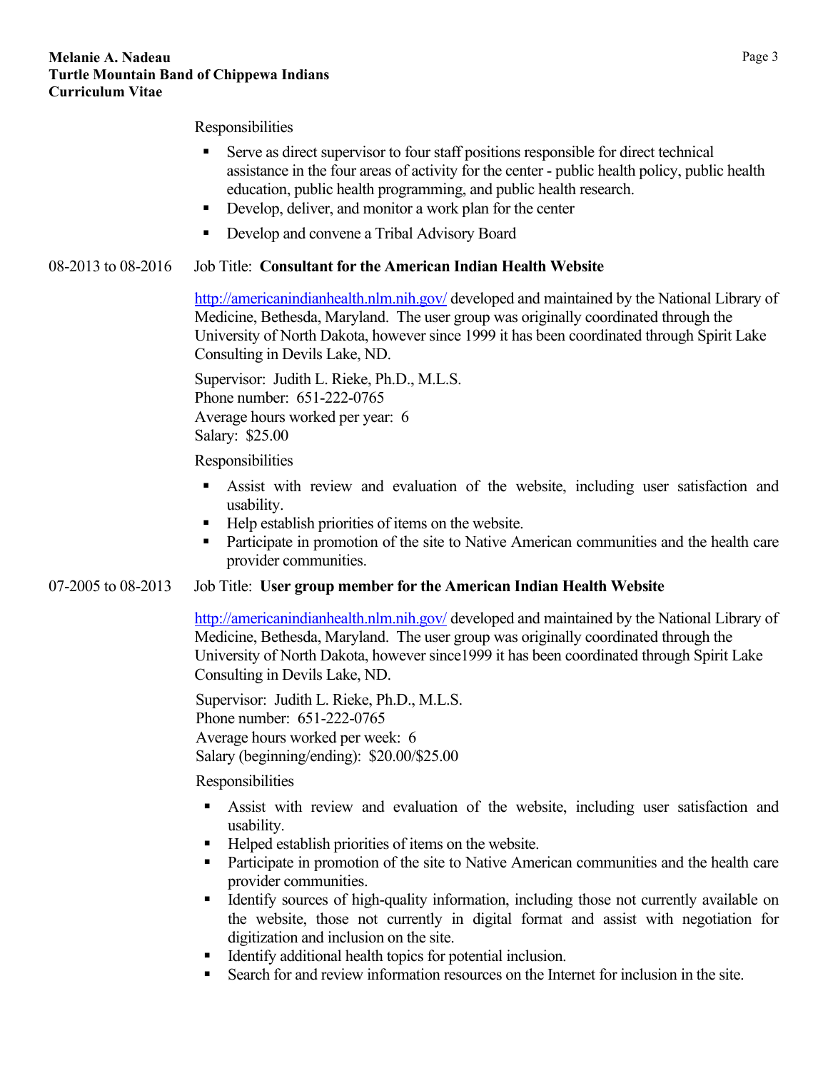#### Responsibilities

- Serve as direct supervisor to four staff positions responsible for direct technical assistance in the four areas of activity for the center - public health policy, public health education, public health programming, and public health research.
- Develop, deliver, and monitor a work plan for the center
- Develop and convene a Tribal Advisory Board

### 08-2013 to 08-2016 Job Title: **Consultant for the American Indian Health Website**

<http://americanindianhealth.nlm.nih.gov/> developed and maintained by the National Library of Medicine, Bethesda, Maryland. The user group was originally coordinated through the University of North Dakota, however since 1999 it has been coordinated through Spirit Lake Consulting in Devils Lake, ND.

Supervisor: Judith L. Rieke, Ph.D., M.L.S. Phone number: 651-222-0765 Average hours worked per year: 6 Salary: \$25.00

Responsibilities

- Assist with review and evaluation of the website, including user satisfaction and usability.
- $\blacksquare$  Help establish priorities of items on the website.
- Participate in promotion of the site to Native American communities and the health care provider communities.

### 07-2005 to 08-2013 Job Title: **User group member for the American Indian Health Website**

<http://americanindianhealth.nlm.nih.gov/> developed and maintained by the National Library of Medicine, Bethesda, Maryland. The user group was originally coordinated through the University of North Dakota, however since1999 it has been coordinated through Spirit Lake Consulting in Devils Lake, ND.

Supervisor: Judith L. Rieke, Ph.D., M.L.S. Phone number: 651-222-0765 Average hours worked per week: 6 Salary (beginning/ending): \$20.00/\$25.00

### Responsibilities

- Assist with review and evaluation of the website, including user satisfaction and usability.
- Helped establish priorities of items on the website.
- **Participate in promotion of the site to Native American communities and the health care** provider communities.
- Identify sources of high-quality information, including those not currently available on the website, those not currently in digital format and assist with negotiation for digitization and inclusion on the site.
- Identify additional health topics for potential inclusion.
- Search for and review information resources on the Internet for inclusion in the site.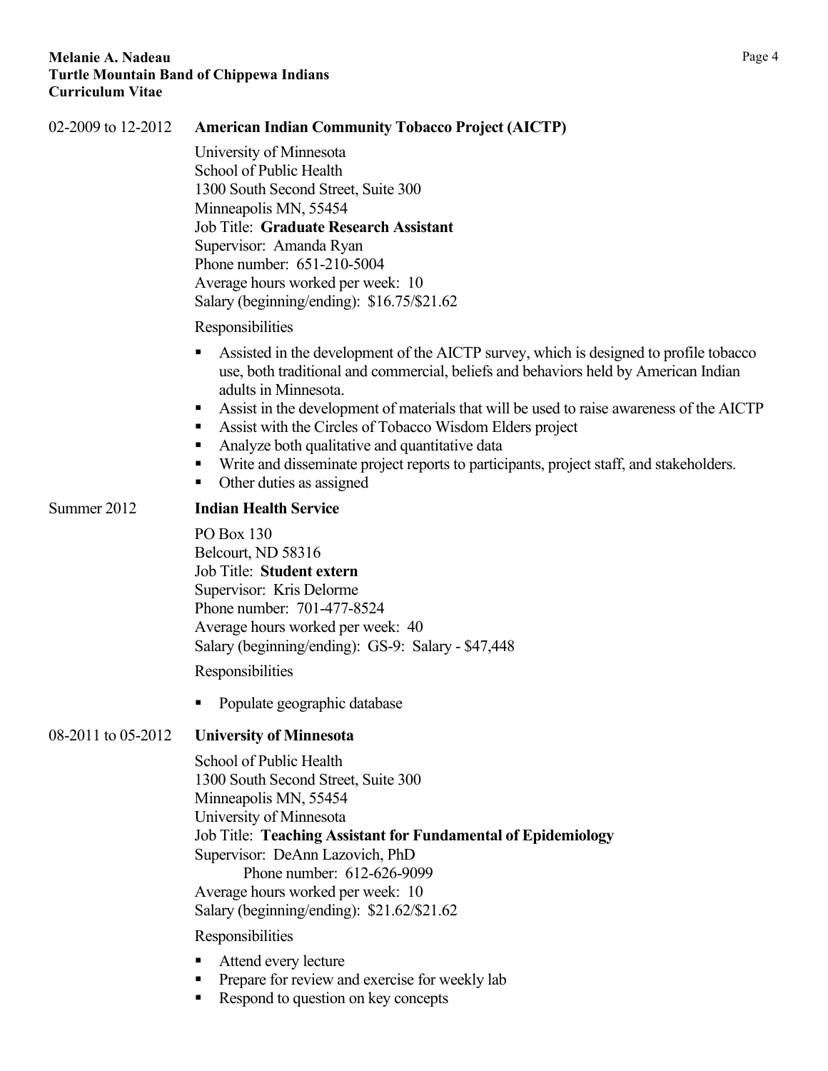| 02-2009 to 12-2012 | <b>American Indian Community Tobacco Project (AICTP)</b>                                                                                                                                                                                                                                                                                                                                                                                                                                                                                                       |  |  |  |  |
|--------------------|----------------------------------------------------------------------------------------------------------------------------------------------------------------------------------------------------------------------------------------------------------------------------------------------------------------------------------------------------------------------------------------------------------------------------------------------------------------------------------------------------------------------------------------------------------------|--|--|--|--|
|                    | University of Minnesota<br>School of Public Health<br>1300 South Second Street, Suite 300<br>Minneapolis MN, 55454<br>Job Title: Graduate Research Assistant<br>Supervisor: Amanda Ryan<br>Phone number: 651-210-5004<br>Average hours worked per week: 10<br>Salary (beginning/ending): \$16.75/\$21.62                                                                                                                                                                                                                                                       |  |  |  |  |
|                    | Responsibilities                                                                                                                                                                                                                                                                                                                                                                                                                                                                                                                                               |  |  |  |  |
|                    | Assisted in the development of the AICTP survey, which is designed to profile tobacco<br>use, both traditional and commercial, beliefs and behaviors held by American Indian<br>adults in Minnesota.<br>Assist in the development of materials that will be used to raise awareness of the AICTP<br>п<br>Assist with the Circles of Tobacco Wisdom Elders project<br>٠<br>Analyze both qualitative and quantitative data<br>٠<br>Write and disseminate project reports to participants, project staff, and stakeholders.<br>п<br>Other duties as assigned<br>п |  |  |  |  |
| Summer 2012        | <b>Indian Health Service</b>                                                                                                                                                                                                                                                                                                                                                                                                                                                                                                                                   |  |  |  |  |
|                    | PO Box 130<br>Belcourt, ND 58316<br>Job Title: Student extern<br>Supervisor: Kris Delorme<br>Phone number: 701-477-8524<br>Average hours worked per week: 40<br>Salary (beginning/ending): GS-9: Salary - \$47,448<br>Responsibilities                                                                                                                                                                                                                                                                                                                         |  |  |  |  |
|                    | Populate geographic database                                                                                                                                                                                                                                                                                                                                                                                                                                                                                                                                   |  |  |  |  |
| 08-2011 to 05-2012 | <b>University of Minnesota</b>                                                                                                                                                                                                                                                                                                                                                                                                                                                                                                                                 |  |  |  |  |
|                    | School of Public Health<br>1300 South Second Street, Suite 300<br>Minneapolis MN, 55454<br>University of Minnesota<br>Job Title: Teaching Assistant for Fundamental of Epidemiology<br>Supervisor: DeAnn Lazovich, PhD<br>Phone number: 612-626-9099<br>Average hours worked per week: 10<br>Salary (beginning/ending): \$21.62/\$21.62                                                                                                                                                                                                                        |  |  |  |  |
|                    | Responsibilities                                                                                                                                                                                                                                                                                                                                                                                                                                                                                                                                               |  |  |  |  |
|                    | Attend every lecture<br>Prepare for review and exercise for weekly lab<br>Respond to question on key concepts                                                                                                                                                                                                                                                                                                                                                                                                                                                  |  |  |  |  |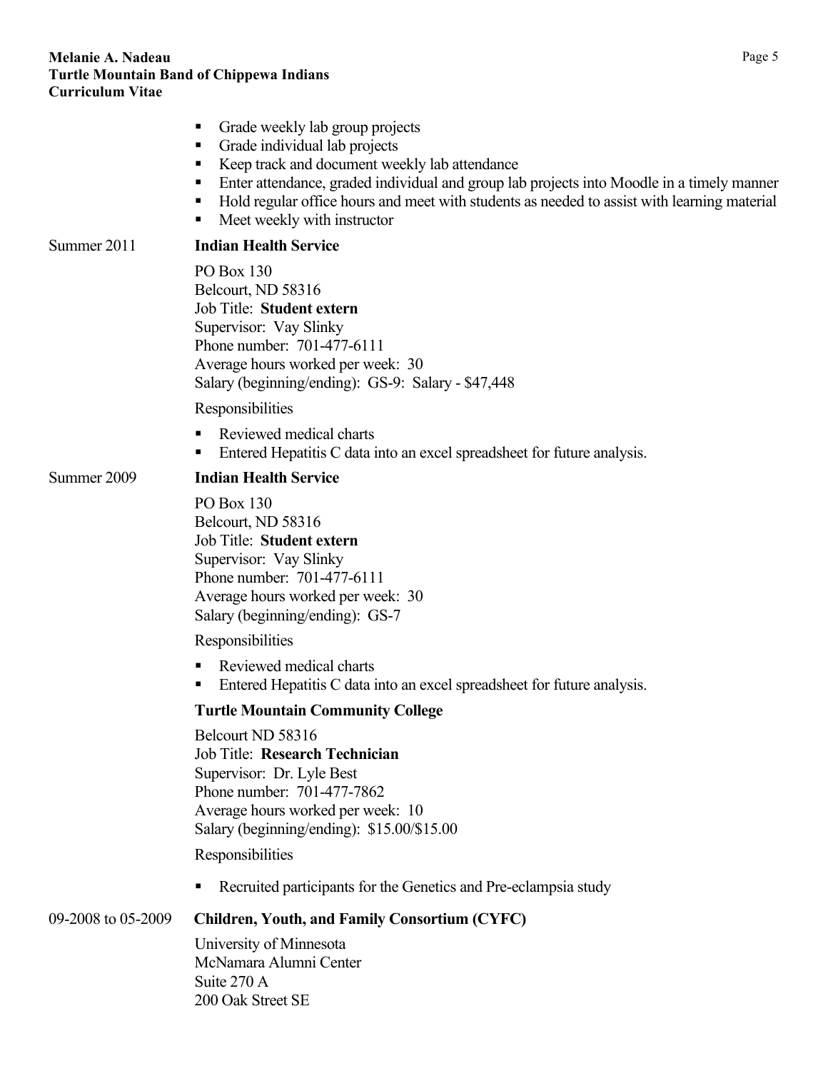|                    | Grade weekly lab group projects<br>Grade individual lab projects<br>Keep track and document weekly lab attendance<br>п<br>Enter attendance, graded individual and group lab projects into Moodle in a timely manner<br>ш<br>Hold regular office hours and meet with students as needed to assist with learning material<br>п<br>Meet weekly with instructor<br>п |
|--------------------|------------------------------------------------------------------------------------------------------------------------------------------------------------------------------------------------------------------------------------------------------------------------------------------------------------------------------------------------------------------|
| Summer 2011        | <b>Indian Health Service</b>                                                                                                                                                                                                                                                                                                                                     |
|                    | PO Box 130<br>Belcourt, ND 58316<br>Job Title: Student extern<br>Supervisor: Vay Slinky<br>Phone number: 701-477-6111<br>Average hours worked per week: 30<br>Salary (beginning/ending): GS-9: Salary - \$47,448                                                                                                                                                 |
|                    | Responsibilities                                                                                                                                                                                                                                                                                                                                                 |
|                    | Reviewed medical charts<br>ш<br>Entered Hepatitis C data into an excel spreadsheet for future analysis.                                                                                                                                                                                                                                                          |
| Summer 2009        | <b>Indian Health Service</b>                                                                                                                                                                                                                                                                                                                                     |
|                    | PO Box 130<br>Belcourt, ND 58316<br>Job Title: Student extern<br>Supervisor: Vay Slinky<br>Phone number: 701-477-6111<br>Average hours worked per week: 30<br>Salary (beginning/ending): GS-7                                                                                                                                                                    |
|                    | Responsibilities                                                                                                                                                                                                                                                                                                                                                 |
|                    | Reviewed medical charts<br>Entered Hepatitis C data into an excel spreadsheet for future analysis.<br>п                                                                                                                                                                                                                                                          |
|                    | <b>Turtle Mountain Community College</b>                                                                                                                                                                                                                                                                                                                         |
|                    | Belcourt ND 58316<br>Job Title: Research Technician<br>Supervisor: Dr. Lyle Best<br>Phone number: 701-477-7862<br>Average hours worked per week: 10<br>Salary (beginning/ending): \$15.00/\$15.00                                                                                                                                                                |
|                    | Responsibilities                                                                                                                                                                                                                                                                                                                                                 |
|                    | Recruited participants for the Genetics and Pre-eclampsia study                                                                                                                                                                                                                                                                                                  |
| 09-2008 to 05-2009 | <b>Children, Youth, and Family Consortium (CYFC)</b>                                                                                                                                                                                                                                                                                                             |
|                    | University of Minnesota<br>McNamara Alumni Center<br>Suite 270 A<br>200 Oak Street SE                                                                                                                                                                                                                                                                            |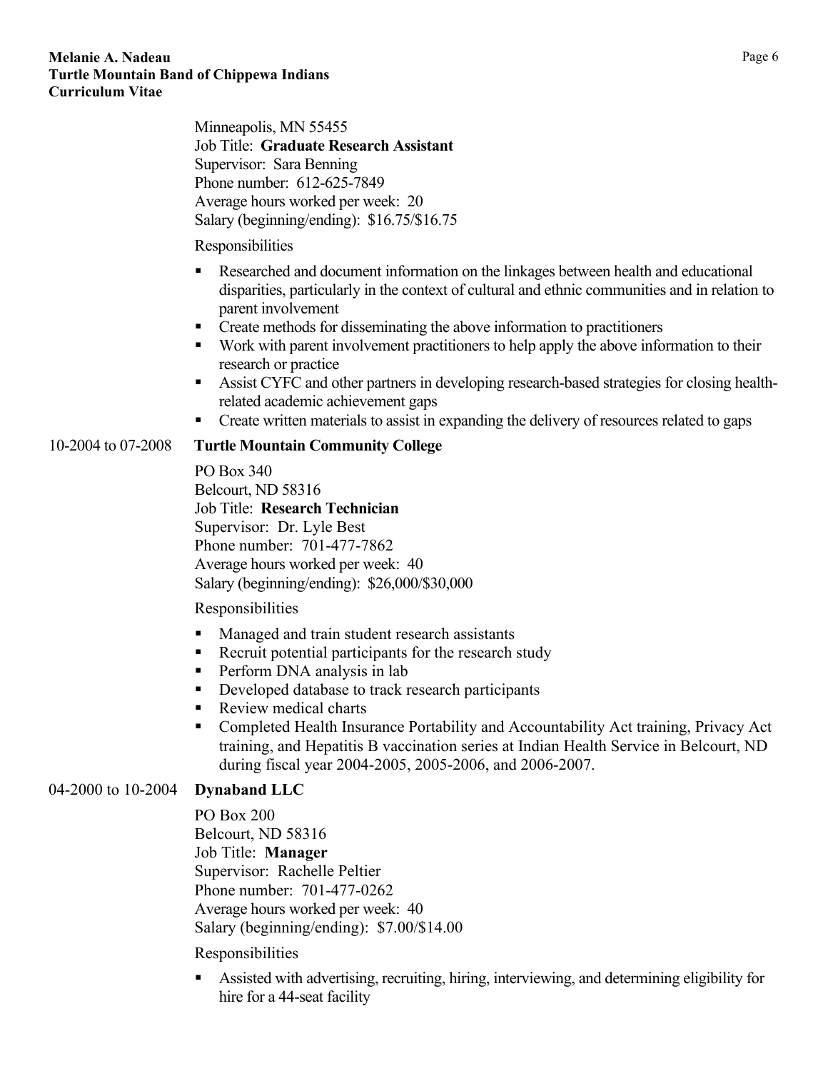Minneapolis, MN 55455 Job Title: **Graduate Research Assistant** Supervisor: Sara Benning Phone number: 612-625-7849 Average hours worked per week: 20 Salary (beginning/ending): \$16.75/\$16.75

#### Responsibilities

- Researched and document information on the linkages between health and educational disparities, particularly in the context of cultural and ethnic communities and in relation to parent involvement
- Create methods for disseminating the above information to practitioners
- Work with parent involvement practitioners to help apply the above information to their research or practice
- Assist CYFC and other partners in developing research-based strategies for closing healthrelated academic achievement gaps
- Create written materials to assist in expanding the delivery of resources related to gaps

### 10-2004 to 07-2008 **Turtle Mountain Community College**

PO Box 340 Belcourt, ND 58316 Job Title: **Research Technician** Supervisor: Dr. Lyle Best Phone number: 701-477-7862 Average hours worked per week: 40 Salary (beginning/ending): \$26,000/\$30,000

Responsibilities

- **Managed and train student research assistants**
- Recruit potential participants for the research study
- **Perform DNA analysis in lab**
- Developed database to track research participants
- Review medical charts
- Completed Health Insurance Portability and Accountability Act training, Privacy Act training, and Hepatitis B vaccination series at Indian Health Service in Belcourt, ND during fiscal year 2004-2005, 2005-2006, and 2006-2007.

### 04-2000 to 10-2004 **Dynaband LLC**

PO Box 200 Belcourt, ND 58316 Job Title: **Manager**  Supervisor: Rachelle Peltier Phone number: 701-477-0262 Average hours worked per week: 40 Salary (beginning/ending): \$7.00/\$14.00

### Responsibilities

 Assisted with advertising, recruiting, hiring, interviewing, and determining eligibility for hire for a 44-seat facility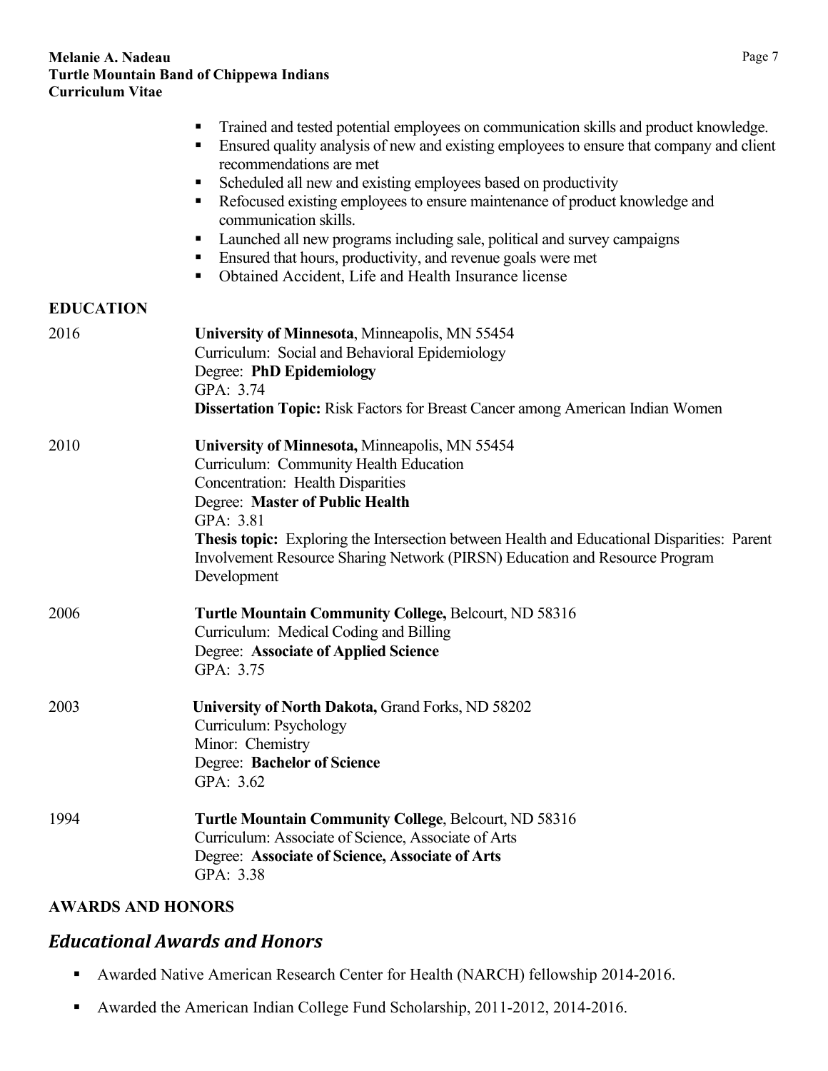<span id="page-6-0"></span>

|                  | Trained and tested potential employees on communication skills and product knowledge.<br>Ensured quality analysis of new and existing employees to ensure that company and client<br>recommendations are met<br>Scheduled all new and existing employees based on productivity<br>п,<br>Refocused existing employees to ensure maintenance of product knowledge and<br>п<br>communication skills.<br>Launched all new programs including sale, political and survey campaigns<br>Ensured that hours, productivity, and revenue goals were met<br>ш<br>Obtained Accident, Life and Health Insurance license<br>п, |
|------------------|------------------------------------------------------------------------------------------------------------------------------------------------------------------------------------------------------------------------------------------------------------------------------------------------------------------------------------------------------------------------------------------------------------------------------------------------------------------------------------------------------------------------------------------------------------------------------------------------------------------|
| <b>EDUCATION</b> |                                                                                                                                                                                                                                                                                                                                                                                                                                                                                                                                                                                                                  |
| 2016             | University of Minnesota, Minneapolis, MN 55454<br>Curriculum: Social and Behavioral Epidemiology<br>Degree: PhD Epidemiology<br>GPA: 3.74<br>Dissertation Topic: Risk Factors for Breast Cancer among American Indian Women                                                                                                                                                                                                                                                                                                                                                                                      |
| 2010             | University of Minnesota, Minneapolis, MN 55454<br>Curriculum: Community Health Education<br><b>Concentration: Health Disparities</b><br>Degree: Master of Public Health<br>GPA: 3.81<br>Thesis topic: Exploring the Intersection between Health and Educational Disparities: Parent<br>Involvement Resource Sharing Network (PIRSN) Education and Resource Program<br>Development                                                                                                                                                                                                                                |
| 2006             | Turtle Mountain Community College, Belcourt, ND 58316<br>Curriculum: Medical Coding and Billing<br><b>Degree: Associate of Applied Science</b><br>GPA: 3.75                                                                                                                                                                                                                                                                                                                                                                                                                                                      |
| 2003             | University of North Dakota, Grand Forks, ND 58202<br>Curriculum: Psychology<br>Minor: Chemistry<br>Degree: Bachelor of Science<br>GPA: 3.62                                                                                                                                                                                                                                                                                                                                                                                                                                                                      |
| 1994             | <b>Turtle Mountain Community College, Belcourt, ND 58316</b><br>Curriculum: Associate of Science, Associate of Arts<br>Degree: Associate of Science, Associate of Arts<br>GPA: 3.38                                                                                                                                                                                                                                                                                                                                                                                                                              |
|                  |                                                                                                                                                                                                                                                                                                                                                                                                                                                                                                                                                                                                                  |

### <span id="page-6-1"></span>**AWARDS AND HONORS**

## <span id="page-6-2"></span>*Educational Awards and Honors*

- Awarded Native American Research Center for Health (NARCH) fellowship 2014-2016.
- Awarded the American Indian College Fund Scholarship, 2011-2012, 2014-2016.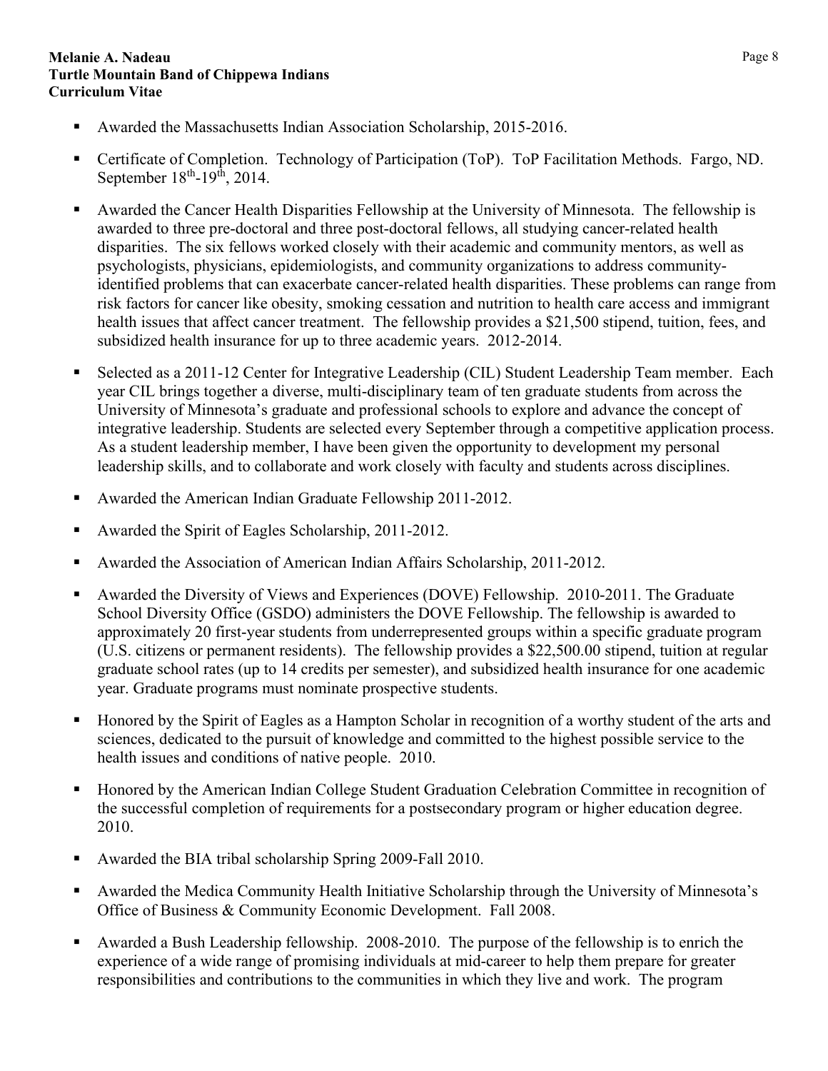- Awarded the Massachusetts Indian Association Scholarship, 2015-2016.
- Certificate of Completion. Technology of Participation (ToP). ToP Facilitation Methods. Fargo, ND. September  $18<sup>th</sup>$ -19<sup>th</sup>, 2014.
- Awarded the Cancer Health Disparities Fellowship at the University of Minnesota. The fellowship is awarded to three pre-doctoral and three post-doctoral fellows, all studying cancer-related health disparities. The six fellows worked closely with their academic and community mentors, as well as psychologists, physicians, epidemiologists, and community organizations to address communityidentified problems that can exacerbate cancer-related health disparities. These problems can range from risk factors for cancer like obesity, smoking cessation and nutrition to health care access and immigrant health issues that affect cancer treatment. The fellowship provides a \$21,500 stipend, tuition, fees, and subsidized health insurance for up to three academic years. 2012-2014.
- Selected as a 2011-12 Center for Integrative Leadership (CIL) Student Leadership Team member. Each year CIL brings together a diverse, multi-disciplinary team of ten graduate students from across the University of Minnesota's graduate and professional schools to explore and advance the concept of integrative leadership. Students are selected every September through a competitive application process. As a student leadership member, I have been given the opportunity to development my personal leadership skills, and to collaborate and work closely with faculty and students across disciplines.
- Awarded the American Indian Graduate Fellowship 2011-2012.
- Awarded the Spirit of Eagles Scholarship, 2011-2012.
- Awarded the Association of American Indian Affairs Scholarship, 2011-2012.
- Awarded the Diversity of Views and Experiences (DOVE) Fellowship. 2010-2011. The Graduate School Diversity Office (GSDO) administers the DOVE Fellowship. The fellowship is awarded to approximately 20 first-year students from underrepresented groups within a specific graduate program (U.S. citizens or permanent residents). The fellowship provides a \$22,500.00 stipend, tuition at regular graduate school rates (up to 14 credits per semester), and subsidized health insurance for one academic year. Graduate programs must nominate prospective students.
- Honored by the Spirit of Eagles as a Hampton Scholar in recognition of a worthy student of the arts and sciences, dedicated to the pursuit of knowledge and committed to the highest possible service to the health issues and conditions of native people. 2010.
- Honored by the American Indian College Student Graduation Celebration Committee in recognition of the successful completion of requirements for a postsecondary program or higher education degree. 2010.
- Awarded the BIA tribal scholarship Spring 2009-Fall 2010.
- Awarded the Medica Community Health Initiative Scholarship through the University of Minnesota's Office of Business & Community Economic Development. Fall 2008.
- Awarded a Bush Leadership fellowship. 2008-2010. The purpose of the fellowship is to enrich the experience of a wide range of promising individuals at mid-career to help them prepare for greater responsibilities and contributions to the communities in which they live and work. The program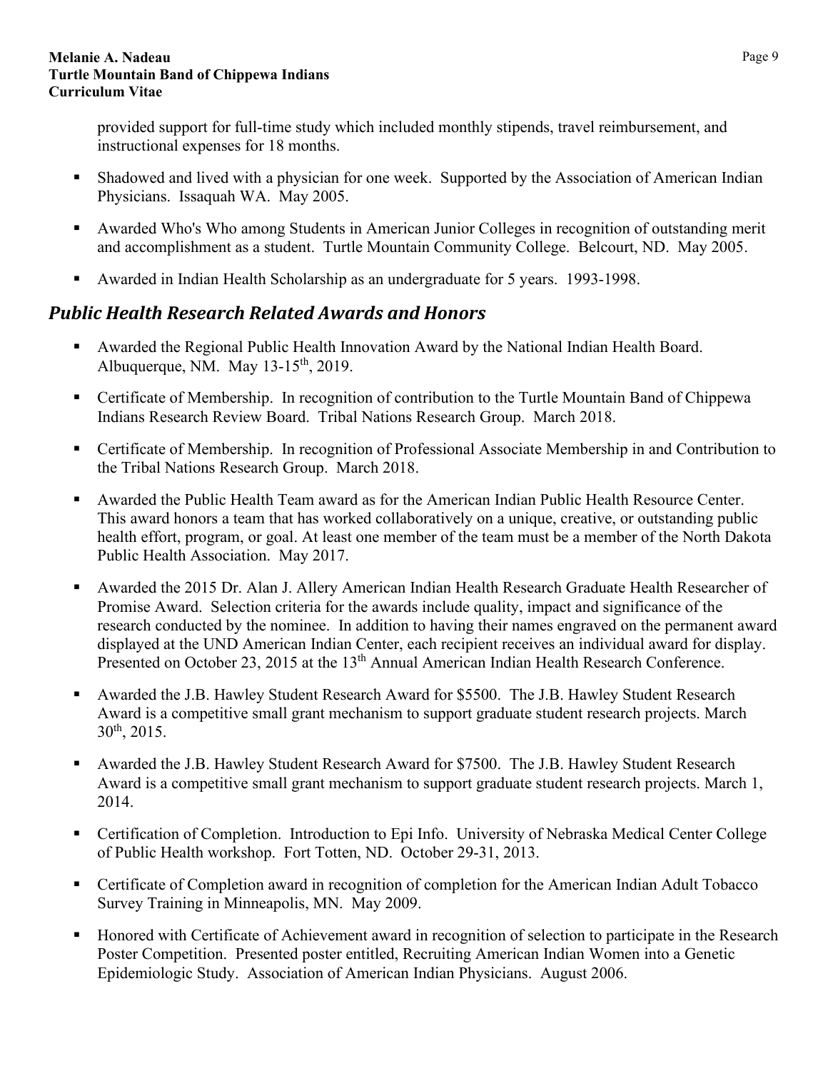provided support for full-time study which included monthly stipends, travel reimbursement, and instructional expenses for 18 months.

- Shadowed and lived with a physician for one week. Supported by the Association of American Indian Physicians. Issaquah WA. May 2005.
- Awarded Who's Who among Students in American Junior Colleges in recognition of outstanding merit and accomplishment as a student. Turtle Mountain Community College. Belcourt, ND. May 2005.
- Awarded in Indian Health Scholarship as an undergraduate for 5 years. 1993-1998.

# <span id="page-8-0"></span>*Public Health Research Related Awards and Honors*

- Awarded the Regional Public Health Innovation Award by the National Indian Health Board. Albuquerque, NM. May 13-15<sup>th</sup>, 2019.
- Certificate of Membership. In recognition of contribution to the Turtle Mountain Band of Chippewa Indians Research Review Board. Tribal Nations Research Group. March 2018.
- Certificate of Membership. In recognition of Professional Associate Membership in and Contribution to the Tribal Nations Research Group. March 2018.
- Awarded the Public Health Team award as for the American Indian Public Health Resource Center. This award honors a team that has worked collaboratively on a unique, creative, or outstanding public health effort, program, or goal. At least one member of the team must be a member of the North Dakota Public Health Association. May 2017.
- Awarded the 2015 Dr. Alan J. Allery American Indian Health Research Graduate Health Researcher of Promise Award. Selection criteria for the awards include quality, impact and significance of the research conducted by the nominee. In addition to having their names engraved on the permanent award displayed at the UND American Indian Center, each recipient receives an individual award for display. Presented on October 23, 2015 at the 13<sup>th</sup> Annual American Indian Health Research Conference.
- Awarded the J.B. Hawley Student Research Award for \$5500. The J.B. Hawley Student Research Award is a competitive small grant mechanism to support graduate student research projects. March 30th, 2015.
- Awarded the J.B. Hawley Student Research Award for \$7500. The J.B. Hawley Student Research Award is a competitive small grant mechanism to support graduate student research projects. March 1, 2014.
- Certification of Completion. Introduction to Epi Info. University of Nebraska Medical Center College of Public Health workshop. Fort Totten, ND. October 29-31, 2013.
- Certificate of Completion award in recognition of completion for the American Indian Adult Tobacco Survey Training in Minneapolis, MN. May 2009.
- Honored with Certificate of Achievement award in recognition of selection to participate in the Research Poster Competition. Presented poster entitled, Recruiting American Indian Women into a Genetic Epidemiologic Study. Association of American Indian Physicians. August 2006.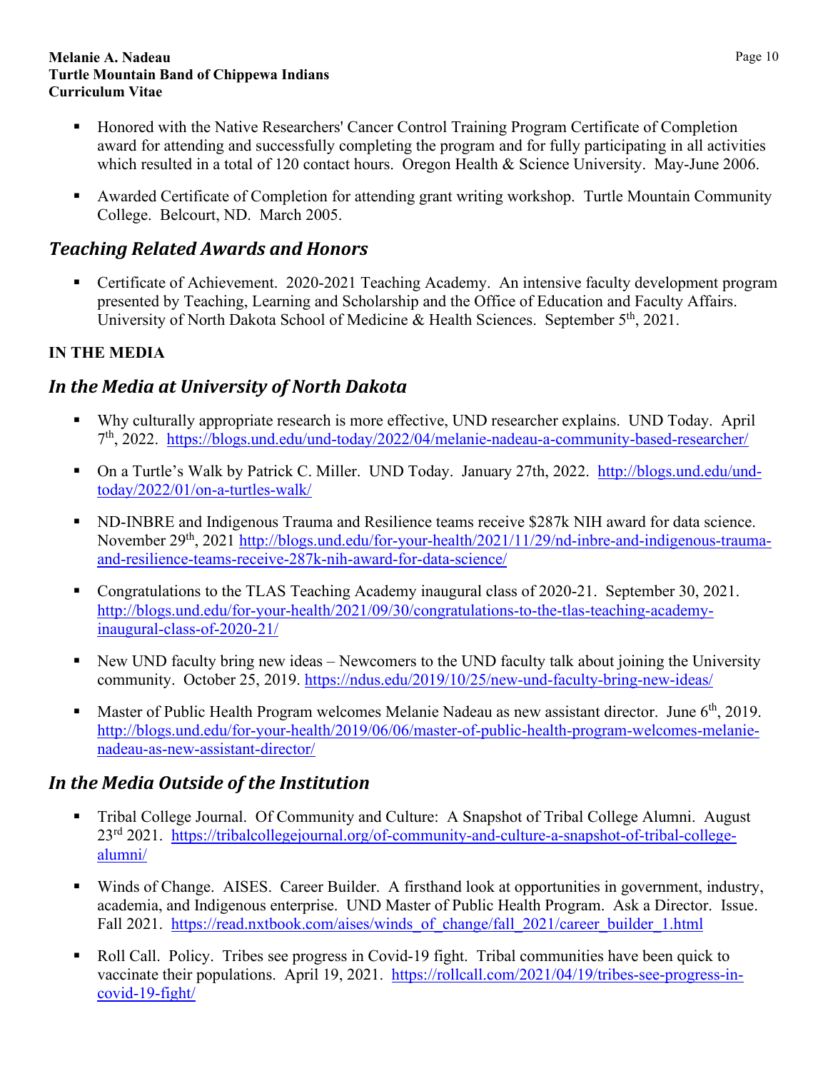- Honored with the Native Researchers' Cancer Control Training Program Certificate of Completion award for attending and successfully completing the program and for fully participating in all activities which resulted in a total of 120 contact hours. Oregon Health & Science University. May-June 2006.
- Awarded Certificate of Completion for attending grant writing workshop. Turtle Mountain Community College. Belcourt, ND. March 2005.

# <span id="page-9-0"></span>*Teaching Related Awards and Honors*

 Certificate of Achievement. 2020-2021 Teaching Academy. An intensive faculty development program presented by Teaching, Learning and Scholarship and the Office of Education and Faculty Affairs. University of North Dakota School of Medicine & Health Sciences. September 5<sup>th</sup>, 2021.

## <span id="page-9-1"></span>**IN THE MEDIA**

# <span id="page-9-2"></span>*In the Media at University of North Dakota*

- Why culturally appropriate research is more effective, UND researcher explains. UND Today. April 7th, 2022. <https://blogs.und.edu/und-today/2022/04/melanie-nadeau-a-community-based-researcher/>
- On a Turtle's Walk by Patrick C. Miller. UND Today. January 27th, 2022. [http://blogs.und.edu/und](http://blogs.und.edu/und-today/2022/01/on-a-turtles-walk/)[today/2022/01/on-a-turtles-walk/](http://blogs.und.edu/und-today/2022/01/on-a-turtles-walk/)
- ND-INBRE and Indigenous Trauma and Resilience teams receive \$287k NIH award for data science. November 29<sup>th</sup>, 2021 [http://blogs.und.edu/for-your-health/2021/11/29/nd-inbre-and-indigenous-trauma](http://blogs.und.edu/for-your-health/2021/11/29/nd-inbre-and-indigenous-trauma-and-resilience-teams-receive-287k-nih-award-for-data-science/)[and-resilience-teams-receive-287k-nih-award-for-data-science/](http://blogs.und.edu/for-your-health/2021/11/29/nd-inbre-and-indigenous-trauma-and-resilience-teams-receive-287k-nih-award-for-data-science/)
- Congratulations to the TLAS Teaching Academy inaugural class of 2020-21. September 30, 2021. [http://blogs.und.edu/for-your-health/2021/09/30/congratulations-to-the-tlas-teaching-academy](http://blogs.und.edu/for-your-health/2021/09/30/congratulations-to-the-tlas-teaching-academy-inaugural-class-of-2020-21/)[inaugural-class-of-2020-21/](http://blogs.und.edu/for-your-health/2021/09/30/congratulations-to-the-tlas-teaching-academy-inaugural-class-of-2020-21/)
- New UND faculty bring new ideas Newcomers to the UND faculty talk about joining the University community. October 25, 2019.<https://ndus.edu/2019/10/25/new-und-faculty-bring-new-ideas/>
- **Master of Public Health Program welcomes Melanie Nadeau as new assistant director.** June  $6<sup>th</sup>$ , 2019. [http://blogs.und.edu/for-your-health/2019/06/06/master-of-public-health-program-welcomes-melanie](http://blogs.und.edu/for-your-health/2019/06/06/master-of-public-health-program-welcomes-melanie-nadeau-as-new-assistant-director/)[nadeau-as-new-assistant-director/](http://blogs.und.edu/for-your-health/2019/06/06/master-of-public-health-program-welcomes-melanie-nadeau-as-new-assistant-director/)

# <span id="page-9-3"></span>*In the Media Outside of the Institution*

- Tribal College Journal. Of Community and Culture: A Snapshot of Tribal College Alumni. August 23rd 2021. [https://tribalcollegejournal.org/of-community-and-culture-a-snapshot-of-tribal-college](https://tribalcollegejournal.org/of-community-and-culture-a-snapshot-of-tribal-college-alumni/)[alumni/](https://tribalcollegejournal.org/of-community-and-culture-a-snapshot-of-tribal-college-alumni/)
- Winds of Change. AISES. Career Builder. A firsthand look at opportunities in government, industry, academia, and Indigenous enterprise. UND Master of Public Health Program. Ask a Director. Issue. Fall 2021. https://read.nxtbook.com/aises/winds\_of\_change/fall\_2021/career\_builder\_1.html
- Roll Call. Policy. Tribes see progress in Covid-19 fight. Tribal communities have been quick to vaccinate their populations. April 19, 2021. [https://rollcall.com/2021/04/19/tribes-see-progress-in](https://rollcall.com/2021/04/19/tribes-see-progress-in-covid-19-fight/)[covid-19-fight/](https://rollcall.com/2021/04/19/tribes-see-progress-in-covid-19-fight/)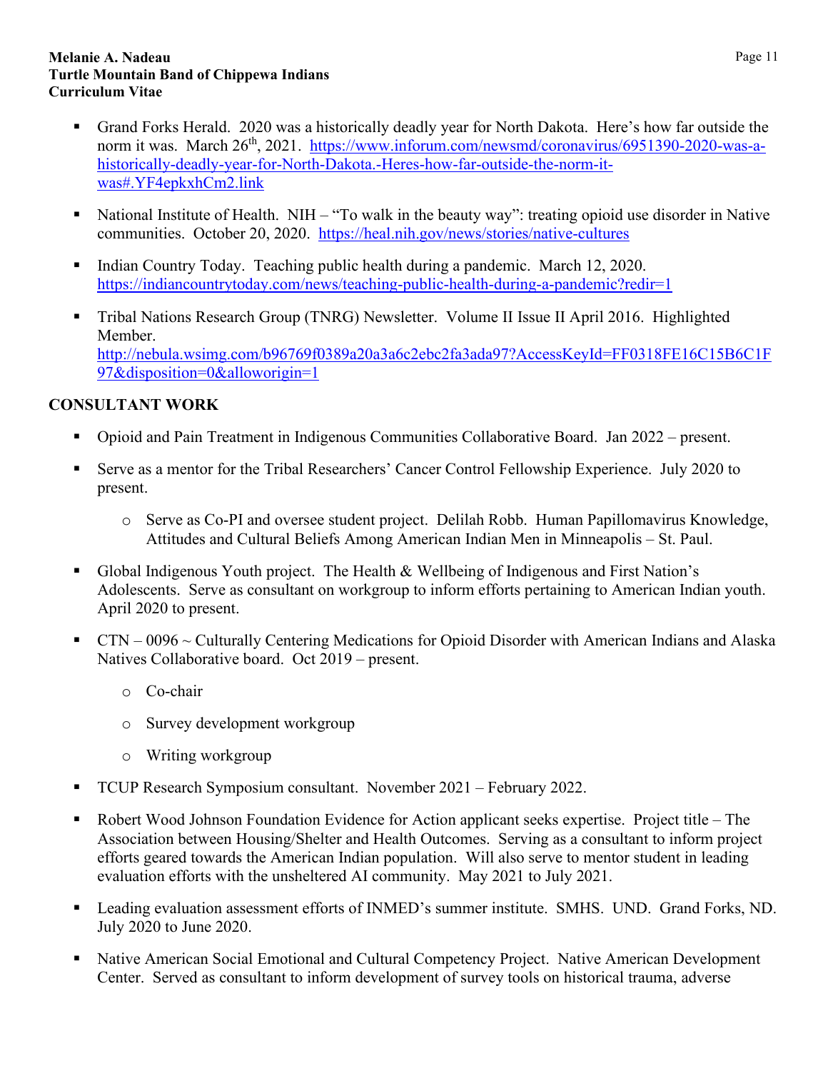- Grand Forks Herald. 2020 was a historically deadly year for North Dakota. Here's how far outside the norm it was. March 26<sup>th</sup>, 2021. [https://www.inforum.com/newsmd/coronavirus/6951390-2020-was-a](https://www.inforum.com/newsmd/coronavirus/6951390-2020-was-a-historically-deadly-year-for-North-Dakota.-Heres-how-far-outside-the-norm-it-was#.YF4epkxhCm2.link)[historically-deadly-year-for-North-Dakota.-Heres-how-far-outside-the-norm-it](https://www.inforum.com/newsmd/coronavirus/6951390-2020-was-a-historically-deadly-year-for-North-Dakota.-Heres-how-far-outside-the-norm-it-was#.YF4epkxhCm2.link)[was#.YF4epkxhCm2.link](https://www.inforum.com/newsmd/coronavirus/6951390-2020-was-a-historically-deadly-year-for-North-Dakota.-Heres-how-far-outside-the-norm-it-was#.YF4epkxhCm2.link)
- National Institute of Health. NIH "To walk in the beauty way": treating opioid use disorder in Native communities. October 20, 2020. <https://heal.nih.gov/news/stories/native-cultures>
- Indian Country Today. Teaching public health during a pandemic. March 12, 2020. <https://indiancountrytoday.com/news/teaching-public-health-during-a-pandemic?redir=1>
- Tribal Nations Research Group (TNRG) Newsletter. Volume II Issue II April 2016. Highlighted Member. [http://nebula.wsimg.com/b96769f0389a20a3a6c2ebc2fa3ada97?AccessKeyId=FF0318FE16C15B6C1F](http://nebula.wsimg.com/b96769f0389a20a3a6c2ebc2fa3ada97?AccessKeyId=FF0318FE16C15B6C1F97&disposition=0&alloworigin=1) [97&disposition=0&alloworigin=1](http://nebula.wsimg.com/b96769f0389a20a3a6c2ebc2fa3ada97?AccessKeyId=FF0318FE16C15B6C1F97&disposition=0&alloworigin=1)

## <span id="page-10-0"></span>**CONSULTANT WORK**

- Opioid and Pain Treatment in Indigenous Communities Collaborative Board. Jan 2022 present.
- Serve as a mentor for the Tribal Researchers' Cancer Control Fellowship Experience. July 2020 to present.
	- o Serve as Co-PI and oversee student project. Delilah Robb. Human Papillomavirus Knowledge, Attitudes and Cultural Beliefs Among American Indian Men in Minneapolis – St. Paul.
- Global Indigenous Youth project. The Health & Wellbeing of Indigenous and First Nation's Adolescents. Serve as consultant on workgroup to inform efforts pertaining to American Indian youth. April 2020 to present.
- $\blacksquare$  CTN 0096 ~ Culturally Centering Medications for Opioid Disorder with American Indians and Alaska Natives Collaborative board. Oct 2019 – present.
	- o Co-chair
	- o Survey development workgroup
	- o Writing workgroup
- TCUP Research Symposium consultant. November 2021 February 2022.
- Robert Wood Johnson Foundation Evidence for Action applicant seeks expertise. Project title The Association between Housing/Shelter and Health Outcomes. Serving as a consultant to inform project efforts geared towards the American Indian population. Will also serve to mentor student in leading evaluation efforts with the unsheltered AI community. May 2021 to July 2021.
- Leading evaluation assessment efforts of INMED's summer institute. SMHS. UND. Grand Forks, ND. July 2020 to June 2020.
- Native American Social Emotional and Cultural Competency Project. Native American Development Center. Served as consultant to inform development of survey tools on historical trauma, adverse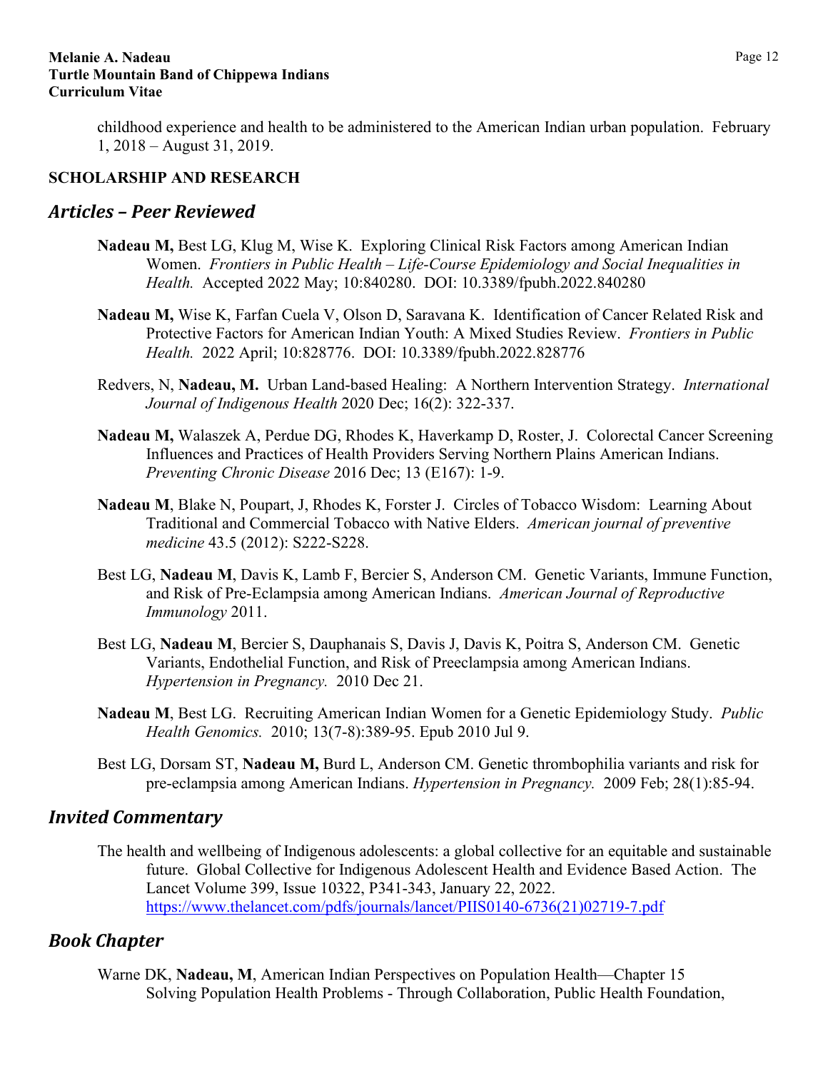childhood experience and health to be administered to the American Indian urban population. February 1, 2018 – August 31, 2019.

### <span id="page-11-0"></span>**SCHOLARSHIP AND RESEARCH**

## <span id="page-11-1"></span>*Articles – Peer Reviewed*

- **Nadeau M,** Best LG, Klug M, Wise K. Exploring Clinical Risk Factors among American Indian Women. *Frontiers in Public Health – Life-Course Epidemiology and Social Inequalities in Health.* Accepted 2022 May; 10:840280. DOI: 10.3389/fpubh.2022.840280
- **Nadeau M,** Wise K, Farfan Cuela V, Olson D, Saravana K. Identification of Cancer Related Risk and Protective Factors for American Indian Youth: A Mixed Studies Review. *Frontiers in Public Health.* 2022 April; 10:828776. DOI: 10.3389/fpubh.2022.828776
- Redvers, N, **Nadeau, M.** Urban Land-based Healing: A Northern Intervention Strategy. *International Journal of Indigenous Health* 2020 Dec; 16(2): 322-337.
- **Nadeau M,** Walaszek A, Perdue DG, Rhodes K, Haverkamp D, Roster, J. Colorectal Cancer Screening Influences and Practices of Health Providers Serving Northern Plains American Indians. *Preventing Chronic Disease* 2016 Dec; 13 (E167): 1-9.
- **Nadeau M**, Blake N, Poupart, J, Rhodes K, Forster J. Circles of Tobacco Wisdom: Learning About Traditional and Commercial Tobacco with Native Elders. *American journal of preventive medicine* 43.5 (2012): S222-S228.
- Best LG, **Nadeau M**, Davis K, Lamb F, Bercier S, Anderson CM. Genetic Variants, Immune Function, and Risk of Pre-Eclampsia among American Indians. *American Journal of Reproductive Immunology* 2011.
- Best LG, **Nadeau M**, Bercier S, Dauphanais S, Davis J, Davis K, Poitra S, Anderson CM. Genetic Variants, Endothelial Function, and Risk of Preeclampsia among American Indians. *Hypertension in Pregnancy.* 2010 Dec 21.
- **Nadeau M**, Best LG. Recruiting American Indian Women for a Genetic Epidemiology Study. *Public Health Genomics.* 2010; 13(7-8):389-95. Epub 2010 Jul 9.
- Best LG, Dorsam ST, **Nadeau M,** Burd L, Anderson CM. Genetic thrombophilia variants and risk for pre-eclampsia among American Indians. *Hypertension in Pregnancy.* 2009 Feb; 28(1):85-94.

## <span id="page-11-2"></span>*Invited Commentary*

The health and wellbeing of Indigenous adolescents: a global collective for an equitable and sustainable future. Global Collective for Indigenous Adolescent Health and Evidence Based Action. The Lancet Volume 399, Issue 10322, P341-343, January 22, 2022. [https://www.thelancet.com/pdfs/journals/lancet/PIIS0140-6736\(21\)02719-7.pdf](https://www.thelancet.com/pdfs/journals/lancet/PIIS0140-6736(21)02719-7.pdf) 

## <span id="page-11-3"></span>*Book Chapter*

Warne DK, **Nadeau, M**, American Indian Perspectives on Population Health—Chapter 15 Solving Population Health Problems - Through Collaboration, Public Health Foundation,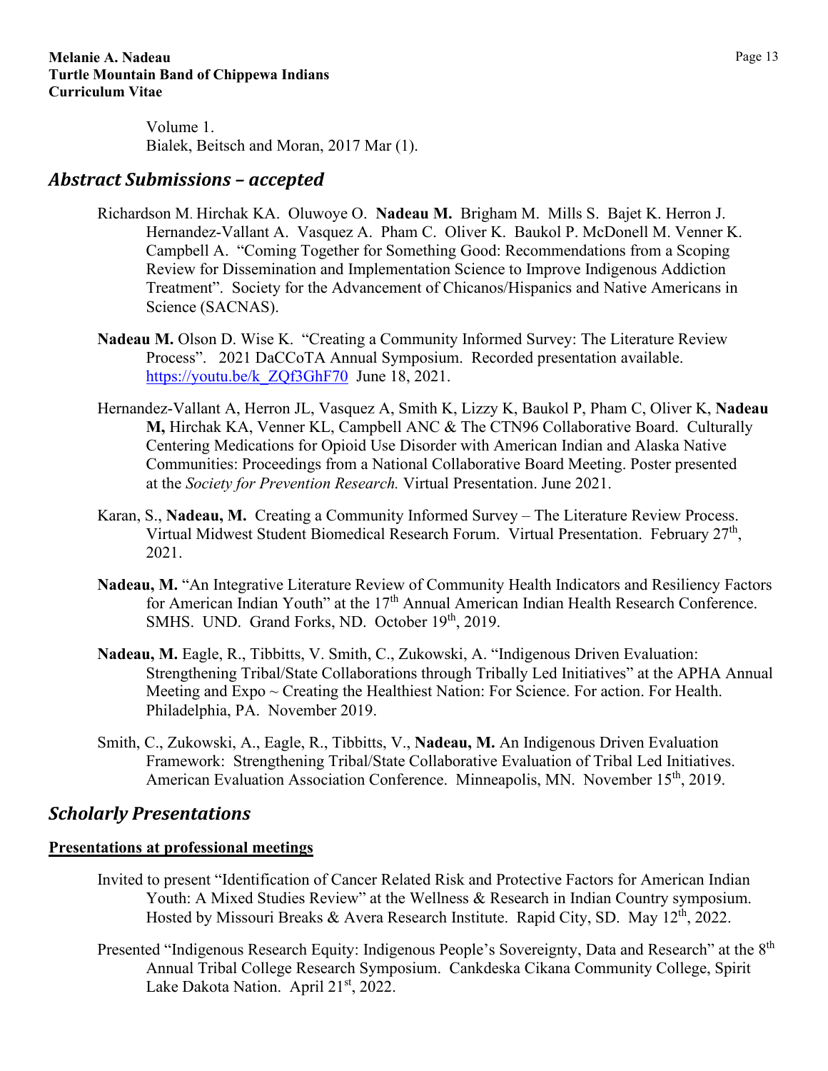Volume 1. Bialek, Beitsch and Moran, 2017 Mar (1).

## <span id="page-12-0"></span>*Abstract Submissions – accepted*

- Richardson M. Hirchak KA. Oluwoye O. **Nadeau M.** Brigham M. Mills S. Bajet K. Herron J. Hernandez-Vallant A. Vasquez A. Pham C. Oliver K. Baukol P. McDonell M. Venner K. Campbell A. "Coming Together for Something Good: Recommendations from a Scoping Review for Dissemination and Implementation Science to Improve Indigenous Addiction Treatment". Society for the Advancement of Chicanos/Hispanics and Native Americans in Science (SACNAS).
- **Nadeau M.** Olson D. Wise K. "Creating a Community Informed Survey: The Literature Review Process". 2021 DaCCoTA Annual Symposium. Recorded presentation available. https://youtu.be/k ZQf3GhF70 June 18, 2021.
- Hernandez-Vallant A, Herron JL, Vasquez A, Smith K, Lizzy K, Baukol P, Pham C, Oliver K, **Nadeau M,** Hirchak KA, Venner KL, Campbell ANC & The CTN96 Collaborative Board. Culturally Centering Medications for Opioid Use Disorder with American Indian and Alaska Native Communities: Proceedings from a National Collaborative Board Meeting. Poster presented at the *Society for Prevention Research.* Virtual Presentation. June 2021.
- Karan, S., **Nadeau, M.** Creating a Community Informed Survey The Literature Review Process. Virtual Midwest Student Biomedical Research Forum. Virtual Presentation. February 27th, 2021.
- **Nadeau, M.** "An Integrative Literature Review of Community Health Indicators and Resiliency Factors for American Indian Youth" at the 17<sup>th</sup> Annual American Indian Health Research Conference. SMHS. UND. Grand Forks, ND. October 19th, 2019.
- **Nadeau, M.** Eagle, R., Tibbitts, V. Smith, C., Zukowski, A. "Indigenous Driven Evaluation: Strengthening Tribal/State Collaborations through Tribally Led Initiatives" at the APHA Annual Meeting and  $Expo \sim$  Creating the Healthiest Nation: For Science. For action. For Health. Philadelphia, PA. November 2019.
- Smith, C., Zukowski, A., Eagle, R., Tibbitts, V., **Nadeau, M.** An Indigenous Driven Evaluation Framework: Strengthening Tribal/State Collaborative Evaluation of Tribal Led Initiatives. American Evaluation Association Conference. Minneapolis, MN. November 15<sup>th</sup>, 2019.

## <span id="page-12-1"></span>*Scholarly Presentations*

## **Presentations at professional meetings**

- Invited to present "Identification of Cancer Related Risk and Protective Factors for American Indian Youth: A Mixed Studies Review" at the Wellness & Research in Indian Country symposium. Hosted by Missouri Breaks & Avera Research Institute. Rapid City, SD. May  $12<sup>th</sup>$ , 2022.
- Presented "Indigenous Research Equity: Indigenous People's Sovereignty, Data and Research" at the 8<sup>th</sup> Annual Tribal College Research Symposium. Cankdeska Cikana Community College, Spirit Lake Dakota Nation. April 21<sup>st</sup>, 2022.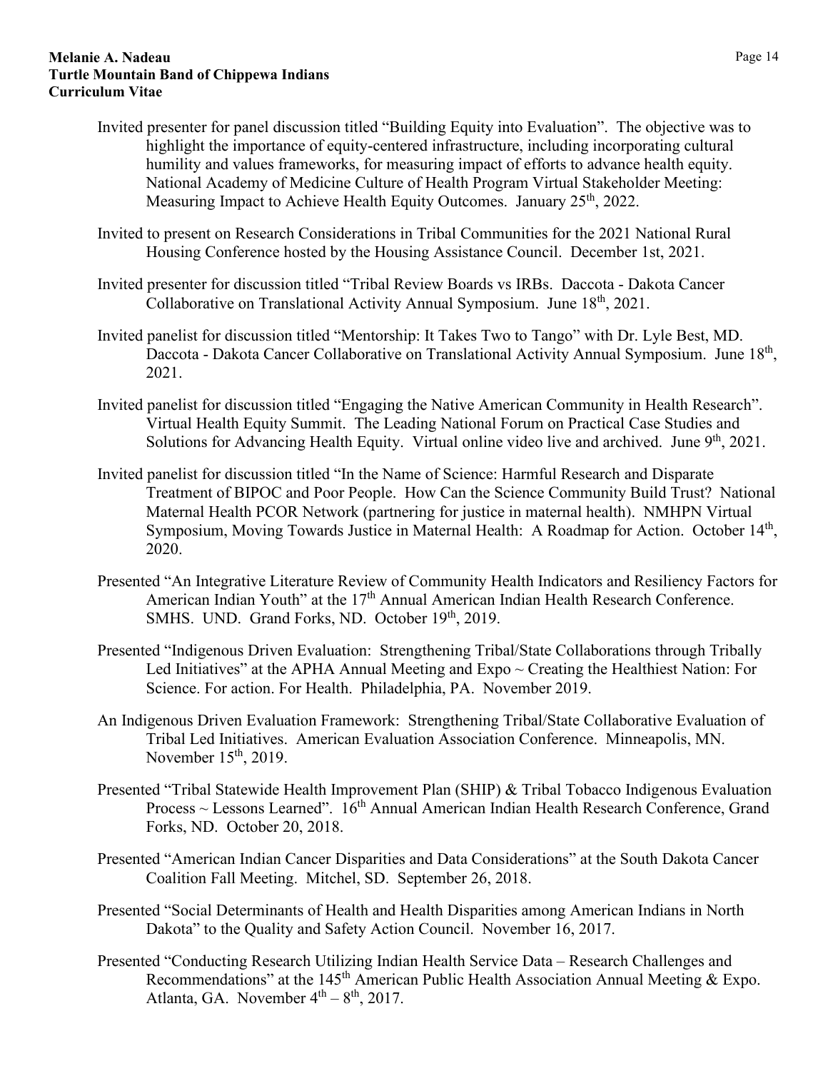- Invited presenter for panel discussion titled "Building Equity into Evaluation". The objective was to highlight the importance of equity-centered infrastructure, including incorporating cultural humility and values frameworks, for measuring impact of efforts to advance health equity. National Academy of Medicine Culture of Health Program Virtual Stakeholder Meeting: Measuring Impact to Achieve Health Equity Outcomes. January 25<sup>th</sup>, 2022.
- Invited to present on Research Considerations in Tribal Communities for the 2021 National Rural Housing Conference hosted by the Housing Assistance Council. December 1st, 2021.
- Invited presenter for discussion titled "Tribal Review Boards vs IRBs. Daccota Dakota Cancer Collaborative on Translational Activity Annual Symposium. June 18<sup>th</sup>, 2021.
- Invited panelist for discussion titled "Mentorship: It Takes Two to Tango" with Dr. Lyle Best, MD. Daccota - Dakota Cancer Collaborative on Translational Activity Annual Symposium. June 18<sup>th</sup>, 2021.
- Invited panelist for discussion titled "Engaging the Native American Community in Health Research". Virtual Health Equity Summit. The Leading National Forum on Practical Case Studies and Solutions for Advancing Health Equity. Virtual online video live and archived. June 9<sup>th</sup>, 2021.
- Invited panelist for discussion titled "In the Name of Science: Harmful Research and Disparate Treatment of BIPOC and Poor People. How Can the Science Community Build Trust? National Maternal Health PCOR Network (partnering for justice in maternal health). NMHPN Virtual Symposium, Moving Towards Justice in Maternal Health: A Roadmap for Action. October 14<sup>th</sup>, 2020.
- Presented "An Integrative Literature Review of Community Health Indicators and Resiliency Factors for American Indian Youth" at the 17<sup>th</sup> Annual American Indian Health Research Conference. SMHS. UND. Grand Forks, ND. October 19<sup>th</sup>, 2019.
- Presented "Indigenous Driven Evaluation: Strengthening Tribal/State Collaborations through Tribally Led Initiatives" at the APHA Annual Meeting and  $Expo \sim$  Creating the Healthiest Nation: For Science. For action. For Health. Philadelphia, PA. November 2019.
- An Indigenous Driven Evaluation Framework: Strengthening Tribal/State Collaborative Evaluation of Tribal Led Initiatives. American Evaluation Association Conference. Minneapolis, MN. November 15<sup>th</sup>, 2019.
- Presented "Tribal Statewide Health Improvement Plan (SHIP) & Tribal Tobacco Indigenous Evaluation Process ~ Lessons Learned". 16<sup>th</sup> Annual American Indian Health Research Conference, Grand Forks, ND. October 20, 2018.
- Presented "American Indian Cancer Disparities and Data Considerations" at the South Dakota Cancer Coalition Fall Meeting. Mitchel, SD. September 26, 2018.
- Presented "Social Determinants of Health and Health Disparities among American Indians in North Dakota" to the Quality and Safety Action Council. November 16, 2017.
- Presented "Conducting Research Utilizing Indian Health Service Data Research Challenges and Recommendations" at the 145<sup>th</sup> American Public Health Association Annual Meeting  $\&$  Expo. Atlanta, GA. November  $4<sup>th</sup> - 8<sup>th</sup>$ , 2017.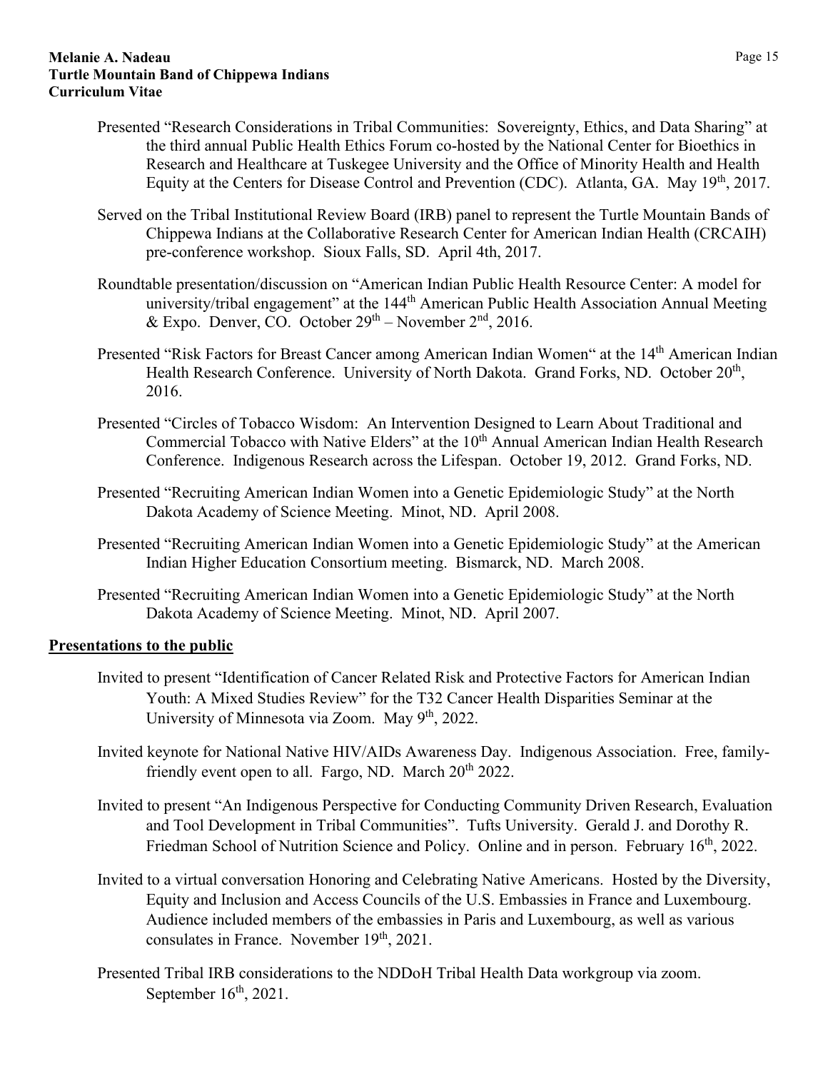- Presented "Research Considerations in Tribal Communities: Sovereignty, Ethics, and Data Sharing" at the third annual Public Health Ethics Forum co-hosted by the National Center for Bioethics in Research and Healthcare at Tuskegee University and the Office of Minority Health and Health Equity at the Centers for Disease Control and Prevention (CDC). Atlanta, GA. May 19<sup>th</sup>, 2017.
- Served on the Tribal Institutional Review Board (IRB) panel to represent the Turtle Mountain Bands of Chippewa Indians at the Collaborative Research Center for American Indian Health (CRCAIH) pre-conference workshop. Sioux Falls, SD. April 4th, 2017.
- Roundtable presentation/discussion on "American Indian Public Health Resource Center: A model for university/tribal engagement" at the 144<sup>th</sup> American Public Health Association Annual Meeting & Expo. Denver, CO. October  $29<sup>th</sup>$  – November  $2<sup>nd</sup>$ , 2016.
- Presented "Risk Factors for Breast Cancer among American Indian Women" at the 14<sup>th</sup> American Indian Health Research Conference. University of North Dakota. Grand Forks, ND. October 20<sup>th</sup>, 2016.
- Presented "Circles of Tobacco Wisdom: An Intervention Designed to Learn About Traditional and Commercial Tobacco with Native Elders" at the 10<sup>th</sup> Annual American Indian Health Research Conference. Indigenous Research across the Lifespan. October 19, 2012. Grand Forks, ND.
- Presented "Recruiting American Indian Women into a Genetic Epidemiologic Study" at the North Dakota Academy of Science Meeting. Minot, ND. April 2008.
- Presented "Recruiting American Indian Women into a Genetic Epidemiologic Study" at the American Indian Higher Education Consortium meeting. Bismarck, ND. March 2008.
- Presented "Recruiting American Indian Women into a Genetic Epidemiologic Study" at the North Dakota Academy of Science Meeting. Minot, ND. April 2007.

### **Presentations to the public**

- Invited to present "Identification of Cancer Related Risk and Protective Factors for American Indian Youth: A Mixed Studies Review" for the T32 Cancer Health Disparities Seminar at the University of Minnesota via Zoom. May 9<sup>th</sup>, 2022.
- Invited keynote for National Native HIV/AIDs Awareness Day. Indigenous Association. Free, familyfriendly event open to all. Fargo, ND. March  $20^{th}$  2022.
- Invited to present "An Indigenous Perspective for Conducting Community Driven Research, Evaluation and Tool Development in Tribal Communities". Tufts University. Gerald J. and Dorothy R. Friedman School of Nutrition Science and Policy. Online and in person. February 16<sup>th</sup>, 2022.
- Invited to a virtual conversation Honoring and Celebrating Native Americans. Hosted by the Diversity, Equity and Inclusion and Access Councils of the U.S. Embassies in France and Luxembourg. Audience included members of the embassies in Paris and Luxembourg, as well as various consulates in France. November  $19<sup>th</sup>$ , 2021.
- Presented Tribal IRB considerations to the NDDoH Tribal Health Data workgroup via zoom. September  $16<sup>th</sup>$ , 2021.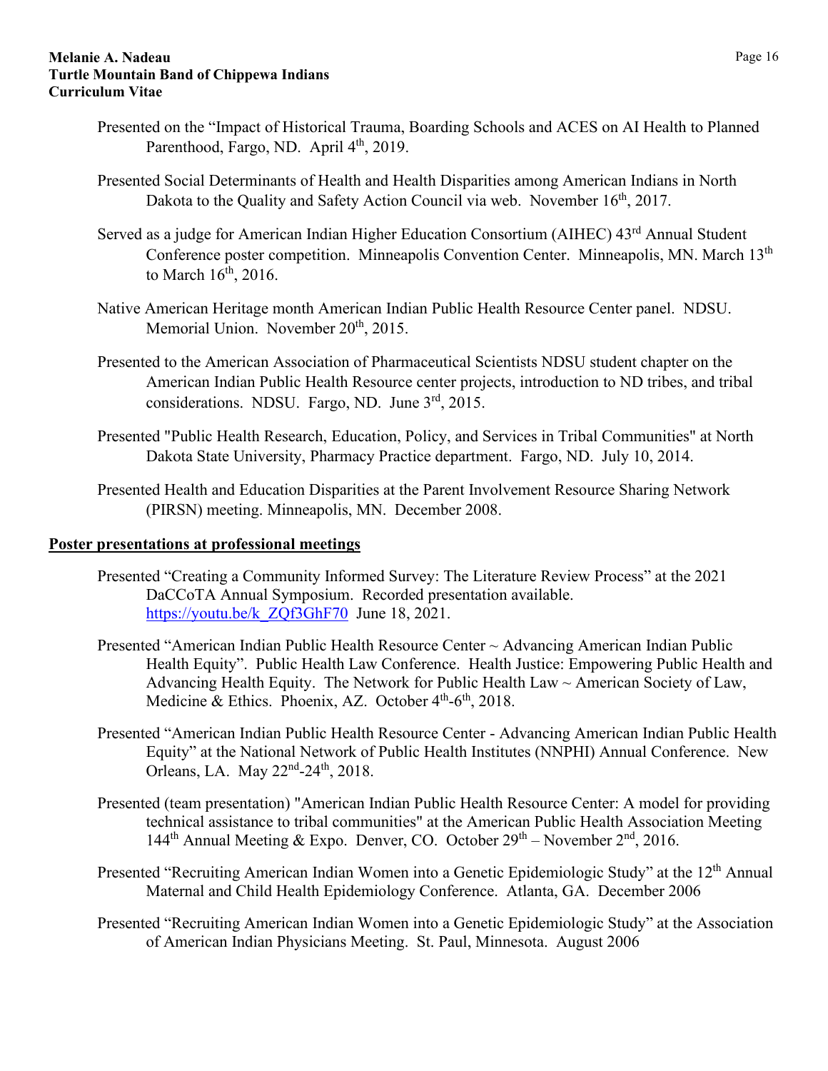- Presented on the "Impact of Historical Trauma, Boarding Schools and ACES on AI Health to Planned Parenthood, Fargo, ND. April 4<sup>th</sup>, 2019.
- Presented Social Determinants of Health and Health Disparities among American Indians in North Dakota to the Quality and Safety Action Council via web. November 16<sup>th</sup>, 2017.
- Served as a judge for American Indian Higher Education Consortium (AIHEC) 43<sup>rd</sup> Annual Student Conference poster competition. Minneapolis Convention Center. Minneapolis, MN. March 13<sup>th</sup> to March  $16<sup>th</sup>$ , 2016.
- Native American Heritage month American Indian Public Health Resource Center panel. NDSU. Memorial Union. November  $20<sup>th</sup>$ , 2015.
- Presented to the American Association of Pharmaceutical Scientists NDSU student chapter on the American Indian Public Health Resource center projects, introduction to ND tribes, and tribal considerations. NDSU. Fargo, ND. June 3rd, 2015.
- Presented "Public Health Research, Education, Policy, and Services in Tribal Communities" at North Dakota State University, Pharmacy Practice department. Fargo, ND. July 10, 2014.
- Presented Health and Education Disparities at the Parent Involvement Resource Sharing Network (PIRSN) meeting. Minneapolis, MN. December 2008.

### **Poster presentations at professional meetings**

- Presented "Creating a Community Informed Survey: The Literature Review Process" at the 2021 DaCCoTA Annual Symposium. Recorded presentation available. https://youtu.be/k ZQf3GhF70 June 18, 2021.
- Presented "American Indian Public Health Resource Center ~ Advancing American Indian Public Health Equity". Public Health Law Conference. Health Justice: Empowering Public Health and Advancing Health Equity. The Network for Public Health Law ~ American Society of Law, Medicine & Ethics. Phoenix, AZ. October  $4<sup>th</sup>$ -6<sup>th</sup>, 2018.
- Presented "American Indian Public Health Resource Center Advancing American Indian Public Health Equity" at the National Network of Public Health Institutes (NNPHI) Annual Conference. New Orleans, LA. May  $22<sup>nd</sup> - 24<sup>th</sup>$ , 2018.
- Presented (team presentation) "American Indian Public Health Resource Center: A model for providing technical assistance to tribal communities" at the American Public Health Association Meeting 144<sup>th</sup> Annual Meeting & Expo. Denver, CO. October  $29<sup>th</sup>$  – November  $2<sup>nd</sup>$ , 2016.
- Presented "Recruiting American Indian Women into a Genetic Epidemiologic Study" at the 12<sup>th</sup> Annual Maternal and Child Health Epidemiology Conference. Atlanta, GA. December 2006
- Presented "Recruiting American Indian Women into a Genetic Epidemiologic Study" at the Association of American Indian Physicians Meeting. St. Paul, Minnesota. August 2006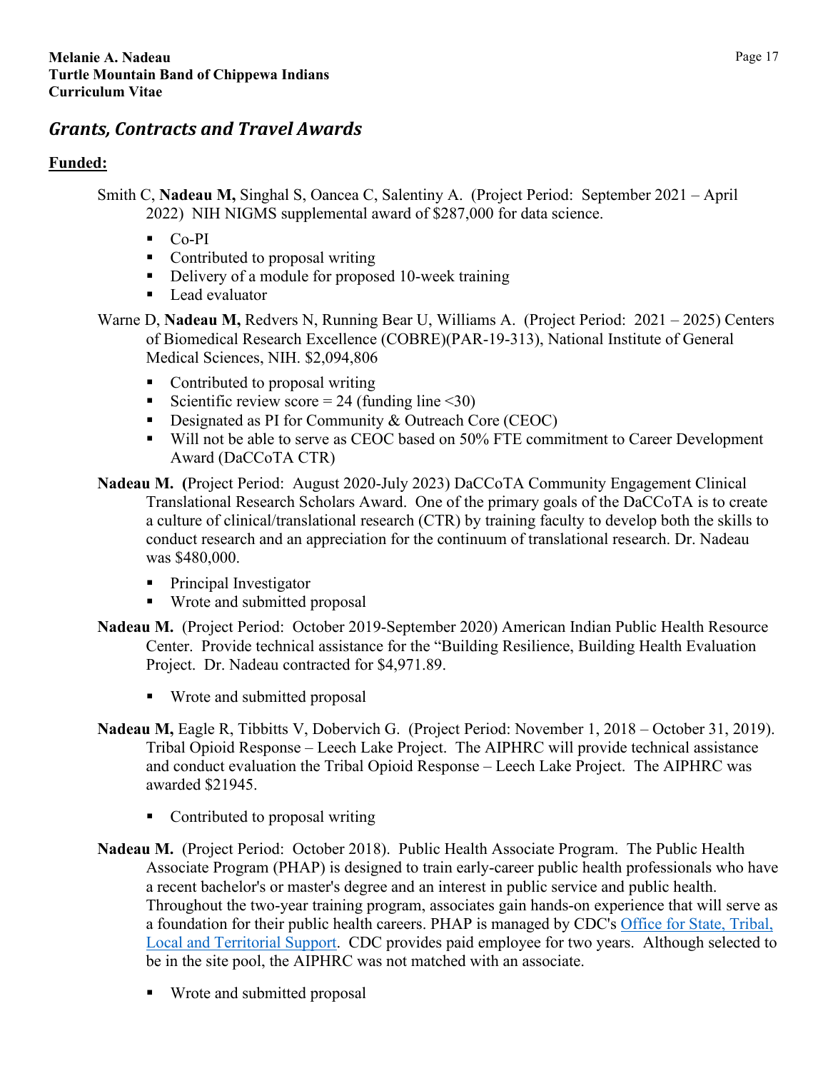# <span id="page-16-0"></span>*Grants, Contracts and Travel Awards*

## **Funded:**

- Smith C, **Nadeau M,** Singhal S, Oancea C, Salentiny A. (Project Period: September 2021 April 2022) NIH NIGMS supplemental award of \$287,000 for data science.
	- $CO-PI$
	- Contributed to proposal writing
	- Delivery of a module for proposed 10-week training
	- Lead evaluator
- Warne D, **Nadeau M,** Redvers N, Running Bear U, Williams A. (Project Period: 2021 2025) Centers of Biomedical Research Excellence (COBRE)(PAR-19-313), National Institute of General Medical Sciences, NIH. \$2,094,806
	- Contributed to proposal writing
	- Scientific review score = 24 (funding line  $\leq 30$ )
	- Designated as PI for Community  $&$  Outreach Core (CEOC)
	- Will not be able to serve as CEOC based on 50% FTE commitment to Career Development Award (DaCCoTA CTR)
- **Nadeau M. (**Project Period: August 2020-July 2023) DaCCoTA Community Engagement Clinical Translational Research Scholars Award. One of the primary goals of the DaCCoTA is to create a culture of clinical/translational research (CTR) by training faculty to develop both the skills to conduct research and an appreciation for the continuum of translational research. Dr. Nadeau was \$480,000.
	- Principal Investigator
	- Wrote and submitted proposal
- **Nadeau M.** (Project Period: October 2019-September 2020) American Indian Public Health Resource Center. Provide technical assistance for the "Building Resilience, Building Health Evaluation Project. Dr. Nadeau contracted for \$4,971.89.
	- Wrote and submitted proposal
- **Nadeau M,** Eagle R, Tibbitts V, Dobervich G. (Project Period: November 1, 2018 October 31, 2019). Tribal Opioid Response – Leech Lake Project. The AIPHRC will provide technical assistance and conduct evaluation the Tribal Opioid Response – Leech Lake Project. The AIPHRC was awarded \$21945.
	- Contributed to proposal writing
- **Nadeau M.** (Project Period: October 2018). Public Health Associate Program. The Public Health Associate Program (PHAP) is designed to train early-career public health professionals who have a recent bachelor's or master's degree and an interest in public service and public health. Throughout the two-year training program, associates gain hands-on experience that will serve as a foundation for their public health careers. PHAP is managed by CDC's [Office for State, Tribal,](https://www.cdc.gov/stltpublichealth/aboutostlts/index.html)  [Local and Territorial Support.](https://www.cdc.gov/stltpublichealth/aboutostlts/index.html) CDC provides paid employee for two years. Although selected to be in the site pool, the AIPHRC was not matched with an associate.
	- **Wrote and submitted proposal**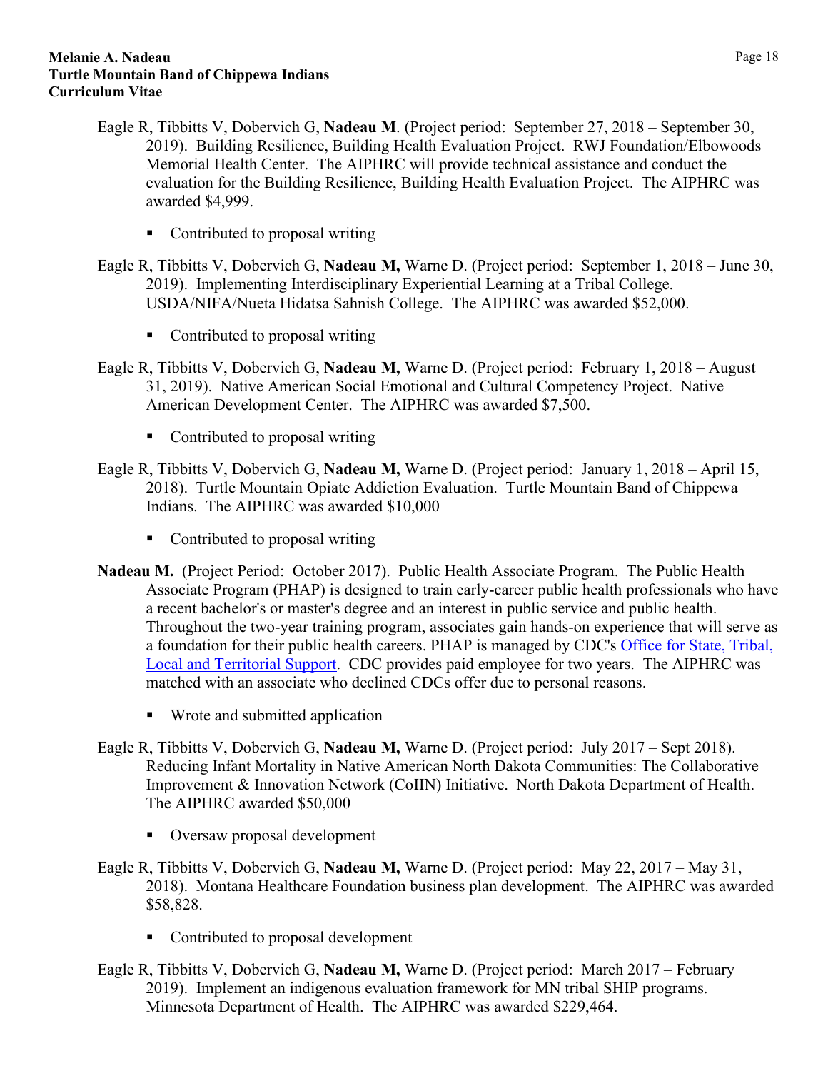- Eagle R, Tibbitts V, Dobervich G, **Nadeau M**. (Project period: September 27, 2018 September 30, 2019). Building Resilience, Building Health Evaluation Project. RWJ Foundation/Elbowoods Memorial Health Center. The AIPHRC will provide technical assistance and conduct the evaluation for the Building Resilience, Building Health Evaluation Project. The AIPHRC was awarded \$4,999.
	- Contributed to proposal writing
- Eagle R, Tibbitts V, Dobervich G, **Nadeau M,** Warne D. (Project period: September 1, 2018 June 30, 2019). Implementing Interdisciplinary Experiential Learning at a Tribal College. USDA/NIFA/Nueta Hidatsa Sahnish College. The AIPHRC was awarded \$52,000.
	- Contributed to proposal writing
- Eagle R, Tibbitts V, Dobervich G, **Nadeau M,** Warne D. (Project period: February 1, 2018 August 31, 2019). Native American Social Emotional and Cultural Competency Project. Native American Development Center. The AIPHRC was awarded \$7,500.
	- Contributed to proposal writing
- Eagle R, Tibbitts V, Dobervich G, **Nadeau M,** Warne D. (Project period: January 1, 2018 April 15, 2018). Turtle Mountain Opiate Addiction Evaluation. Turtle Mountain Band of Chippewa Indians. The AIPHRC was awarded \$10,000
	- Contributed to proposal writing
- **Nadeau M.** (Project Period: October 2017). Public Health Associate Program. The Public Health Associate Program (PHAP) is designed to train early-career public health professionals who have a recent bachelor's or master's degree and an interest in public service and public health. Throughout the two-year training program, associates gain hands-on experience that will serve as a foundation for their public health careers. PHAP is managed by CDC's [Office for State, Tribal,](https://www.cdc.gov/stltpublichealth/aboutostlts/index.html)  [Local and Territorial Support.](https://www.cdc.gov/stltpublichealth/aboutostlts/index.html) CDC provides paid employee for two years. The AIPHRC was matched with an associate who declined CDCs offer due to personal reasons.
	- Wrote and submitted application
- Eagle R, Tibbitts V, Dobervich G, **Nadeau M,** Warne D. (Project period: July 2017 Sept 2018). Reducing Infant Mortality in Native American North Dakota Communities: The Collaborative Improvement & Innovation Network (CoIIN) Initiative. North Dakota Department of Health. The AIPHRC awarded \$50,000
	- Oversaw proposal development
- Eagle R, Tibbitts V, Dobervich G, **Nadeau M,** Warne D. (Project period: May 22, 2017 May 31, 2018). Montana Healthcare Foundation business plan development. The AIPHRC was awarded \$58,828.
	- Contributed to proposal development
- Eagle R, Tibbitts V, Dobervich G, **Nadeau M,** Warne D. (Project period: March 2017 February 2019). Implement an indigenous evaluation framework for MN tribal SHIP programs. Minnesota Department of Health. The AIPHRC was awarded \$229,464.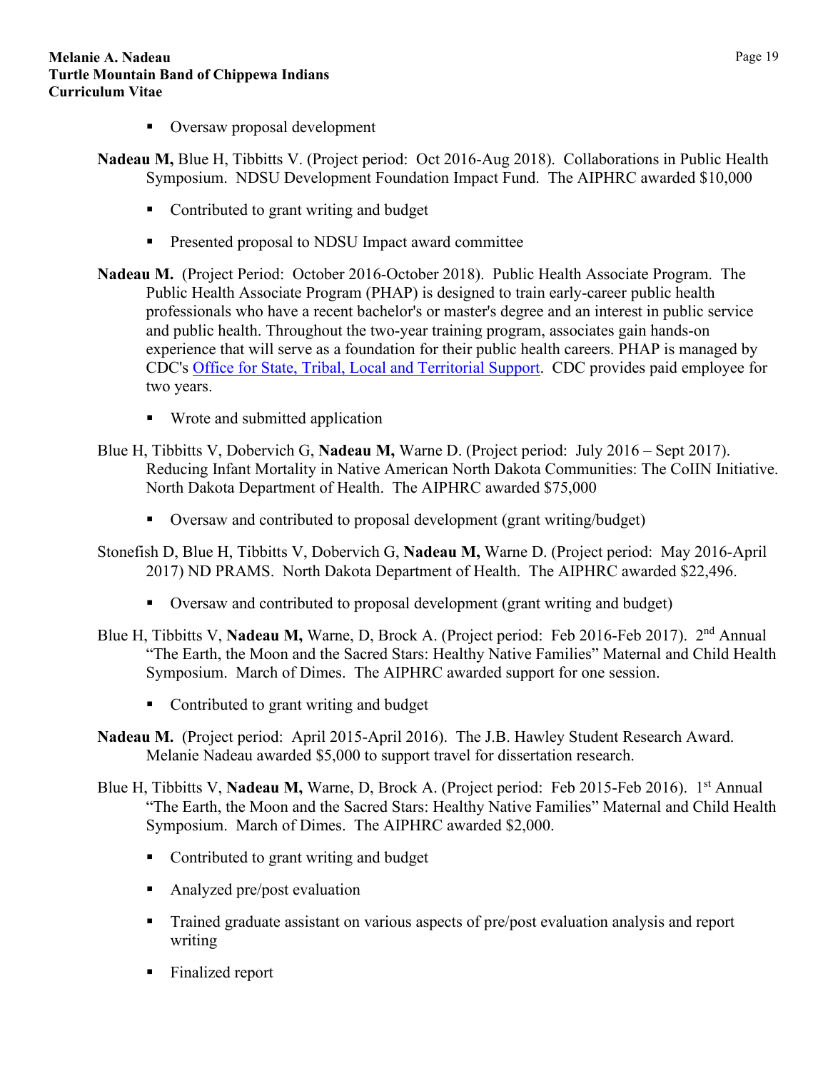- Oversaw proposal development
- **Nadeau M,** Blue H, Tibbitts V. (Project period: Oct 2016-Aug 2018). Collaborations in Public Health Symposium. NDSU Development Foundation Impact Fund. The AIPHRC awarded \$10,000
	- Contributed to grant writing and budget
	- **Presented proposal to NDSU Impact award committee**
- **Nadeau M.** (Project Period: October 2016-October 2018). Public Health Associate Program. The Public Health Associate Program (PHAP) is designed to train early-career public health professionals who have a recent bachelor's or master's degree and an interest in public service and public health. Throughout the two-year training program, associates gain hands-on experience that will serve as a foundation for their public health careers. PHAP is managed by CDC's [Office for State, Tribal, Local and Territorial Support.](https://www.cdc.gov/stltpublichealth/aboutostlts/index.html) CDC provides paid employee for two years.
	- Wrote and submitted application
- Blue H, Tibbitts V, Dobervich G, **Nadeau M,** Warne D. (Project period: July 2016 Sept 2017). Reducing Infant Mortality in Native American North Dakota Communities: The CoIIN Initiative. North Dakota Department of Health. The AIPHRC awarded \$75,000
	- Oversaw and contributed to proposal development (grant writing/budget)
- Stonefish D, Blue H, Tibbitts V, Dobervich G, **Nadeau M,** Warne D. (Project period: May 2016-April 2017) ND PRAMS. North Dakota Department of Health. The AIPHRC awarded \$22,496.
	- Oversaw and contributed to proposal development (grant writing and budget)
- Blue H, Tibbitts V, **Nadeau M,** Warne, D, Brock A. (Project period: Feb 2016-Feb 2017). 2nd Annual "The Earth, the Moon and the Sacred Stars: Healthy Native Families" Maternal and Child Health Symposium. March of Dimes. The AIPHRC awarded support for one session.
	- Contributed to grant writing and budget
- **Nadeau M.** (Project period: April 2015-April 2016). The J.B. Hawley Student Research Award. Melanie Nadeau awarded \$5,000 to support travel for dissertation research.
- Blue H, Tibbitts V, Nadeau M, Warne, D, Brock A. (Project period: Feb 2015-Feb 2016). 1<sup>st</sup> Annual "The Earth, the Moon and the Sacred Stars: Healthy Native Families" Maternal and Child Health Symposium. March of Dimes. The AIPHRC awarded \$2,000.
	- Contributed to grant writing and budget
	- Analyzed pre/post evaluation
	- Trained graduate assistant on various aspects of pre/post evaluation analysis and report writing
	- Finalized report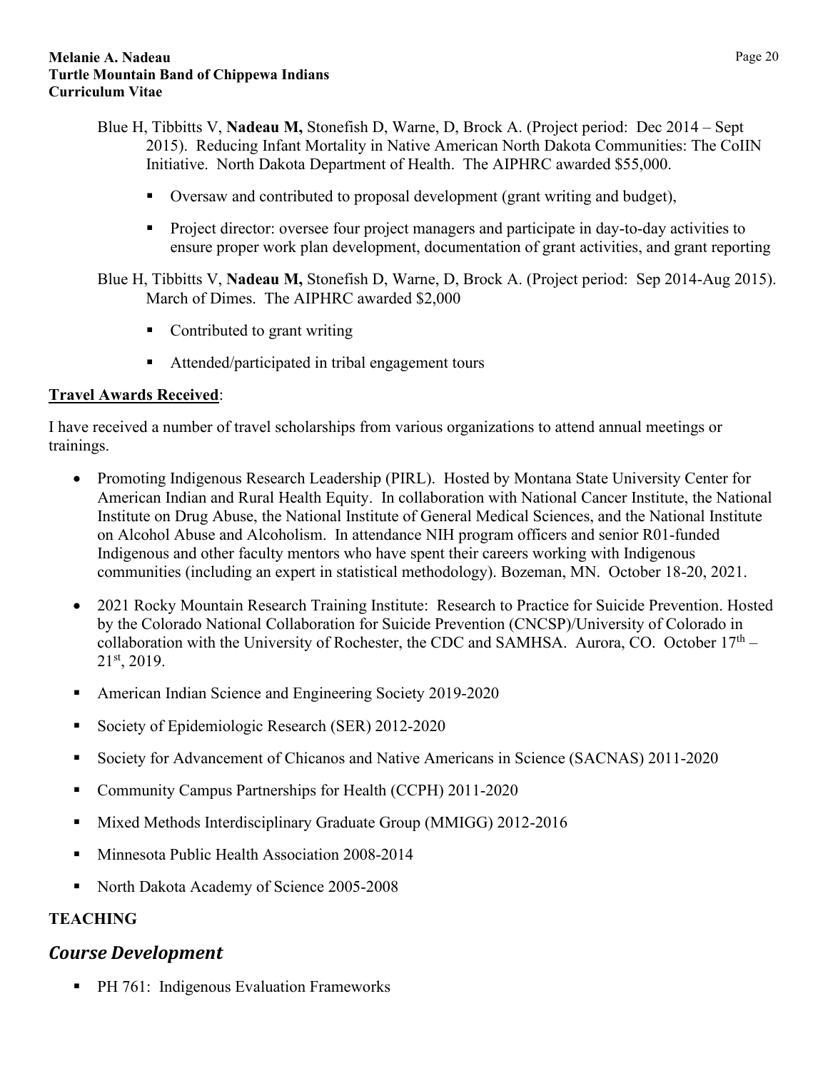- Blue H, Tibbitts V, **Nadeau M,** Stonefish D, Warne, D, Brock A. (Project period: Dec 2014 Sept 2015). Reducing Infant Mortality in Native American North Dakota Communities: The CoIIN Initiative. North Dakota Department of Health. The AIPHRC awarded \$55,000.
	- Oversaw and contributed to proposal development (grant writing and budget),
	- **Project director:** oversee four project managers and participate in day-to-day activities to ensure proper work plan development, documentation of grant activities, and grant reporting

Blue H, Tibbitts V, **Nadeau M,** Stonefish D, Warne, D, Brock A. (Project period: Sep 2014-Aug 2015). March of Dimes. The AIPHRC awarded \$2,000

- Contributed to grant writing
- Attended/participated in tribal engagement tours

### **Travel Awards Received**:

I have received a number of travel scholarships from various organizations to attend annual meetings or trainings.

- Promoting Indigenous Research Leadership (PIRL). Hosted by Montana State University Center for American Indian and Rural Health Equity. In collaboration with National Cancer Institute, the National Institute on Drug Abuse, the National Institute of General Medical Sciences, and the National Institute on Alcohol Abuse and Alcoholism. In attendance NIH program officers and senior R01-funded Indigenous and other faculty mentors who have spent their careers working with Indigenous communities (including an expert in statistical methodology). Bozeman, MN. October 18-20, 2021.
- 2021 Rocky Mountain Research Training Institute: Research to Practice for Suicide Prevention. Hosted by the Colorado National Collaboration for Suicide Prevention (CNCSP)/University of Colorado in collaboration with the University of Rochester, the CDC and SAMHSA. Aurora, CO. October  $17<sup>th</sup>$  – 21st, 2019.
- American Indian Science and Engineering Society 2019-2020
- Society of Epidemiologic Research (SER) 2012-2020
- Society for Advancement of Chicanos and Native Americans in Science (SACNAS) 2011-2020
- Community Campus Partnerships for Health (CCPH) 2011-2020
- **Mixed Methods Interdisciplinary Graduate Group (MMIGG) 2012-2016**
- **Minnesota Public Health Association 2008-2014**
- North Dakota Academy of Science 2005-2008

## <span id="page-19-0"></span>**TEACHING**

## <span id="page-19-1"></span>*Course Development*

**PH 761: Indigenous Evaluation Frameworks**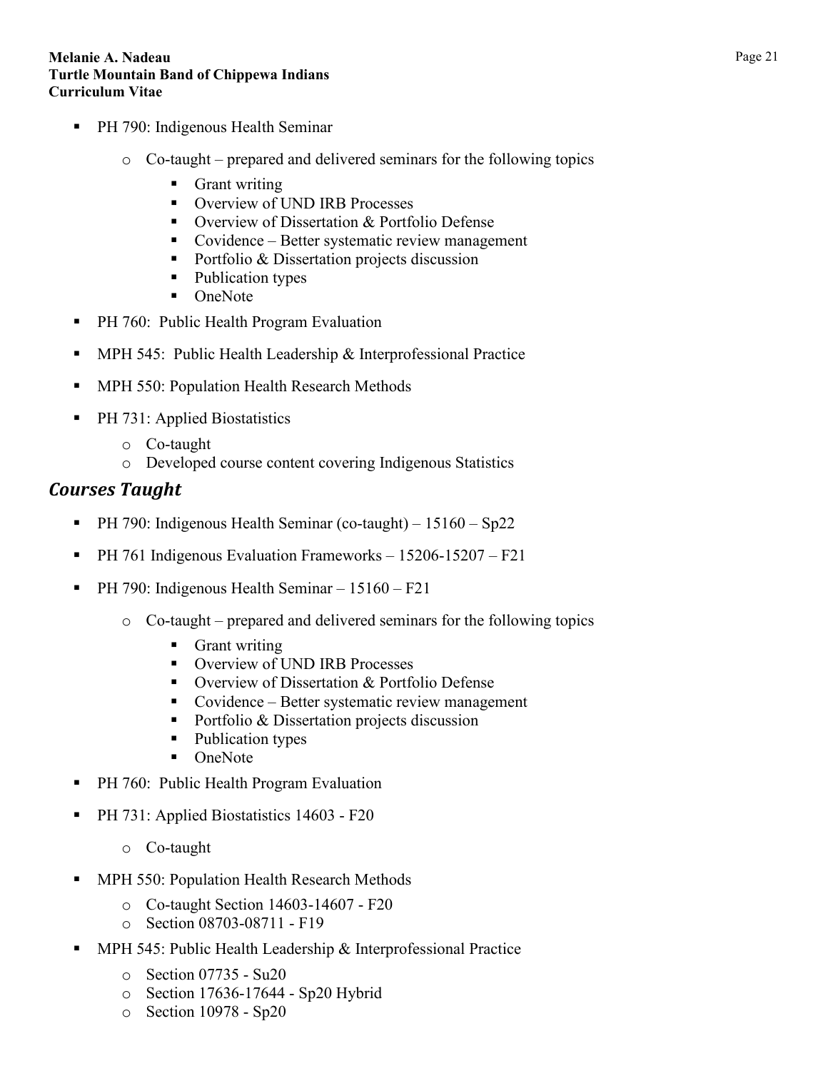- **PH 790: Indigenous Health Seminar** 
	- o Co-taught prepared and delivered seminars for the following topics
		- **Grant writing**
		- **Overview of UND IRB Processes**
		- Overview of Dissertation & Portfolio Defense
		- Covidence Better systematic review management
		- Portfolio & Dissertation projects discussion
		- Publication types
		- OneNote
- PH 760: Public Health Program Evaluation
- MPH 545: Public Health Leadership & Interprofessional Practice
- MPH 550: Population Health Research Methods
- PH 731: Applied Biostatistics
	- o Co-taught
	- o Developed course content covering Indigenous Statistics

## <span id="page-20-0"></span>*Courses Taught*

- **PH 790: Indigenous Health Seminar (co-taught)**  $15160 Sp22$
- PH 761 Indigenous Evaluation Frameworks 15206-15207 F21
- PH 790: Indigenous Health Seminar 15160 F21
	- o Co-taught prepared and delivered seminars for the following topics
		- **Grant writing**
		- **Overview of UND IRB Processes**
		- Overview of Dissertation & Portfolio Defense
		- Covidence Better systematic review management
		- Portfolio & Dissertation projects discussion
		- Publication types
		- OneNote
- PH 760: Public Health Program Evaluation
- PH 731: Applied Biostatistics 14603 F20
	- o Co-taught
- MPH 550: Population Health Research Methods
	- o Co-taught Section 14603-14607 F20
	- o Section 08703-08711 F19
- MPH 545: Public Health Leadership & Interprofessional Practice
	- o Section 07735 Su20
	- o Section 17636-17644 Sp20 Hybrid
	- o Section 10978 Sp20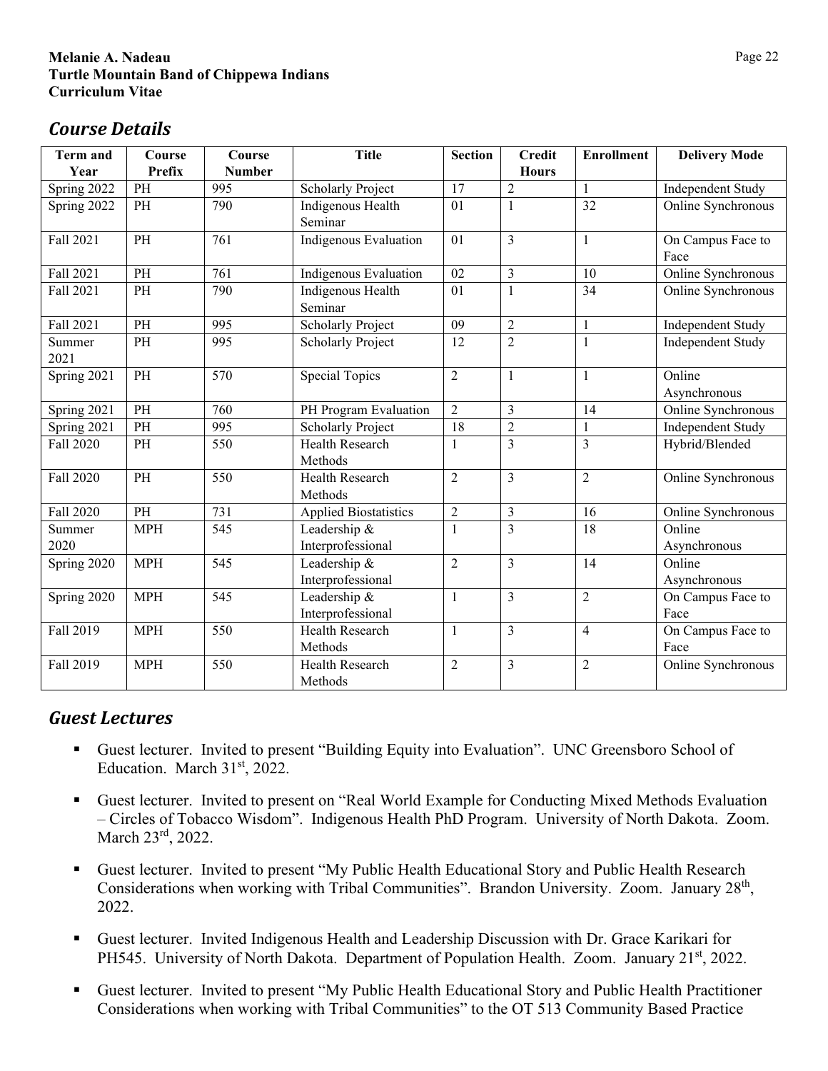# <span id="page-21-0"></span>*Course Details*

| <b>Term and</b>  | Course        | Course        | <b>Title</b>                 | <b>Section</b> | <b>Credit</b>  | <b>Enrollment</b> | <b>Delivery Mode</b> |
|------------------|---------------|---------------|------------------------------|----------------|----------------|-------------------|----------------------|
| Year             | <b>Prefix</b> | <b>Number</b> |                              |                | <b>Hours</b>   |                   |                      |
| Spring 2022      | PH            | 995           | <b>Scholarly Project</b>     | 17             | $\sqrt{2}$     | $\mathbf{1}$      | Independent Study    |
| Spring 2022      | PH            | 790           | Indigenous Health            | 01             | 1              | 32                | Online Synchronous   |
|                  |               |               | Seminar                      |                |                |                   |                      |
| Fall 2021        | PH            | 761           | Indigenous Evaluation        | 01             | 3              | $\mathbf{1}$      | On Campus Face to    |
|                  |               |               |                              |                |                |                   | Face                 |
| Fall 2021        | PH            | 761           | Indigenous Evaluation        | 02             | $\overline{3}$ | 10                | Online Synchronous   |
| Fall 2021        | PH            | 790           | Indigenous Health            | 01             | 1              | 34                | Online Synchronous   |
|                  |               |               | Seminar                      |                |                |                   |                      |
| Fall 2021        | PH            | 995           | <b>Scholarly Project</b>     | 09             | $\overline{2}$ | $\mathbf{1}$      | Independent Study    |
| Summer           | PH            | 995           | <b>Scholarly Project</b>     | 12             | $\overline{2}$ | $\mathbf{1}$      | Independent Study    |
| 2021             |               |               |                              |                |                |                   |                      |
| Spring 2021      | PH            | 570           | <b>Special Topics</b>        | $\overline{2}$ | $\mathbf{1}$   | $\mathbf{1}$      | Online               |
|                  |               |               |                              |                |                |                   | Asynchronous         |
| Spring 2021      | PH            | 760           | PH Program Evaluation        | $\overline{2}$ | 3              | 14                | Online Synchronous   |
| Spring 2021      | PH            | 995           | <b>Scholarly Project</b>     | 18             | $\overline{2}$ | $\mathbf{1}$      | Independent Study    |
| <b>Fall 2020</b> | PH            | 550           | <b>Health Research</b>       | 1              | $\overline{3}$ | 3                 | Hybrid/Blended       |
|                  |               |               | Methods                      |                |                |                   |                      |
| <b>Fall 2020</b> | PH            | 550           | Health Research              | $\overline{2}$ | $\overline{3}$ | $\overline{2}$    | Online Synchronous   |
|                  |               |               | Methods                      |                |                |                   |                      |
| <b>Fall 2020</b> | PH            | 731           | <b>Applied Biostatistics</b> | $\overline{2}$ | $\mathfrak{Z}$ | 16                | Online Synchronous   |
| Summer           | <b>MPH</b>    | 545           | Leadership &                 | 1              | 3              | $\overline{18}$   | Online               |
| 2020             |               |               | Interprofessional            |                |                |                   | Asynchronous         |
| Spring 2020      | <b>MPH</b>    | 545           | Leadership &                 | $\overline{2}$ | 3              | 14                | Online               |
|                  |               |               | Interprofessional            |                |                |                   | Asynchronous         |
| Spring 2020      | <b>MPH</b>    | 545           | Leadership &                 | $\mathbf{1}$   | 3              | $\overline{2}$    | On Campus Face to    |
|                  |               |               | Interprofessional            |                |                |                   | Face                 |
| Fall 2019        | <b>MPH</b>    | 550           | <b>Health Research</b>       | $\mathbf{1}$   | $\overline{3}$ | $\overline{4}$    | On Campus Face to    |
|                  |               |               | Methods                      |                |                |                   | Face                 |
| Fall 2019        | <b>MPH</b>    | 550           | Health Research              | $\overline{2}$ | 3              | $\overline{2}$    | Online Synchronous   |
|                  |               |               | Methods                      |                |                |                   |                      |

# <span id="page-21-1"></span>*Guest Lectures*

- Guest lecturer. Invited to present "Building Equity into Evaluation". UNC Greensboro School of Education. March 31st, 2022.
- Guest lecturer. Invited to present on "Real World Example for Conducting Mixed Methods Evaluation – Circles of Tobacco Wisdom". Indigenous Health PhD Program. University of North Dakota. Zoom. March 23rd, 2022.
- Guest lecturer. Invited to present "My Public Health Educational Story and Public Health Research Considerations when working with Tribal Communities". Brandon University. Zoom. January 28<sup>th</sup>, 2022.
- Guest lecturer. Invited Indigenous Health and Leadership Discussion with Dr. Grace Karikari for PH545. University of North Dakota. Department of Population Health. Zoom. January 21<sup>st</sup>, 2022.
- Guest lecturer. Invited to present "My Public Health Educational Story and Public Health Practitioner Considerations when working with Tribal Communities" to the OT 513 Community Based Practice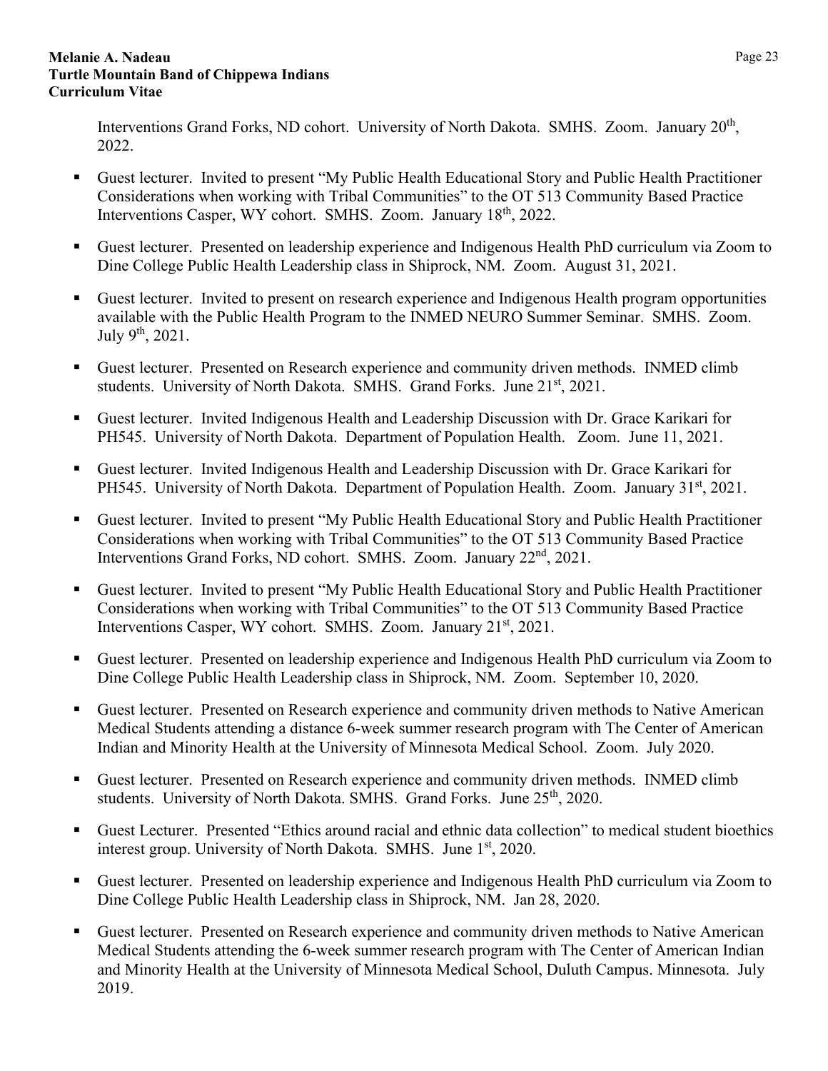Interventions Grand Forks, ND cohort. University of North Dakota. SMHS. Zoom. January 20<sup>th</sup>, 2022.

- Guest lecturer. Invited to present "My Public Health Educational Story and Public Health Practitioner Considerations when working with Tribal Communities" to the OT 513 Community Based Practice Interventions Casper, WY cohort. SMHS. Zoom. January 18<sup>th</sup>, 2022.
- Guest lecturer. Presented on leadership experience and Indigenous Health PhD curriculum via Zoom to Dine College Public Health Leadership class in Shiprock, NM. Zoom. August 31, 2021.
- Guest lecturer. Invited to present on research experience and Indigenous Health program opportunities available with the Public Health Program to the INMED NEURO Summer Seminar. SMHS. Zoom. July 9th, 2021.
- Guest lecturer. Presented on Research experience and community driven methods. INMED climb students. University of North Dakota. SMHS. Grand Forks. June 21<sup>st</sup>, 2021.
- Guest lecturer. Invited Indigenous Health and Leadership Discussion with Dr. Grace Karikari for PH545. University of North Dakota. Department of Population Health. Zoom. June 11, 2021.
- Guest lecturer. Invited Indigenous Health and Leadership Discussion with Dr. Grace Karikari for PH545. University of North Dakota. Department of Population Health. Zoom. January 31<sup>st</sup>, 2021.
- Guest lecturer. Invited to present "My Public Health Educational Story and Public Health Practitioner Considerations when working with Tribal Communities" to the OT 513 Community Based Practice Interventions Grand Forks, ND cohort. SMHS. Zoom. January 22<sup>nd</sup>, 2021.
- Guest lecturer. Invited to present "My Public Health Educational Story and Public Health Practitioner Considerations when working with Tribal Communities" to the OT 513 Community Based Practice Interventions Casper, WY cohort. SMHS. Zoom. January 21<sup>st</sup>, 2021.
- Guest lecturer. Presented on leadership experience and Indigenous Health PhD curriculum via Zoom to Dine College Public Health Leadership class in Shiprock, NM. Zoom. September 10, 2020.
- Guest lecturer. Presented on Research experience and community driven methods to Native American Medical Students attending a distance 6-week summer research program with The Center of American Indian and Minority Health at the University of Minnesota Medical School. Zoom. July 2020.
- Guest lecturer. Presented on Research experience and community driven methods. INMED climb students. University of North Dakota. SMHS. Grand Forks. June 25<sup>th</sup>, 2020.
- Guest Lecturer. Presented "Ethics around racial and ethnic data collection" to medical student bioethics interest group. University of North Dakota. SMHS. June 1<sup>st</sup>, 2020.
- Guest lecturer. Presented on leadership experience and Indigenous Health PhD curriculum via Zoom to Dine College Public Health Leadership class in Shiprock, NM. Jan 28, 2020.
- Guest lecturer. Presented on Research experience and community driven methods to Native American Medical Students attending the 6-week summer research program with The Center of American Indian and Minority Health at the University of Minnesota Medical School, Duluth Campus. Minnesota. July 2019.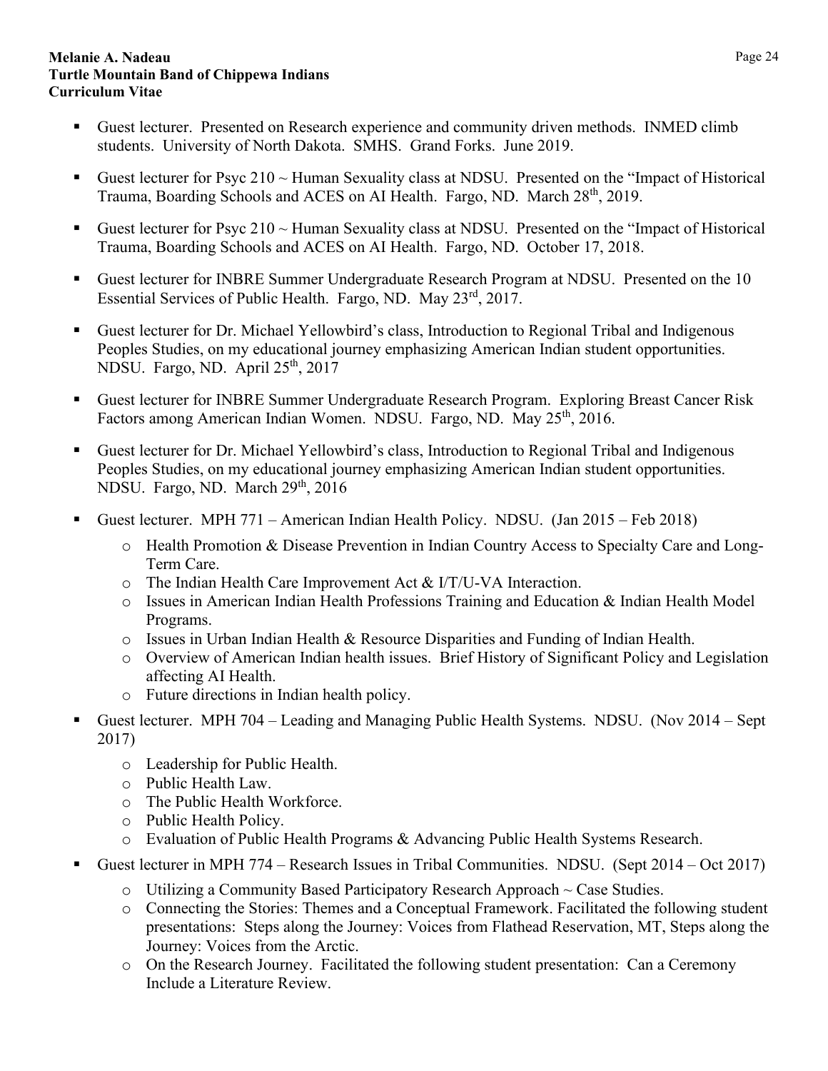- Guest lecturer. Presented on Research experience and community driven methods. INMED climb students. University of North Dakota. SMHS. Grand Forks. June 2019.
- Guest lecturer for Psyc  $210 \sim$  Human Sexuality class at NDSU. Presented on the "Impact of Historical Trauma, Boarding Schools and ACES on AI Health. Fargo, ND. March 28<sup>th</sup>, 2019.
- Guest lecturer for Psyc  $210 \sim$  Human Sexuality class at NDSU. Presented on the "Impact of Historical" Trauma, Boarding Schools and ACES on AI Health. Fargo, ND. October 17, 2018.
- Guest lecturer for INBRE Summer Undergraduate Research Program at NDSU. Presented on the 10 Essential Services of Public Health. Fargo, ND. May 23rd, 2017.
- Guest lecturer for Dr. Michael Yellowbird's class, Introduction to Regional Tribal and Indigenous Peoples Studies, on my educational journey emphasizing American Indian student opportunities. NDSU. Fargo, ND. April 25<sup>th</sup>, 2017
- Guest lecturer for INBRE Summer Undergraduate Research Program. Exploring Breast Cancer Risk Factors among American Indian Women. NDSU. Fargo, ND. May 25<sup>th</sup>, 2016.
- Guest lecturer for Dr. Michael Yellowbird's class, Introduction to Regional Tribal and Indigenous Peoples Studies, on my educational journey emphasizing American Indian student opportunities. NDSU. Fargo, ND. March 29<sup>th</sup>, 2016
- Guest lecturer. MPH 771 American Indian Health Policy. NDSU. (Jan 2015 Feb 2018)
	- o Health Promotion & Disease Prevention in Indian Country Access to Specialty Care and Long-Term Care.
	- o The Indian Health Care Improvement Act & I/T/U-VA Interaction.
	- o Issues in American Indian Health Professions Training and Education & Indian Health Model Programs.
	- $\circ$  Issues in Urban Indian Health & Resource Disparities and Funding of Indian Health.
	- o Overview of American Indian health issues. Brief History of Significant Policy and Legislation affecting AI Health.
	- o Future directions in Indian health policy.
- Guest lecturer. MPH 704 Leading and Managing Public Health Systems. NDSU. (Nov 2014 Sept 2017)
	- o Leadership for Public Health.
	- o Public Health Law.
	- o The Public Health Workforce.
	- o Public Health Policy.
	- o Evaluation of Public Health Programs & Advancing Public Health Systems Research.
- Guest lecturer in MPH 774 Research Issues in Tribal Communities. NDSU. (Sept 2014 Oct 2017)
	- o Utilizing a Community Based Participatory Research Approach ~ Case Studies.
	- o Connecting the Stories: Themes and a Conceptual Framework. Facilitated the following student presentations: Steps along the Journey: Voices from Flathead Reservation, MT, Steps along the Journey: Voices from the Arctic.
	- o On the Research Journey. Facilitated the following student presentation: Can a Ceremony Include a Literature Review.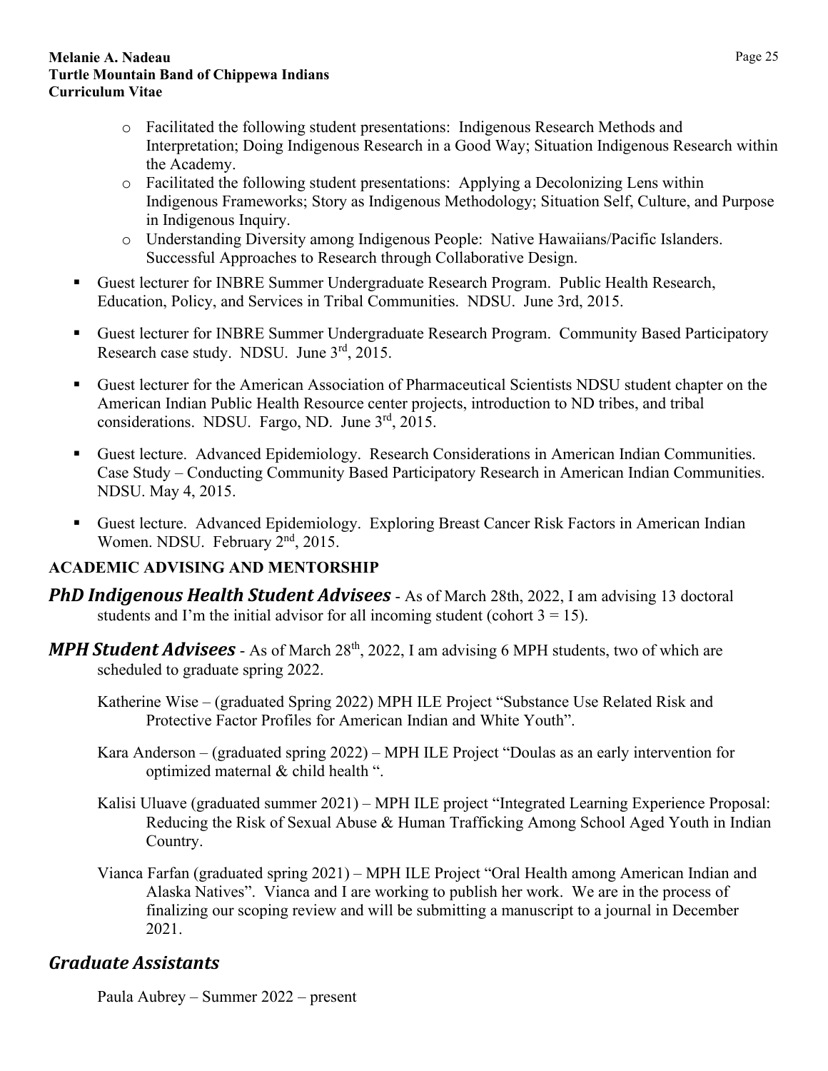- o Facilitated the following student presentations: Indigenous Research Methods and Interpretation; Doing Indigenous Research in a Good Way; Situation Indigenous Research within the Academy.
- o Facilitated the following student presentations: Applying a Decolonizing Lens within Indigenous Frameworks; Story as Indigenous Methodology; Situation Self, Culture, and Purpose in Indigenous Inquiry.
- o Understanding Diversity among Indigenous People: Native Hawaiians/Pacific Islanders. Successful Approaches to Research through Collaborative Design.
- Guest lecturer for INBRE Summer Undergraduate Research Program. Public Health Research, Education, Policy, and Services in Tribal Communities. NDSU. June 3rd, 2015.
- Guest lecturer for INBRE Summer Undergraduate Research Program. Community Based Participatory Research case study. NDSU. June 3<sup>rd</sup>, 2015.
- Guest lecturer for the American Association of Pharmaceutical Scientists NDSU student chapter on the American Indian Public Health Resource center projects, introduction to ND tribes, and tribal considerations. NDSU. Fargo, ND. June 3<sup>rd</sup>, 2015.
- Guest lecture. Advanced Epidemiology. Research Considerations in American Indian Communities. Case Study – Conducting Community Based Participatory Research in American Indian Communities. NDSU. May 4, 2015.
- Guest lecture. Advanced Epidemiology. Exploring Breast Cancer Risk Factors in American Indian Women. NDSU. February 2<sup>nd</sup>, 2015.

## <span id="page-24-0"></span>**ACADEMIC ADVISING AND MENTORSHIP**

- <span id="page-24-1"></span>*PhD Indigenous Health Student Advisees* - As of March 28th, 2022, I am advising 13 doctoral students and I'm the initial advisor for all incoming student (cohort  $3 = 15$ ).
- <span id="page-24-2"></span>*MPH Student Advisees* - As of March 28<sup>th</sup>, 2022, I am advising 6 MPH students, two of which are scheduled to graduate spring 2022.
	- Katherine Wise (graduated Spring 2022) MPH ILE Project "Substance Use Related Risk and Protective Factor Profiles for American Indian and White Youth".
	- Kara Anderson (graduated spring 2022) MPH ILE Project "Doulas as an early intervention for optimized maternal & child health ".
	- Kalisi Uluave (graduated summer 2021) MPH ILE project "Integrated Learning Experience Proposal: Reducing the Risk of Sexual Abuse & Human Trafficking Among School Aged Youth in Indian Country.
	- Vianca Farfan (graduated spring 2021) MPH ILE Project "Oral Health among American Indian and Alaska Natives". Vianca and I are working to publish her work. We are in the process of finalizing our scoping review and will be submitting a manuscript to a journal in December 2021.

# <span id="page-24-3"></span>*Graduate Assistants*

Paula Aubrey – Summer 2022 – present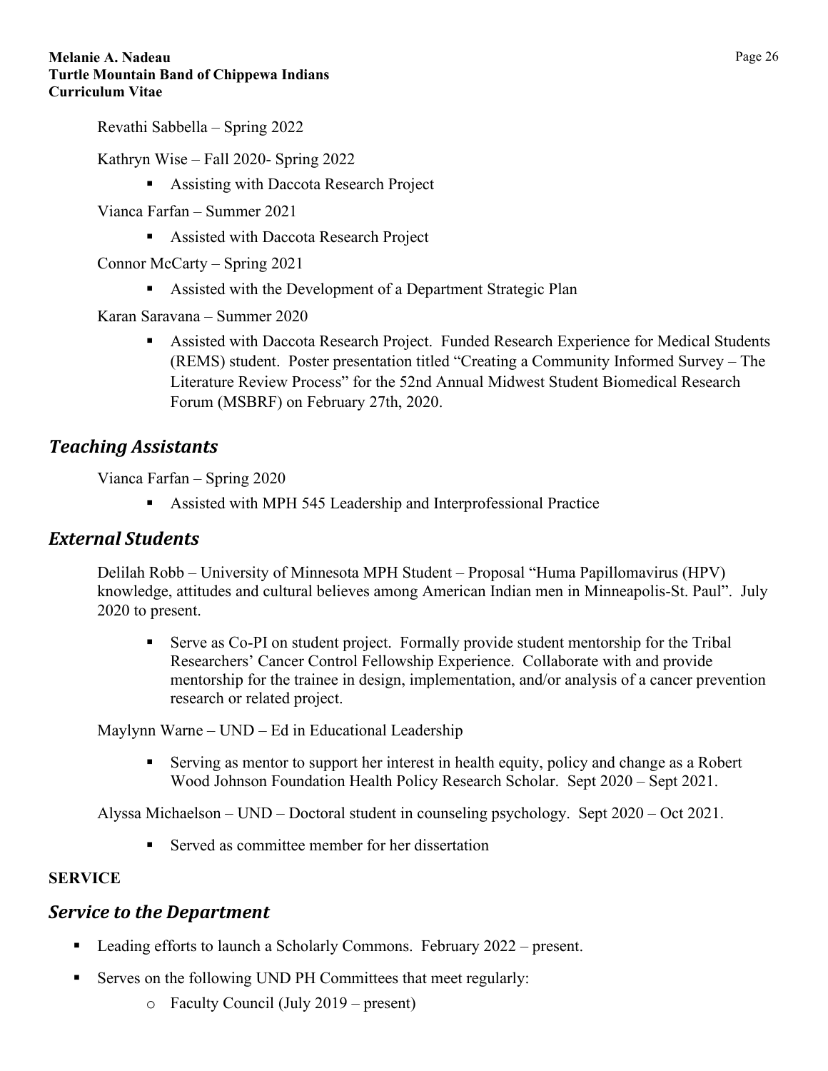Revathi Sabbella – Spring 2022

Kathryn Wise – Fall 2020- Spring 2022

Assisting with Daccota Research Project

Vianca Farfan – Summer 2021

**Assisted with Daccota Research Project** 

Connor McCarty – Spring 2021

Assisted with the Development of a Department Strategic Plan

Karan Saravana – Summer 2020

 Assisted with Daccota Research Project. Funded Research Experience for Medical Students (REMS) student. Poster presentation titled "Creating a Community Informed Survey – The Literature Review Process" for the 52nd Annual Midwest Student Biomedical Research Forum (MSBRF) on February 27th, 2020.

## <span id="page-25-0"></span>*Teaching Assistants*

Vianca Farfan – Spring 2020

Assisted with MPH 545 Leadership and Interprofessional Practice

### <span id="page-25-1"></span>*External Students*

Delilah Robb – University of Minnesota MPH Student – Proposal "Huma Papillomavirus (HPV) knowledge, attitudes and cultural believes among American Indian men in Minneapolis-St. Paul". July 2020 to present.

 Serve as Co-PI on student project. Formally provide student mentorship for the Tribal Researchers' Cancer Control Fellowship Experience. Collaborate with and provide mentorship for the trainee in design, implementation, and/or analysis of a cancer prevention research or related project.

Maylynn Warne – UND – Ed in Educational Leadership

 Serving as mentor to support her interest in health equity, policy and change as a Robert Wood Johnson Foundation Health Policy Research Scholar. Sept 2020 – Sept 2021.

Alyssa Michaelson – UND – Doctoral student in counseling psychology. Sept 2020 – Oct 2021.

■ Served as committee member for her dissertation

### <span id="page-25-2"></span>**SERVICE**

## <span id="page-25-3"></span>*Service to the Department*

- **Leading efforts to launch a Scholarly Commons. February 2022 present.**
- Serves on the following UND PH Committees that meet regularly:
	- o Faculty Council (July 2019 present)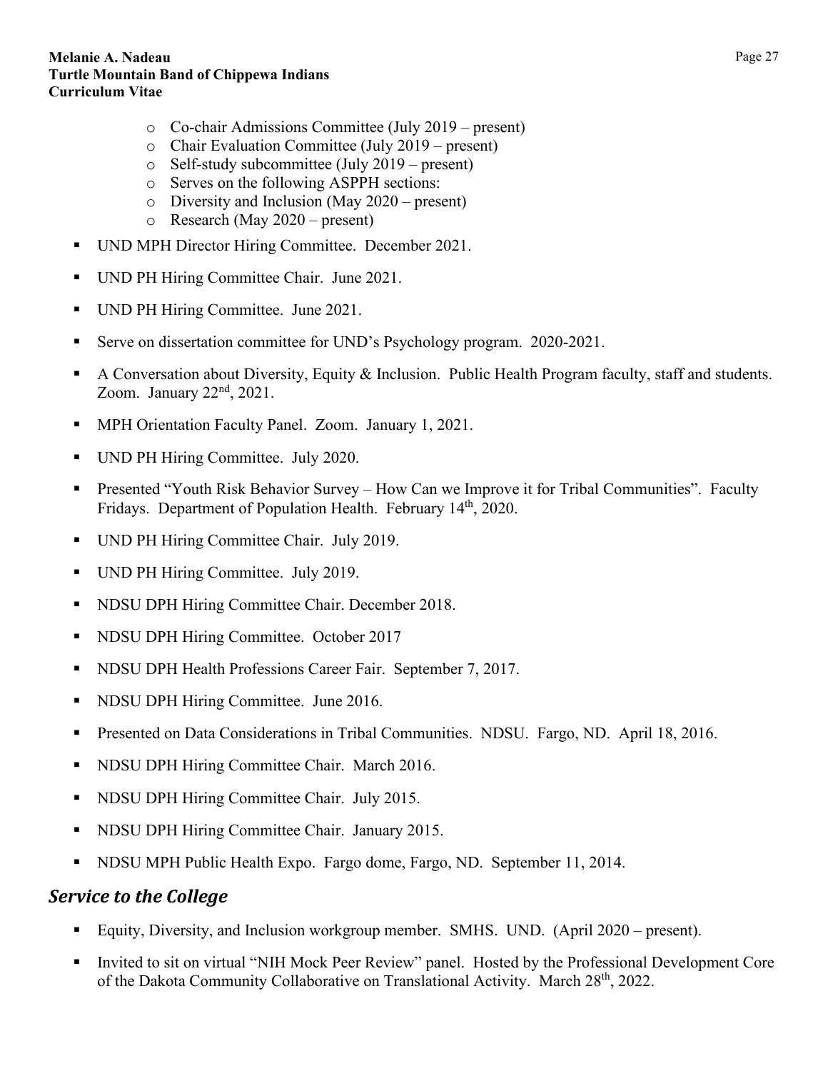- o Co-chair Admissions Committee (July 2019 present)
- o Chair Evaluation Committee (July 2019 present)
- o Self-study subcommittee (July 2019 present)
- o Serves on the following ASPPH sections:
- o Diversity and Inclusion (May 2020 present)
- o Research (May 2020 present)
- UND MPH Director Hiring Committee. December 2021.
- UND PH Hiring Committee Chair. June 2021.
- UND PH Hiring Committee. June 2021.
- Serve on dissertation committee for UND's Psychology program. 2020-2021.
- A Conversation about Diversity, Equity & Inclusion. Public Health Program faculty, staff and students. Zoom. January  $22<sup>nd</sup>$ ,  $2021$ .
- **MPH Orientation Faculty Panel. Zoom. January 1, 2021.**
- UND PH Hiring Committee. July 2020.
- Presented "Youth Risk Behavior Survey How Can we Improve it for Tribal Communities". Faculty Fridays. Department of Population Health. February 14<sup>th</sup>, 2020.
- UND PH Hiring Committee Chair. July 2019.
- UND PH Hiring Committee. July 2019.
- **NDSU DPH Hiring Committee Chair. December 2018.**
- **NDSU DPH Hiring Committee. October 2017**
- **NDSU DPH Health Professions Career Fair. September 7, 2017.**
- NDSU DPH Hiring Committee. June 2016.
- Presented on Data Considerations in Tribal Communities. NDSU. Fargo, ND. April 18, 2016.
- **NDSU DPH Hiring Committee Chair. March 2016.**
- **NDSU DPH Hiring Committee Chair. July 2015.**
- NDSU DPH Hiring Committee Chair. January 2015.
- NDSU MPH Public Health Expo. Fargo dome, Fargo, ND. September 11, 2014.

## <span id="page-26-0"></span>*Service to the College*

- Equity, Diversity, and Inclusion workgroup member. SMHS. UND. (April 2020 present).
- Invited to sit on virtual "NIH Mock Peer Review" panel. Hosted by the Professional Development Core of the Dakota Community Collaborative on Translational Activity. March 28<sup>th</sup>, 2022.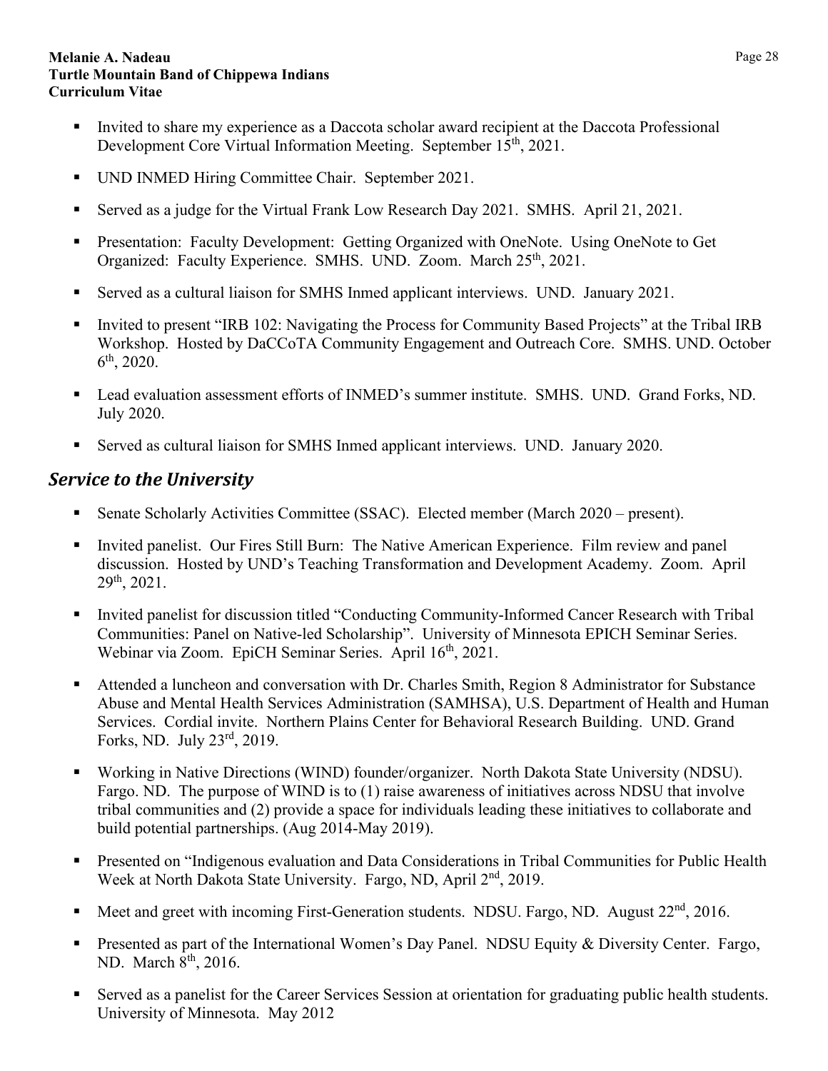- Invited to share my experience as a Daccota scholar award recipient at the Daccota Professional Development Core Virtual Information Meeting. September 15<sup>th</sup>, 2021.
- UND INMED Hiring Committee Chair. September 2021.
- Served as a judge for the Virtual Frank Low Research Day 2021. SMHS. April 21, 2021.
- **Presentation: Faculty Development: Getting Organized with OneNote. Using OneNote to Get** Organized: Faculty Experience. SMHS. UND. Zoom. March 25<sup>th</sup>, 2021.
- Served as a cultural liaison for SMHS Inmed applicant interviews. UND. January 2021.
- Invited to present "IRB 102: Navigating the Process for Community Based Projects" at the Tribal IRB Workshop. Hosted by DaCCoTA Community Engagement and Outreach Core. SMHS. UND. October  $6^{\text{th}}$ , 2020.
- Lead evaluation assessment efforts of INMED's summer institute. SMHS. UND. Grand Forks, ND. July 2020.
- Served as cultural liaison for SMHS Inmed applicant interviews. UND. January 2020.

## <span id="page-27-0"></span>*Service to the University*

- Senate Scholarly Activities Committee (SSAC). Elected member (March 2020 present).
- Invited panelist. Our Fires Still Burn: The Native American Experience. Film review and panel discussion. Hosted by UND's Teaching Transformation and Development Academy. Zoom. April 29th, 2021.
- Invited panelist for discussion titled "Conducting Community-Informed Cancer Research with Tribal Communities: Panel on Native-led Scholarship". University of Minnesota EPICH Seminar Series. Webinar via Zoom. EpiCH Seminar Series. April 16<sup>th</sup>, 2021.
- Attended a luncheon and conversation with Dr. Charles Smith, Region 8 Administrator for Substance Abuse and Mental Health Services Administration (SAMHSA), U.S. Department of Health and Human Services. Cordial invite. Northern Plains Center for Behavioral Research Building. UND. Grand Forks, ND. July 23rd, 2019.
- Working in Native Directions (WIND) founder/organizer. North Dakota State University (NDSU). Fargo. ND. The purpose of WIND is to (1) raise awareness of initiatives across NDSU that involve tribal communities and (2) provide a space for individuals leading these initiatives to collaborate and build potential partnerships. (Aug 2014-May 2019).
- Presented on "Indigenous evaluation and Data Considerations in Tribal Communities for Public Health Week at North Dakota State University. Fargo, ND, April 2<sup>nd</sup>, 2019.
- Meet and greet with incoming First-Generation students. NDSU. Fargo, ND. August  $22<sup>nd</sup>$ ,  $2016$ .
- **Presented as part of the International Women's Day Panel. NDSU Equity & Diversity Center. Fargo,** ND. March 8<sup>th</sup>, 2016.
- Served as a panelist for the Career Services Session at orientation for graduating public health students. University of Minnesota. May 2012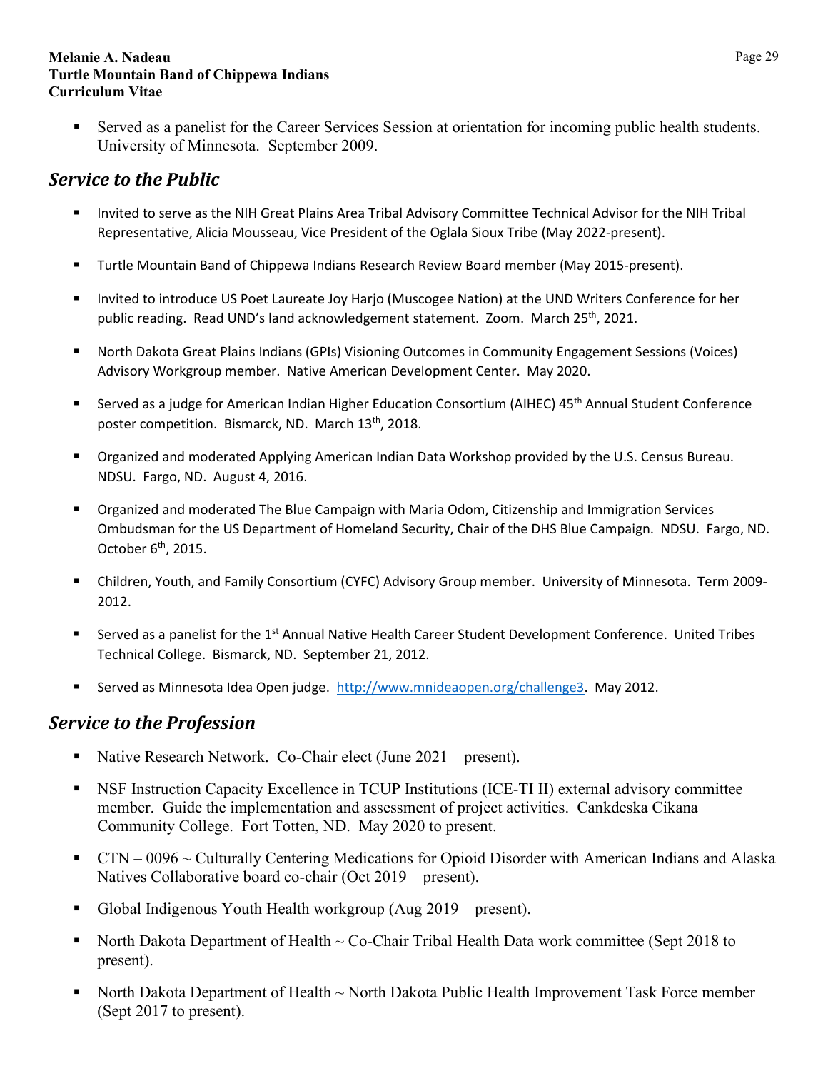Served as a panelist for the Career Services Session at orientation for incoming public health students. University of Minnesota. September 2009.

# <span id="page-28-0"></span>*Service to the Public*

- Invited to serve as the NIH Great Plains Area Tribal Advisory Committee Technical Advisor for the NIH Tribal Representative, Alicia Mousseau, Vice President of the Oglala Sioux Tribe (May 2022-present).
- Turtle Mountain Band of Chippewa Indians Research Review Board member (May 2015-present).
- **Invited to introduce US Poet Laureate Joy Harjo (Muscogee Nation) at the UND Writers Conference for her** public reading. Read UND's land acknowledgement statement. Zoom. March 25<sup>th</sup>, 2021.
- North Dakota Great Plains Indians (GPIs) Visioning Outcomes in Community Engagement Sessions (Voices) Advisory Workgroup member. Native American Development Center. May 2020.
- Served as a judge for American Indian Higher Education Consortium (AIHEC) 45<sup>th</sup> Annual Student Conference poster competition. Bismarck, ND. March 13<sup>th</sup>, 2018.
- Organized and moderated Applying American Indian Data Workshop provided by the U.S. Census Bureau. NDSU. Fargo, ND. August 4, 2016.
- Organized and moderated The Blue Campaign with Maria Odom, Citizenship and Immigration Services Ombudsman for the US Department of Homeland Security, Chair of the DHS Blue Campaign. NDSU. Fargo, ND. October  $6<sup>th</sup>$ , 2015.
- Children, Youth, and Family Consortium (CYFC) Advisory Group member. University of Minnesota. Term 2009- 2012.
- **Served as a panelist for the 1st Annual Native Health Career Student Development Conference. United Tribes** Technical College. Bismarck, ND. September 21, 2012.
- Served as Minnesota Idea Open judge. [http://www.mnideaopen.org/challenge3.](http://www.mnideaopen.org/challenge3) May 2012.

## <span id="page-28-1"></span>*Service to the Profession*

- Native Research Network. Co-Chair elect (June 2021 present).
- NSF Instruction Capacity Excellence in TCUP Institutions (ICE-TI II) external advisory committee member. Guide the implementation and assessment of project activities. Cankdeska Cikana Community College. Fort Totten, ND. May 2020 to present.
- CTN 0096  $\sim$  Culturally Centering Medications for Opioid Disorder with American Indians and Alaska Natives Collaborative board co-chair (Oct 2019 – present).
- Global Indigenous Youth Health workgroup (Aug 2019 present).
- North Dakota Department of Health  $\sim$  Co-Chair Tribal Health Data work committee (Sept 2018 to present).
- North Dakota Department of Health ~ North Dakota Public Health Improvement Task Force member (Sept 2017 to present).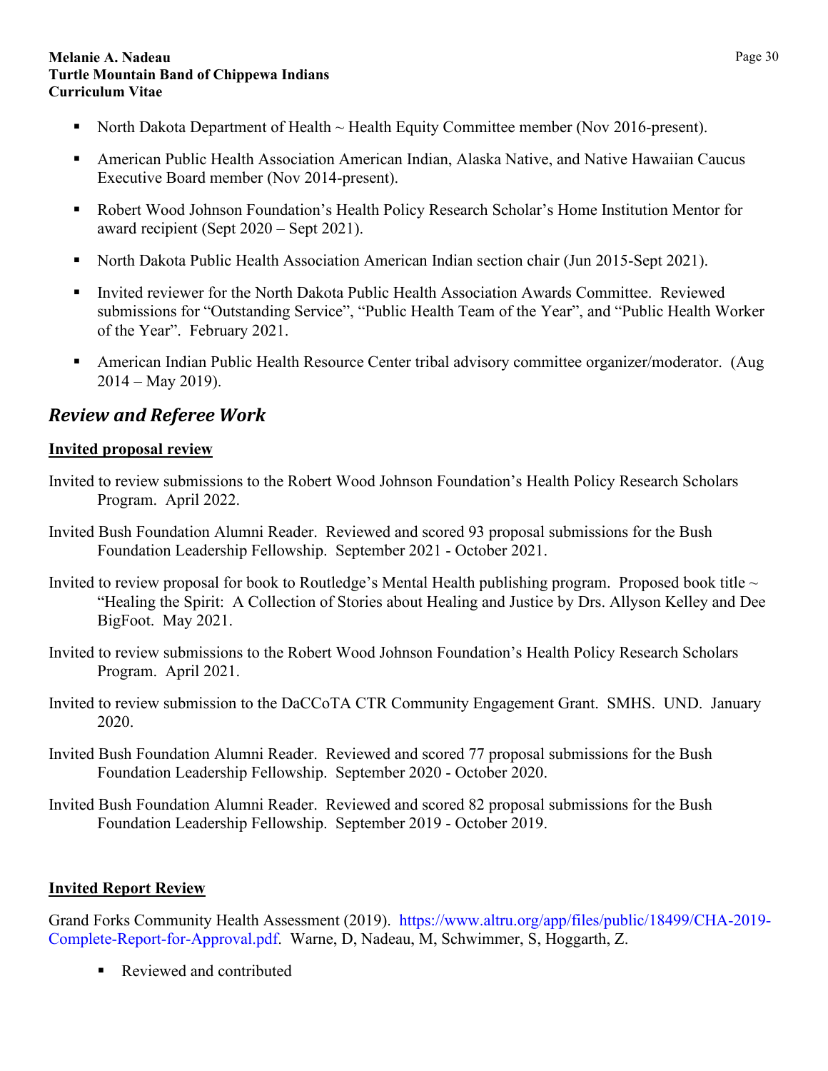- North Dakota Department of Health  $\sim$  Health Equity Committee member (Nov 2016-present).
- American Public Health Association American Indian, Alaska Native, and Native Hawaiian Caucus Executive Board member (Nov 2014-present).
- Robert Wood Johnson Foundation's Health Policy Research Scholar's Home Institution Mentor for award recipient (Sept 2020 – Sept 2021).
- North Dakota Public Health Association American Indian section chair (Jun 2015-Sept 2021).
- Invited reviewer for the North Dakota Public Health Association Awards Committee. Reviewed submissions for "Outstanding Service", "Public Health Team of the Year", and "Public Health Worker of the Year". February 2021.
- American Indian Public Health Resource Center tribal advisory committee organizer/moderator. (Aug  $2014 - May 2019$ .

# <span id="page-29-0"></span>*Review and Referee Work*

## **Invited proposal review**

- Invited to review submissions to the Robert Wood Johnson Foundation's Health Policy Research Scholars Program. April 2022.
- Invited Bush Foundation Alumni Reader. Reviewed and scored 93 proposal submissions for the Bush Foundation Leadership Fellowship. September 2021 - October 2021.
- Invited to review proposal for book to Routledge's Mental Health publishing program. Proposed book title  $\sim$ "Healing the Spirit: A Collection of Stories about Healing and Justice by Drs. Allyson Kelley and Dee BigFoot. May 2021.
- Invited to review submissions to the Robert Wood Johnson Foundation's Health Policy Research Scholars Program. April 2021.
- Invited to review submission to the DaCCoTA CTR Community Engagement Grant. SMHS. UND. January 2020.
- Invited Bush Foundation Alumni Reader. Reviewed and scored 77 proposal submissions for the Bush Foundation Leadership Fellowship. September 2020 - October 2020.
- Invited Bush Foundation Alumni Reader. Reviewed and scored 82 proposal submissions for the Bush Foundation Leadership Fellowship. September 2019 - October 2019.

## **Invited Report Review**

Grand Forks Community Health Assessment (2019). [https://www.altru.org/app/files/public/18499/CHA-2019-](https://www.altru.org/app/files/public/18499/CHA-2019-Complete-Report-for-Approval.pdf) [Complete-Report-for-Approval.pdf.](https://www.altru.org/app/files/public/18499/CHA-2019-Complete-Report-for-Approval.pdf) Warne, D, Nadeau, M, Schwimmer, S, Hoggarth, Z.

Reviewed and contributed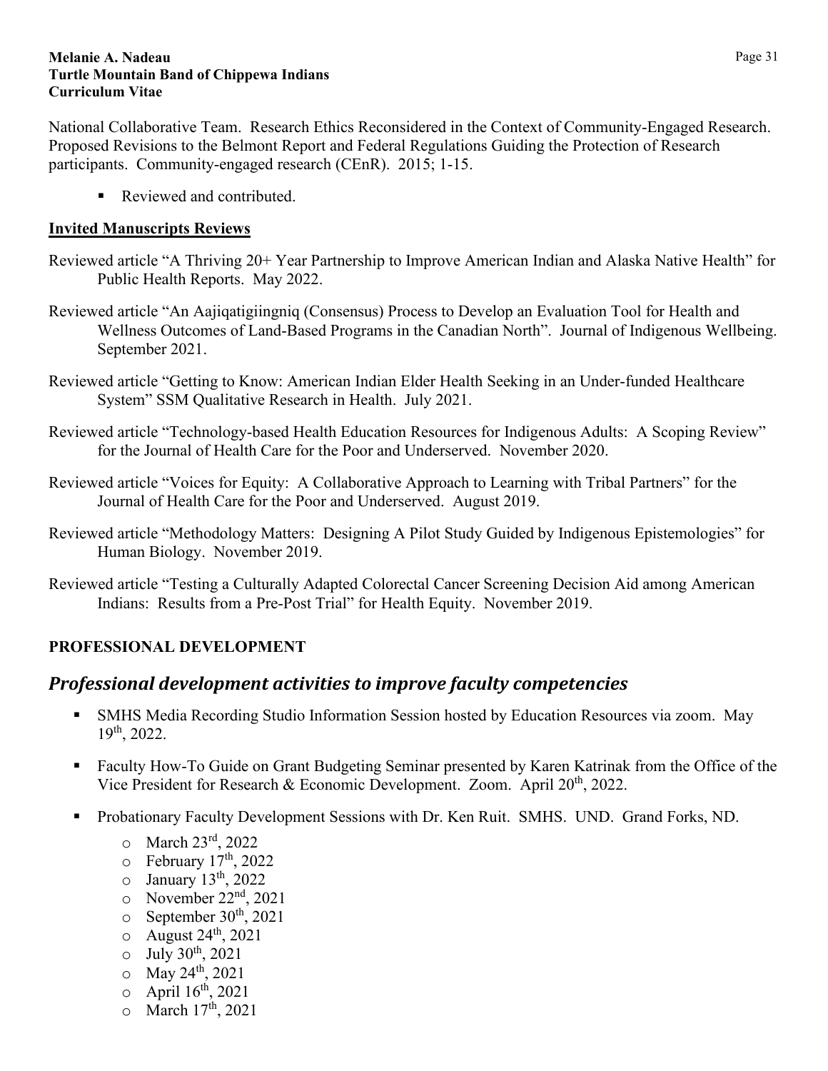National Collaborative Team. Research Ethics Reconsidered in the Context of Community-Engaged Research. Proposed Revisions to the Belmont Report and Federal Regulations Guiding the Protection of Research participants. Community-engaged research (CEnR). 2015; 1-15.

Reviewed and contributed.

### **Invited Manuscripts Reviews**

- Reviewed article "A Thriving 20+ Year Partnership to Improve American Indian and Alaska Native Health" for Public Health Reports. May 2022.
- Reviewed article "An Aajiqatigiingniq (Consensus) Process to Develop an Evaluation Tool for Health and Wellness Outcomes of Land-Based Programs in the Canadian North". Journal of Indigenous Wellbeing. September 2021.
- Reviewed article "Getting to Know: American Indian Elder Health Seeking in an Under-funded Healthcare System" SSM Qualitative Research in Health. July 2021.
- Reviewed article "Technology-based Health Education Resources for Indigenous Adults: A Scoping Review" for the Journal of Health Care for the Poor and Underserved. November 2020.
- Reviewed article "Voices for Equity: A Collaborative Approach to Learning with Tribal Partners" for the Journal of Health Care for the Poor and Underserved. August 2019.
- Reviewed article "Methodology Matters: Designing A Pilot Study Guided by Indigenous Epistemologies" for Human Biology. November 2019.
- Reviewed article "Testing a Culturally Adapted Colorectal Cancer Screening Decision Aid among American Indians: Results from a Pre-Post Trial" for Health Equity. November 2019.

## <span id="page-30-1"></span><span id="page-30-0"></span>**PROFESSIONAL DEVELOPMENT**

## *Professional development activities to improve faculty competencies*

- SMHS Media Recording Studio Information Session hosted by Education Resources via zoom. May  $19^{th}$ , 2022.
- Faculty How-To Guide on Grant Budgeting Seminar presented by Karen Katrinak from the Office of the Vice President for Research & Economic Development. Zoom. April 20<sup>th</sup>, 2022.
- **Probationary Faculty Development Sessions with Dr. Ken Ruit. SMHS. UND. Grand Forks, ND.** 
	- o March 23rd, 2022
	- $\circ$  February 17<sup>th</sup>, 2022
	- $\circ$  January 13<sup>th</sup>, 2022
	- $\circ$  November 22<sup>nd</sup>, 2021
	- $\circ$  September 30<sup>th</sup>, 2021
	- $\circ$  August 24<sup>th</sup>, 2021
	- $\circ$  July 30<sup>th</sup>, 2021
	- $\circ$  May 24<sup>th</sup>, 2021
	- $\circ$  April 16<sup>th</sup>, 2021
	- $\circ$  March  $17^{\text{th}}$ , 2021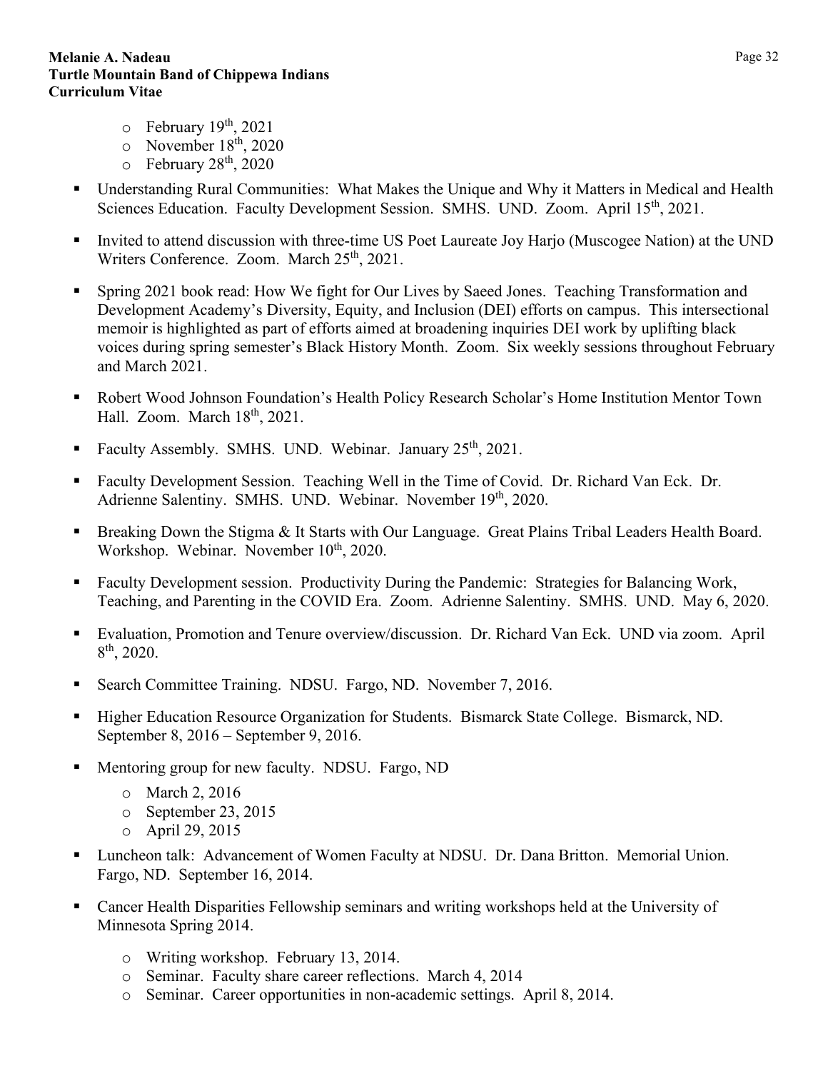- $\circ$  February 19<sup>th</sup>, 2021
- $\circ$  November 18<sup>th</sup>, 2020
- $\circ$  February 28<sup>th</sup>, 2020
- Understanding Rural Communities: What Makes the Unique and Why it Matters in Medical and Health Sciences Education. Faculty Development Session. SMHS. UND. Zoom. April 15<sup>th</sup>, 2021.
- Invited to attend discussion with three-time US Poet Laureate Joy Harjo (Muscogee Nation) at the UND Writers Conference. Zoom. March  $25<sup>th</sup>$ , 2021.
- Spring 2021 book read: How We fight for Our Lives by Saeed Jones. Teaching Transformation and Development Academy's Diversity, Equity, and Inclusion (DEI) efforts on campus. This intersectional memoir is highlighted as part of efforts aimed at broadening inquiries DEI work by uplifting black voices during spring semester's Black History Month. Zoom. Six weekly sessions throughout February and March 2021.
- Robert Wood Johnson Foundation's Health Policy Research Scholar's Home Institution Mentor Town Hall. Zoom. March 18<sup>th</sup>, 2021.
- Faculty Assembly. SMHS. UND. Webinar. January 25<sup>th</sup>, 2021.
- Faculty Development Session. Teaching Well in the Time of Covid. Dr. Richard Van Eck. Dr. Adrienne Salentiny. SMHS. UND. Webinar. November 19th, 2020.
- Breaking Down the Stigma & It Starts with Our Language. Great Plains Tribal Leaders Health Board. Workshop. Webinar. November 10<sup>th</sup>, 2020.
- Faculty Development session. Productivity During the Pandemic: Strategies for Balancing Work, Teaching, and Parenting in the COVID Era. Zoom. Adrienne Salentiny. SMHS. UND. May 6, 2020.
- Evaluation, Promotion and Tenure overview/discussion. Dr. Richard Van Eck. UND via zoom. April 8th, 2020.
- Search Committee Training. NDSU. Fargo, ND. November 7, 2016.
- Higher Education Resource Organization for Students. Bismarck State College. Bismarck, ND. September 8, 2016 – September 9, 2016.
- Mentoring group for new faculty. NDSU. Fargo, ND
	- o March 2, 2016
	- o September 23, 2015
	- o April 29, 2015
- Luncheon talk: Advancement of Women Faculty at NDSU. Dr. Dana Britton. Memorial Union. Fargo, ND. September 16, 2014.
- Cancer Health Disparities Fellowship seminars and writing workshops held at the University of Minnesota Spring 2014.
	- o Writing workshop. February 13, 2014.
	- o Seminar. Faculty share career reflections. March 4, 2014
	- o Seminar. Career opportunities in non-academic settings. April 8, 2014.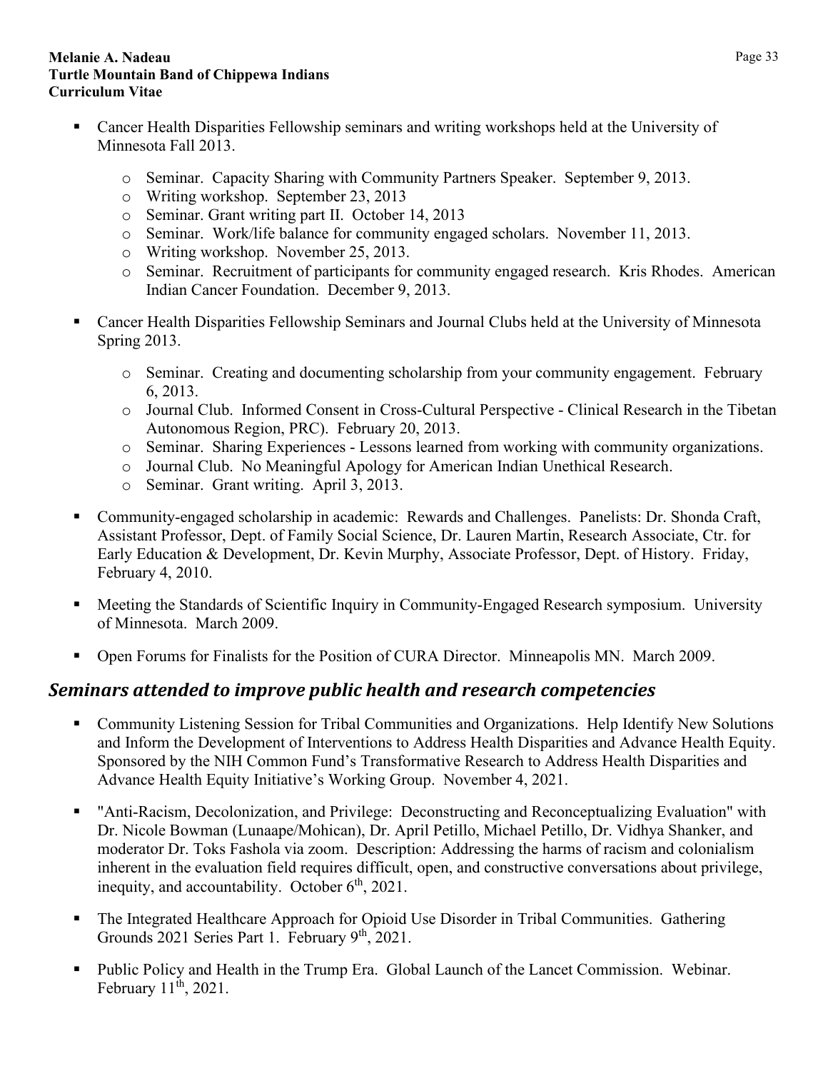- Cancer Health Disparities Fellowship seminars and writing workshops held at the University of Minnesota Fall 2013.
	- o Seminar. Capacity Sharing with Community Partners Speaker. September 9, 2013.
	- o Writing workshop. September 23, 2013
	- o Seminar. Grant writing part II. October 14, 2013
	- o Seminar. Work/life balance for community engaged scholars. November 11, 2013.
	- o Writing workshop. November 25, 2013.
	- o Seminar. Recruitment of participants for community engaged research. Kris Rhodes. American Indian Cancer Foundation. December 9, 2013.
- Cancer Health Disparities Fellowship Seminars and Journal Clubs held at the University of Minnesota Spring 2013.
	- o Seminar. Creating and documenting scholarship from your community engagement. February 6, 2013.
	- o Journal Club. Informed Consent in Cross-Cultural Perspective Clinical Research in the Tibetan Autonomous Region, PRC). February 20, 2013.
	- o Seminar. Sharing Experiences Lessons learned from working with community organizations.
	- o Journal Club. No Meaningful Apology for American Indian Unethical Research.
	- o Seminar. Grant writing. April 3, 2013.
- Community-engaged scholarship in academic: Rewards and Challenges. Panelists: Dr. Shonda Craft, Assistant Professor, Dept. of Family Social Science, Dr. Lauren Martin, Research Associate, Ctr. for Early Education & Development, Dr. Kevin Murphy, Associate Professor, Dept. of History. Friday, February 4, 2010.
- Meeting the Standards of Scientific Inquiry in Community-Engaged Research symposium. University of Minnesota. March 2009.
- Open Forums for Finalists for the Position of CURA Director. Minneapolis MN. March 2009.

## <span id="page-32-0"></span>*Seminars attended to improve public health and research competencies*

- Community Listening Session for Tribal Communities and Organizations. Help Identify New Solutions and Inform the Development of Interventions to Address Health Disparities and Advance Health Equity. Sponsored by the NIH Common Fund's Transformative Research to Address Health Disparities and Advance Health Equity Initiative's Working Group. November 4, 2021.
- "Anti-Racism, Decolonization, and Privilege: Deconstructing and Reconceptualizing Evaluation" with Dr. Nicole Bowman (Lunaape/Mohican), Dr. April Petillo, Michael Petillo, Dr. Vidhya Shanker, and moderator Dr. Toks Fashola via zoom. Description: Addressing the harms of racism and colonialism inherent in the evaluation field requires difficult, open, and constructive conversations about privilege, inequity, and accountability. October  $6<sup>th</sup>$ , 2021.
- The Integrated Healthcare Approach for Opioid Use Disorder in Tribal Communities. Gathering Grounds 2021 Series Part 1. February 9<sup>th</sup>, 2021.
- Public Policy and Health in the Trump Era. Global Launch of the Lancet Commission. Webinar. February  $11^{\text{th}}$ , 2021.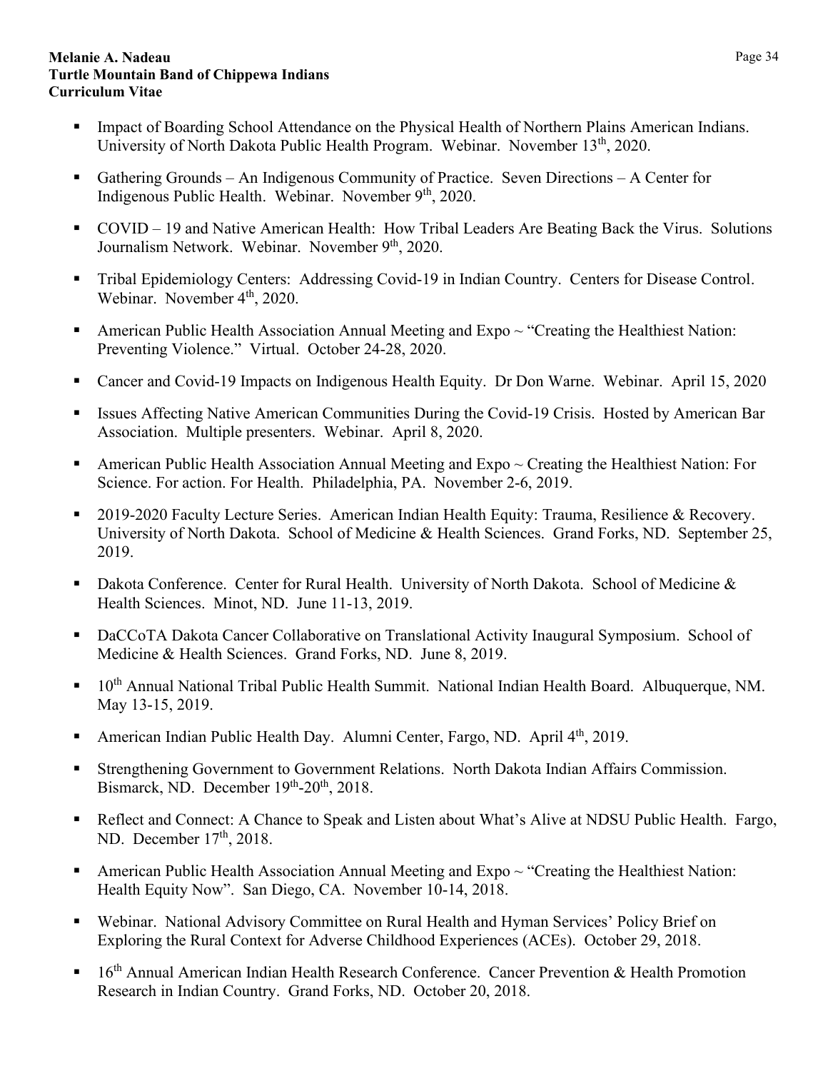- Impact of Boarding School Attendance on the Physical Health of Northern Plains American Indians. University of North Dakota Public Health Program. Webinar. November 13<sup>th</sup>, 2020.
- Gathering Grounds An Indigenous Community of Practice. Seven Directions A Center for Indigenous Public Health. Webinar. November  $9<sup>th</sup>$ , 2020.
- COVID 19 and Native American Health: How Tribal Leaders Are Beating Back the Virus. Solutions Journalism Network. Webinar. November 9<sup>th</sup>, 2020.
- Tribal Epidemiology Centers: Addressing Covid-19 in Indian Country. Centers for Disease Control. Webinar. November 4<sup>th</sup>, 2020.
- American Public Health Association Annual Meeting and  $Expo \sim "Creating the Healthiest Nation:$ Preventing Violence." Virtual. October 24-28, 2020.
- Cancer and Covid-19 Impacts on Indigenous Health Equity. Dr Don Warne. Webinar. April 15, 2020
- Issues Affecting Native American Communities During the Covid-19 Crisis. Hosted by American Bar Association. Multiple presenters. Webinar. April 8, 2020.
- **American Public Health Association Annual Meeting and Expo**  $\sim$  Creating the Healthiest Nation: For Science. For action. For Health. Philadelphia, PA. November 2-6, 2019.
- 2019-2020 Faculty Lecture Series. American Indian Health Equity: Trauma, Resilience & Recovery. University of North Dakota. School of Medicine & Health Sciences. Grand Forks, ND. September 25, 2019.
- Dakota Conference. Center for Rural Health. University of North Dakota. School of Medicine & Health Sciences. Minot, ND. June 11-13, 2019.
- DaCCoTA Dakota Cancer Collaborative on Translational Activity Inaugural Symposium. School of Medicine & Health Sciences. Grand Forks, ND. June 8, 2019.
- $\blacksquare$  10<sup>th</sup> Annual National Tribal Public Health Summit. National Indian Health Board. Albuquerque, NM. May 13-15, 2019.
- American Indian Public Health Day. Alumni Center, Fargo, ND. April  $4<sup>th</sup>$ , 2019.
- Strengthening Government to Government Relations. North Dakota Indian Affairs Commission. Bismarck, ND. December 19th-20th, 2018.
- Reflect and Connect: A Chance to Speak and Listen about What's Alive at NDSU Public Health. Fargo, ND. December 17<sup>th</sup>, 2018.
- American Public Health Association Annual Meeting and  $Expo \sim "Creating the Healthiest Nation:$ Health Equity Now". San Diego, CA. November 10-14, 2018.
- Webinar. National Advisory Committee on Rural Health and Hyman Services' Policy Brief on Exploring the Rural Context for Adverse Childhood Experiences (ACEs). October 29, 2018.
- 16<sup>th</sup> Annual American Indian Health Research Conference. Cancer Prevention & Health Promotion Research in Indian Country. Grand Forks, ND. October 20, 2018.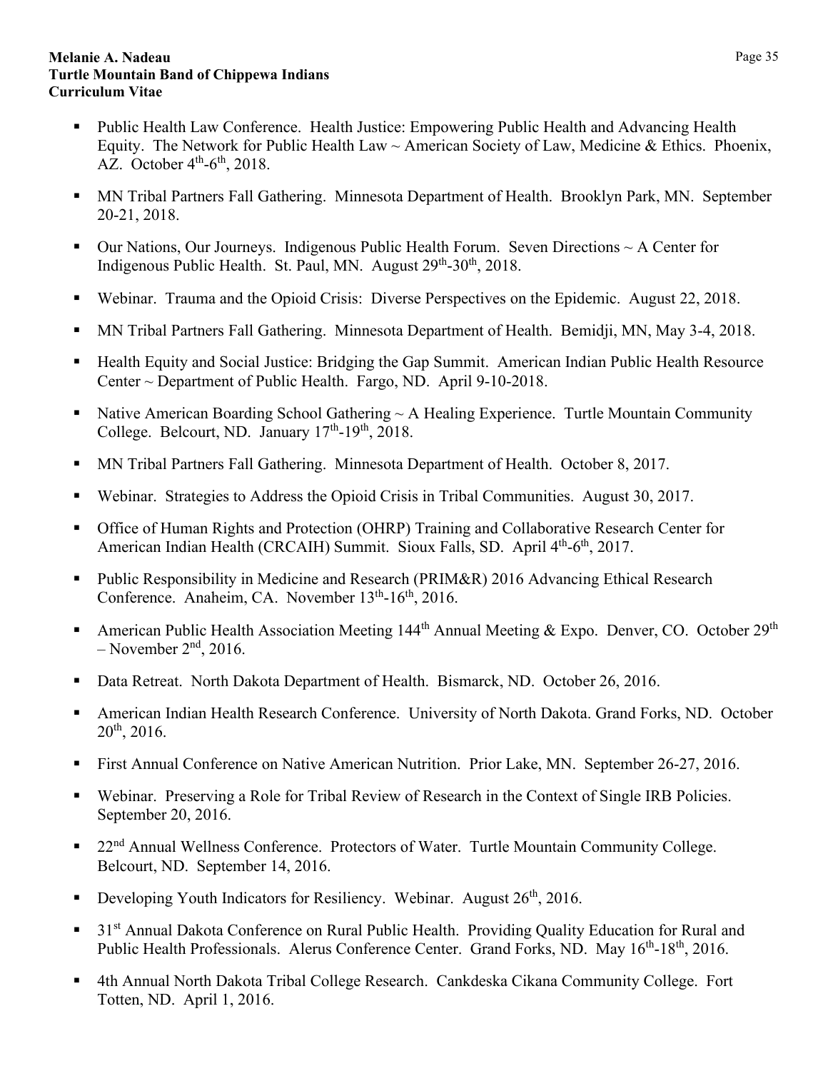- Public Health Law Conference. Health Justice: Empowering Public Health and Advancing Health Equity. The Network for Public Health Law  $\sim$  American Society of Law, Medicine & Ethics. Phoenix, AZ. October  $4<sup>th</sup>$ -6<sup>th</sup>, 2018.
- MN Tribal Partners Fall Gathering. Minnesota Department of Health. Brooklyn Park, MN. September 20-21, 2018.
- Our Nations, Our Journeys. Indigenous Public Health Forum. Seven Directions  $\sim A$  Center for Indigenous Public Health. St. Paul, MN. August 29<sup>th</sup>-30<sup>th</sup>, 2018.
- Webinar. Trauma and the Opioid Crisis: Diverse Perspectives on the Epidemic. August 22, 2018.
- MN Tribal Partners Fall Gathering. Minnesota Department of Health. Bemidji, MN, May 3-4, 2018.
- Health Equity and Social Justice: Bridging the Gap Summit. American Indian Public Health Resource Center ~ Department of Public Health. Fargo, ND. April 9-10-2018.
- Native American Boarding School Gathering  $\sim$  A Healing Experience. Turtle Mountain Community College. Belcourt, ND. January  $17<sup>th</sup>$ -19<sup>th</sup>, 2018.
- **MN Tribal Partners Fall Gathering. Minnesota Department of Health. October 8, 2017.**
- Webinar. Strategies to Address the Opioid Crisis in Tribal Communities. August 30, 2017.
- Office of Human Rights and Protection (OHRP) Training and Collaborative Research Center for American Indian Health (CRCAIH) Summit. Sioux Falls, SD. April 4<sup>th</sup>-6<sup>th</sup>, 2017.
- Public Responsibility in Medicine and Research (PRIM&R) 2016 Advancing Ethical Research Conference. Anaheim, CA. November 13<sup>th</sup>-16<sup>th</sup>, 2016.
- American Public Health Association Meeting  $144<sup>th</sup>$  Annual Meeting & Expo. Denver, CO. October  $29<sup>th</sup>$  $-$  November  $2<sup>nd</sup>$ , 2016.
- Data Retreat. North Dakota Department of Health. Bismarck, ND. October 26, 2016.
- American Indian Health Research Conference. University of North Dakota. Grand Forks, ND. October 20th, 2016.
- First Annual Conference on Native American Nutrition. Prior Lake, MN. September 26-27, 2016.
- Webinar. Preserving a Role for Tribal Review of Research in the Context of Single IRB Policies. September 20, 2016.
- 22<sup>nd</sup> Annual Wellness Conference. Protectors of Water. Turtle Mountain Community College. Belcourt, ND. September 14, 2016.
- Developing Youth Indicators for Resiliency. Webinar. August  $26<sup>th</sup>$ , 2016.
- 31<sup>st</sup> Annual Dakota Conference on Rural Public Health. Providing Quality Education for Rural and Public Health Professionals. Alerus Conference Center. Grand Forks, ND. May 16<sup>th</sup>-18<sup>th</sup>, 2016.
- 4th Annual North Dakota Tribal College Research. Cankdeska Cikana Community College. Fort Totten, ND. April 1, 2016.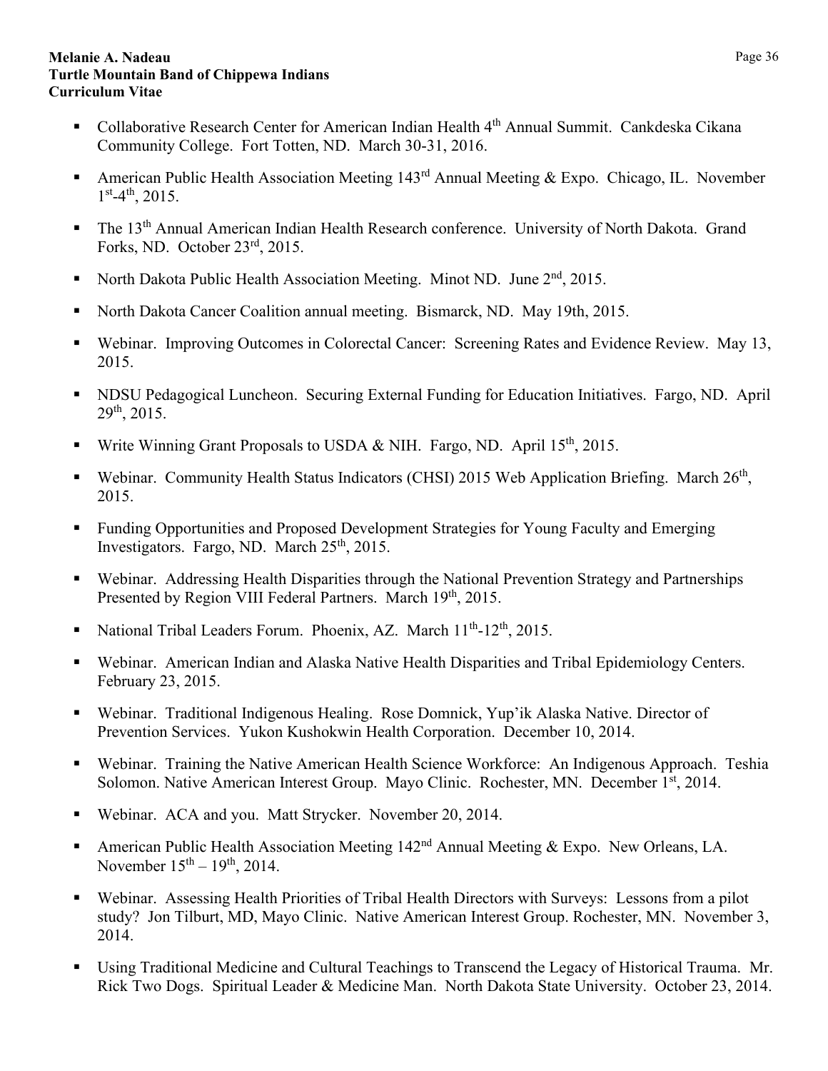- Collaborative Research Center for American Indian Health 4<sup>th</sup> Annual Summit. Cankdeska Cikana Community College. Fort Totten, ND. March 30-31, 2016.
- American Public Health Association Meeting  $143<sup>rd</sup>$  Annual Meeting & Expo. Chicago, IL. November  $1<sup>st</sup> - 4<sup>th</sup>$ , 2015.
- **The 13<sup>th</sup> Annual American Indian Health Research conference. University of North Dakota. Grand** Forks, ND. October 23rd, 2015.
- North Dakota Public Health Association Meeting. Minot ND. June  $2<sup>nd</sup>$ , 2015.
- North Dakota Cancer Coalition annual meeting. Bismarck, ND. May 19th, 2015.
- Webinar. Improving Outcomes in Colorectal Cancer: Screening Rates and Evidence Review. May 13, 2015.
- NDSU Pedagogical Luncheon. Securing External Funding for Education Initiatives. Fargo, ND. April  $29^{th}$ , 2015.
- Write Winning Grant Proposals to USDA & NIH. Fargo, ND. April 15<sup>th</sup>, 2015.
- Webinar. Community Health Status Indicators (CHSI) 2015 Web Application Briefing. March  $26<sup>th</sup>$ , 2015.
- **Funding Opportunities and Proposed Development Strategies for Young Faculty and Emerging** Investigators. Fargo, ND. March 25<sup>th</sup>, 2015.
- Webinar. Addressing Health Disparities through the National Prevention Strategy and Partnerships Presented by Region VIII Federal Partners. March 19th, 2015.
- National Tribal Leaders Forum. Phoenix, AZ. March  $11^{th}$ - $12^{th}$ , 2015.
- Webinar. American Indian and Alaska Native Health Disparities and Tribal Epidemiology Centers. February 23, 2015.
- Webinar. Traditional Indigenous Healing. Rose Domnick, Yup'ik Alaska Native. Director of Prevention Services. Yukon Kushokwin Health Corporation. December 10, 2014.
- Webinar. Training the Native American Health Science Workforce: An Indigenous Approach. Teshia Solomon. Native American Interest Group. Mayo Clinic. Rochester, MN. December 1st, 2014.
- Webinar. ACA and you. Matt Strycker. November 20, 2014.
- American Public Health Association Meeting 142<sup>nd</sup> Annual Meeting & Expo. New Orleans, LA. November  $15^{th} - 19^{th}$ , 2014.
- Webinar. Assessing Health Priorities of Tribal Health Directors with Surveys: Lessons from a pilot study? Jon Tilburt, MD, Mayo Clinic. Native American Interest Group. Rochester, MN. November 3, 2014.
- Using Traditional Medicine and Cultural Teachings to Transcend the Legacy of Historical Trauma. Mr. Rick Two Dogs. Spiritual Leader & Medicine Man. North Dakota State University. October 23, 2014.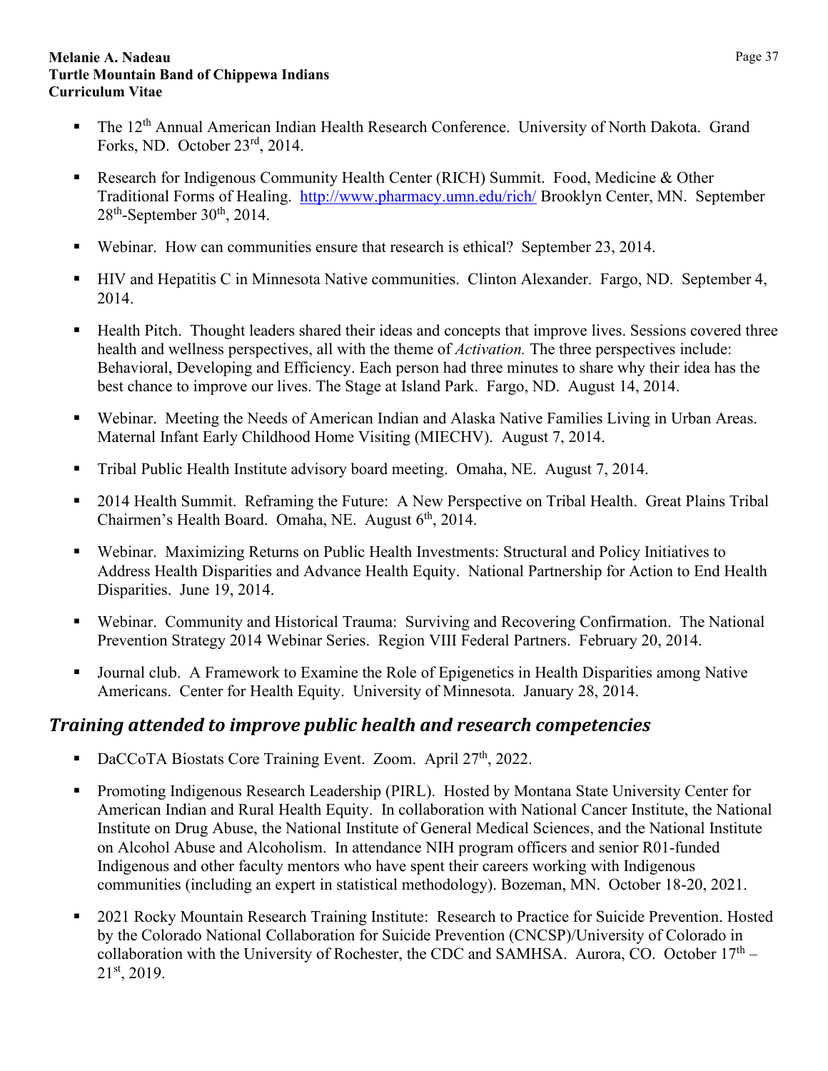- The 12<sup>th</sup> Annual American Indian Health Research Conference. University of North Dakota. Grand Forks, ND. October 23rd, 2014.
- **Research for Indigenous Community Health Center (RICH) Summit. Food, Medicine & Other** Traditional Forms of Healing. <http://www.pharmacy.umn.edu/rich/> Brooklyn Center, MN. September  $28<sup>th</sup>$ -September 30<sup>th</sup>, 2014.
- Webinar. How can communities ensure that research is ethical? September 23, 2014.
- HIV and Hepatitis C in Minnesota Native communities. Clinton Alexander. Fargo, ND. September 4, 2014.
- Health Pitch. Thought leaders shared their ideas and concepts that improve lives. Sessions covered three health and wellness perspectives, all with the theme of *Activation.* The three perspectives include: Behavioral, Developing and Efficiency. Each person had three minutes to share why their idea has the best chance to improve our lives. The Stage at Island Park. Fargo, ND. August 14, 2014.
- Webinar. Meeting the Needs of American Indian and Alaska Native Families Living in Urban Areas. Maternal Infant Early Childhood Home Visiting (MIECHV). August 7, 2014.
- Tribal Public Health Institute advisory board meeting. Omaha, NE. August 7, 2014.
- 2014 Health Summit. Reframing the Future: A New Perspective on Tribal Health. Great Plains Tribal Chairmen's Health Board. Omaha, NE. August  $6<sup>th</sup>$ , 2014.
- Webinar. Maximizing Returns on Public Health Investments: Structural and Policy Initiatives to Address Health Disparities and Advance Health Equity. National Partnership for Action to End Health Disparities. June 19, 2014.
- Webinar. Community and Historical Trauma: Surviving and Recovering Confirmation. The National Prevention Strategy 2014 Webinar Series. Region VIII Federal Partners. February 20, 2014.
- Journal club. A Framework to Examine the Role of Epigenetics in Health Disparities among Native Americans. Center for Health Equity. University of Minnesota. January 28, 2014.

## <span id="page-36-0"></span>*Training attended to improve public health and research competencies*

- DaCCoTA Biostats Core Training Event. Zoom. April 27<sup>th</sup>, 2022.
- Promoting Indigenous Research Leadership (PIRL). Hosted by Montana State University Center for American Indian and Rural Health Equity. In collaboration with National Cancer Institute, the National Institute on Drug Abuse, the National Institute of General Medical Sciences, and the National Institute on Alcohol Abuse and Alcoholism. In attendance NIH program officers and senior R01-funded Indigenous and other faculty mentors who have spent their careers working with Indigenous communities (including an expert in statistical methodology). Bozeman, MN. October 18-20, 2021.
- 2021 Rocky Mountain Research Training Institute: Research to Practice for Suicide Prevention. Hosted by the Colorado National Collaboration for Suicide Prevention (CNCSP)/University of Colorado in collaboration with the University of Rochester, the CDC and SAMHSA. Aurora, CO. October  $17<sup>th</sup>$  – 21st, 2019.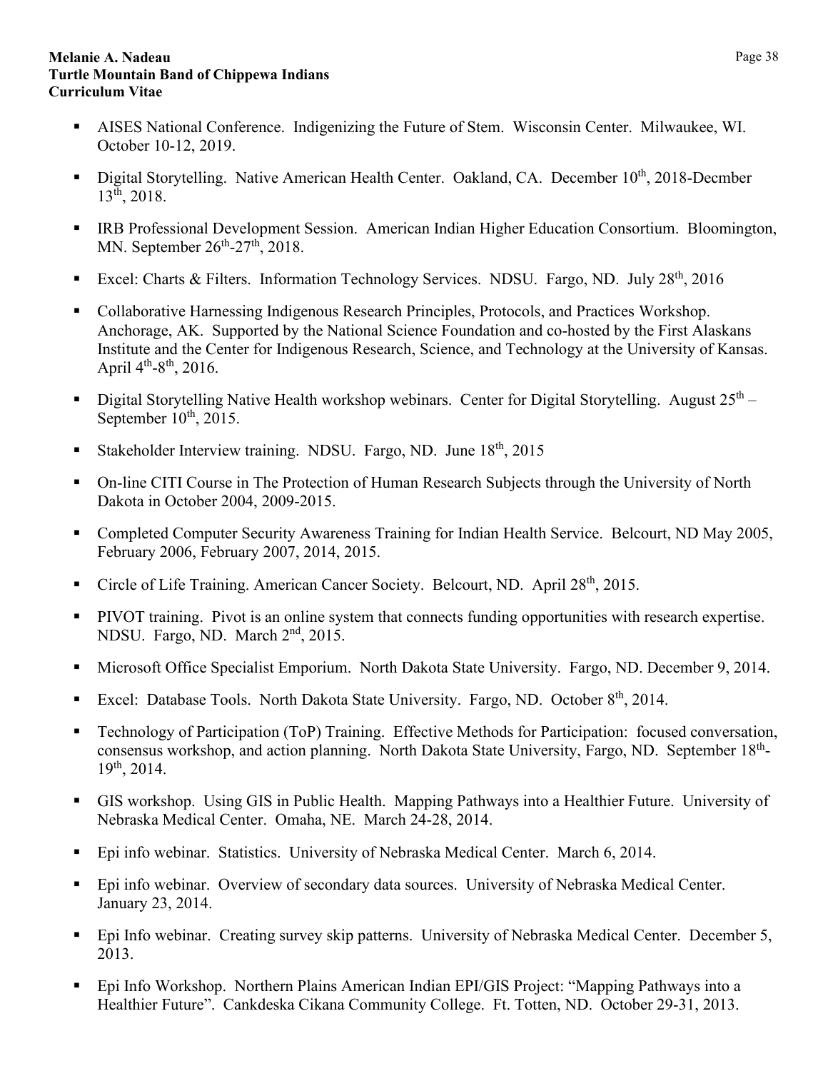- AISES National Conference. Indigenizing the Future of Stem. Wisconsin Center. Milwaukee, WI. October 10-12, 2019.
- Digital Storytelling. Native American Health Center. Oakland, CA. December  $10^{th}$ , 2018-Decmber 13th, 2018.
- **IRB Professional Development Session. American Indian Higher Education Consortium. Bloomington,** MN. September  $26<sup>th</sup> - 27<sup>th</sup>$ , 2018.
- Excel: Charts & Filters. Information Technology Services. NDSU. Fargo, ND. July  $28<sup>th</sup>$ , 2016
- Collaborative Harnessing Indigenous Research Principles, Protocols, and Practices Workshop. Anchorage, AK. Supported by the National Science Foundation and co-hosted by the First Alaskans Institute and the Center for Indigenous Research, Science, and Technology at the University of Kansas. April  $4^{th} - 8^{th}$ , 2016.
- Digital Storytelling Native Health workshop webinars. Center for Digital Storytelling. August  $25<sup>th</sup>$  September  $10^{th}$ , 2015.
- Stakeholder Interview training. NDSU. Fargo, ND. June  $18<sup>th</sup>$ , 2015
- On-line CITI Course in The Protection of Human Research Subjects through the University of North Dakota in October 2004, 2009-2015.
- Completed Computer Security Awareness Training for Indian Health Service. Belcourt, ND May 2005, February 2006, February 2007, 2014, 2015.
- Circle of Life Training. American Cancer Society. Belcourt, ND. April 28<sup>th</sup>, 2015.
- PIVOT training. Pivot is an online system that connects funding opportunities with research expertise. NDSU. Fargo, ND. March 2nd, 2015.
- Microsoft Office Specialist Emporium. North Dakota State University. Fargo, ND. December 9, 2014.
- Excel: Database Tools. North Dakota State University. Fargo, ND. October 8<sup>th</sup>, 2014.
- Technology of Participation (ToP) Training. Effective Methods for Participation: focused conversation, consensus workshop, and action planning. North Dakota State University, Fargo, ND. September 18<sup>th</sup>-19th, 2014.
- GIS workshop. Using GIS in Public Health. Mapping Pathways into a Healthier Future. University of Nebraska Medical Center. Omaha, NE. March 24-28, 2014.
- Epi info webinar. Statistics. University of Nebraska Medical Center. March 6, 2014.
- Epi info webinar. Overview of secondary data sources. University of Nebraska Medical Center. January 23, 2014.
- **Epi Info webinar.** Creating survey skip patterns. University of Nebraska Medical Center. December 5, 2013.
- Epi Info Workshop. Northern Plains American Indian EPI/GIS Project: "Mapping Pathways into a Healthier Future". Cankdeska Cikana Community College. Ft. Totten, ND. October 29-31, 2013.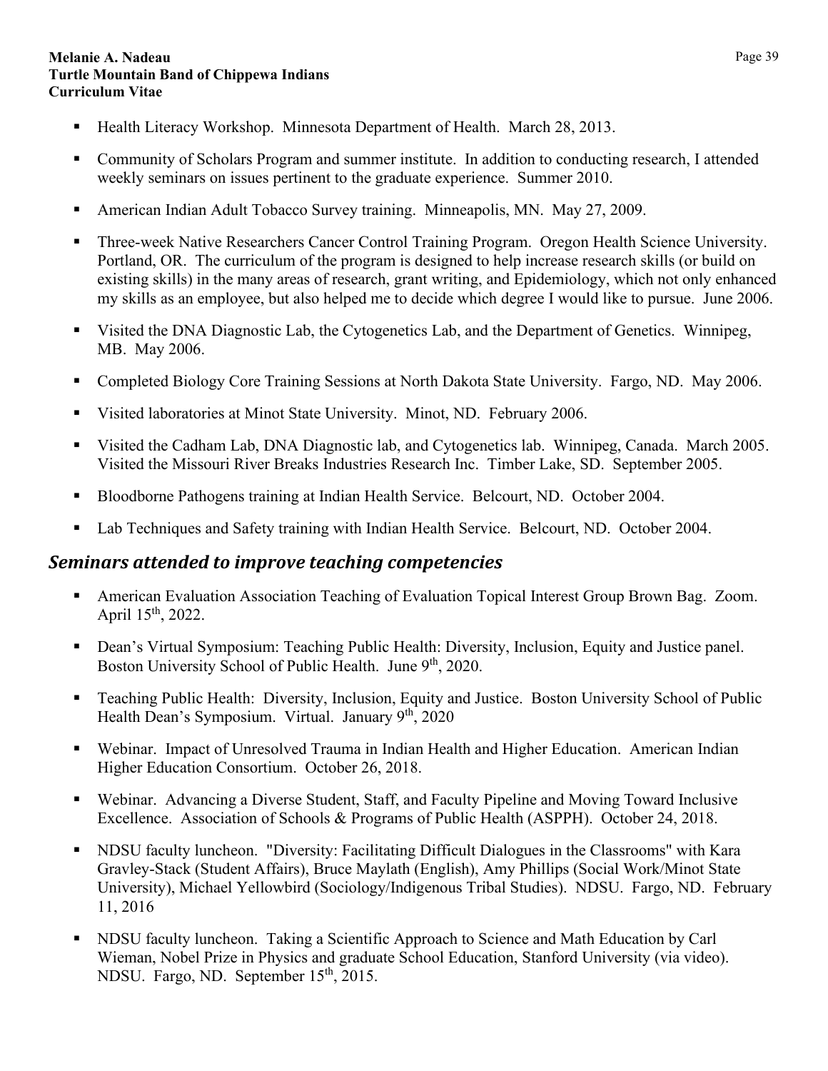- Health Literacy Workshop. Minnesota Department of Health. March 28, 2013.
- Community of Scholars Program and summer institute. In addition to conducting research, I attended weekly seminars on issues pertinent to the graduate experience. Summer 2010.
- American Indian Adult Tobacco Survey training. Minneapolis, MN. May 27, 2009.
- Three-week Native Researchers Cancer Control Training Program. Oregon Health Science University. Portland, OR. The curriculum of the program is designed to help increase research skills (or build on existing skills) in the many areas of research, grant writing, and Epidemiology, which not only enhanced my skills as an employee, but also helped me to decide which degree I would like to pursue. June 2006.
- Visited the DNA Diagnostic Lab, the Cytogenetics Lab, and the Department of Genetics. Winnipeg, MB. May 2006.
- Completed Biology Core Training Sessions at North Dakota State University. Fargo, ND. May 2006.
- Visited laboratories at Minot State University. Minot, ND. February 2006.
- Visited the Cadham Lab, DNA Diagnostic lab, and Cytogenetics lab. Winnipeg, Canada. March 2005. Visited the Missouri River Breaks Industries Research Inc. Timber Lake, SD. September 2005.
- Bloodborne Pathogens training at Indian Health Service. Belcourt, ND. October 2004.
- Lab Techniques and Safety training with Indian Health Service. Belcourt, ND. October 2004.

## <span id="page-38-0"></span>*Seminars attended to improve teaching competencies*

- American Evaluation Association Teaching of Evaluation Topical Interest Group Brown Bag. Zoom. April 15th, 2022.
- Dean's Virtual Symposium: Teaching Public Health: Diversity, Inclusion, Equity and Justice panel. Boston University School of Public Health. June  $9<sup>th</sup>$ , 2020.
- Teaching Public Health: Diversity, Inclusion, Equity and Justice. Boston University School of Public Health Dean's Symposium. Virtual. January  $9<sup>th</sup>$ , 2020
- Webinar. Impact of Unresolved Trauma in Indian Health and Higher Education. American Indian Higher Education Consortium. October 26, 2018.
- Webinar. Advancing a Diverse Student, Staff, and Faculty Pipeline and Moving Toward Inclusive Excellence. Association of Schools & Programs of Public Health (ASPPH). October 24, 2018.
- NDSU faculty luncheon. "Diversity: Facilitating Difficult Dialogues in the Classrooms" with Kara Gravley-Stack (Student Affairs), Bruce Maylath (English), Amy Phillips (Social Work/Minot State University), Michael Yellowbird (Sociology/Indigenous Tribal Studies). NDSU. Fargo, ND. February 11, 2016
- NDSU faculty luncheon. Taking a Scientific Approach to Science and Math Education by Carl Wieman, Nobel Prize in Physics and graduate School Education, Stanford University (via video). NDSU. Fargo, ND. September 15<sup>th</sup>, 2015.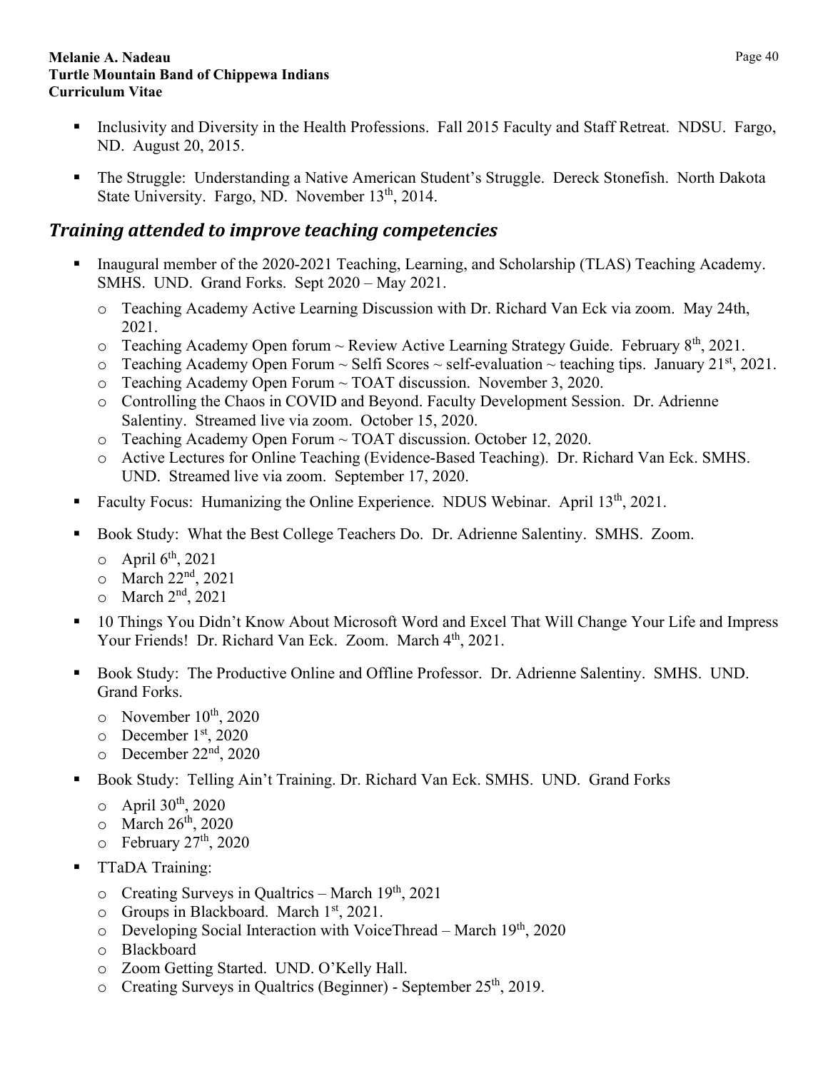- Inclusivity and Diversity in the Health Professions. Fall 2015 Faculty and Staff Retreat. NDSU. Fargo, ND. August 20, 2015.
- The Struggle: Understanding a Native American Student's Struggle. Dereck Stonefish. North Dakota State University. Fargo, ND. November  $13<sup>th</sup>$ , 2014.

## <span id="page-39-0"></span>*Training attended to improve teaching competencies*

- Inaugural member of the 2020-2021 Teaching, Learning, and Scholarship (TLAS) Teaching Academy. SMHS. UND. Grand Forks. Sept 2020 – May 2021.
	- o Teaching Academy Active Learning Discussion with Dr. Richard Van Eck via zoom. May 24th, 2021.
	- o Teaching Academy Open forum ~ Review Active Learning Strategy Guide. February 8<sup>th</sup>, 2021.
	- $\circ$  Teaching Academy Open Forum  $\sim$  Selfi Scores  $\sim$  self-evaluation  $\sim$  teaching tips. January 21<sup>st</sup>, 2021.
	- o Teaching Academy Open Forum ~ TOAT discussion. November 3, 2020.
	- o Controlling the Chaos in COVID and Beyond. Faculty Development Session. Dr. Adrienne Salentiny. Streamed live via zoom. October 15, 2020.
	- o Teaching Academy Open Forum ~ TOAT discussion. October 12, 2020.
	- o Active Lectures for Online Teaching (Evidence-Based Teaching). Dr. Richard Van Eck. SMHS. UND. Streamed live via zoom. September 17, 2020.
- Faculty Focus: Humanizing the Online Experience. NDUS Webinar. April 13<sup>th</sup>, 2021.
- Book Study: What the Best College Teachers Do. Dr. Adrienne Salentiny. SMHS. Zoom.
	- $\circ$  April 6<sup>th</sup>, 2021
	- $\circ$  March 22<sup>nd</sup>, 2021
	- $\circ$  March  $2<sup>nd</sup>$ , 2021
- 10 Things You Didn't Know About Microsoft Word and Excel That Will Change Your Life and Impress Your Friends! Dr. Richard Van Eck. Zoom. March 4<sup>th</sup>, 2021.
- Book Study: The Productive Online and Offline Professor. Dr. Adrienne Salentiny. SMHS. UND. Grand Forks.
	- $\circ$  November 10<sup>th</sup>, 2020
	- o December 1st, 2020
	- $\circ$  December 22<sup>nd</sup>, 2020
- Book Study: Telling Ain't Training. Dr. Richard Van Eck. SMHS. UND. Grand Forks
	- $\circ$  April 30<sup>th</sup>, 2020
	- $\circ$  March 26<sup>th</sup>, 2020
	- $\circ$  February 27<sup>th</sup>, 2020
- TTaDA Training:
	- $\circ$  Creating Surveys in Qualtrics March 19<sup>th</sup>, 2021
	- $\circ$  Groups in Blackboard. March 1<sup>st</sup>, 2021.
	- $\circ$  Developing Social Interaction with VoiceThread March 19<sup>th</sup>, 2020
	- o Blackboard
	- o Zoom Getting Started. UND. O'Kelly Hall.
	- o Creating Surveys in Qualtrics (Beginner) September 25<sup>th</sup>, 2019.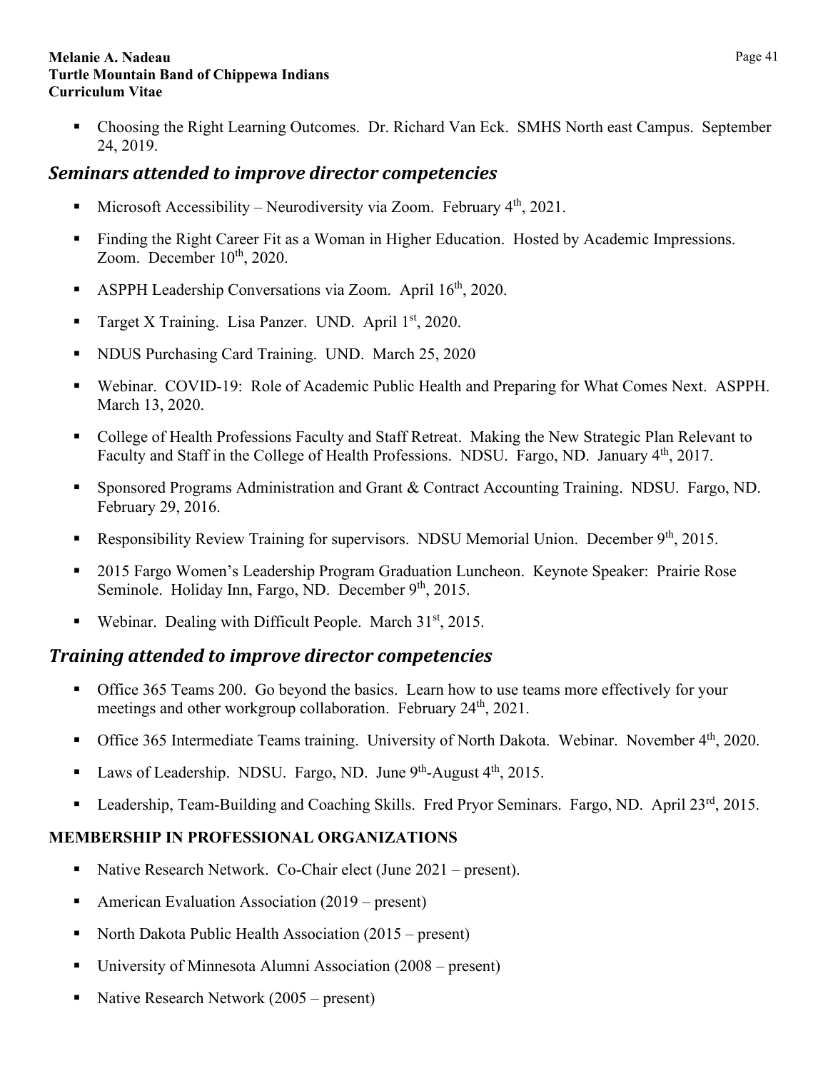Choosing the Right Learning Outcomes. Dr. Richard Van Eck. SMHS North east Campus. September 24, 2019.

## <span id="page-40-0"></span>*Seminars attended to improve director competencies*

- Microsoft Accessibility Neurodiversity via Zoom. February  $4<sup>th</sup>$ , 2021.
- Finding the Right Career Fit as a Woman in Higher Education. Hosted by Academic Impressions. Zoom. December  $10^{th}$ , 2020.
- ASPPH Leadership Conversations via Zoom. April  $16<sup>th</sup>$ , 2020.
- Target X Training. Lisa Panzer. UND. April 1st, 2020.
- NDUS Purchasing Card Training. UND. March 25, 2020
- Webinar. COVID-19: Role of Academic Public Health and Preparing for What Comes Next. ASPPH. March 13, 2020.
- College of Health Professions Faculty and Staff Retreat. Making the New Strategic Plan Relevant to Faculty and Staff in the College of Health Professions. NDSU. Fargo, ND. January 4<sup>th</sup>, 2017.
- Sponsored Programs Administration and Grant & Contract Accounting Training. NDSU. Fargo, ND. February 29, 2016.
- Responsibility Review Training for supervisors. NDSU Memorial Union. December 9<sup>th</sup>, 2015.
- 2015 Fargo Women's Leadership Program Graduation Luncheon. Keynote Speaker: Prairie Rose Seminole. Holiday Inn, Fargo, ND. December 9<sup>th</sup>, 2015.
- Webinar. Dealing with Difficult People. March 31<sup>st</sup>, 2015.

## <span id="page-40-1"></span>*Training attended to improve director competencies*

- Office 365 Teams 200. Go beyond the basics. Learn how to use teams more effectively for your meetings and other workgroup collaboration. February 24<sup>th</sup>, 2021.
- Office 365 Intermediate Teams training. University of North Dakota. Webinar. November  $4<sup>th</sup>$ , 2020.
- Laws of Leadership. NDSU. Fargo, ND. June 9<sup>th</sup>-August 4<sup>th</sup>, 2015.
- Leadership, Team-Building and Coaching Skills. Fred Pryor Seminars. Fargo, ND. April 23<sup>rd</sup>, 2015.

## <span id="page-40-2"></span>**MEMBERSHIP IN PROFESSIONAL ORGANIZATIONS**

- Native Research Network. Co-Chair elect (June 2021 present).
- American Evaluation Association  $(2019 \text{present})$
- North Dakota Public Health Association  $(2015 present)$
- University of Minnesota Alumni Association (2008 present)
- Native Research Network (2005 present)